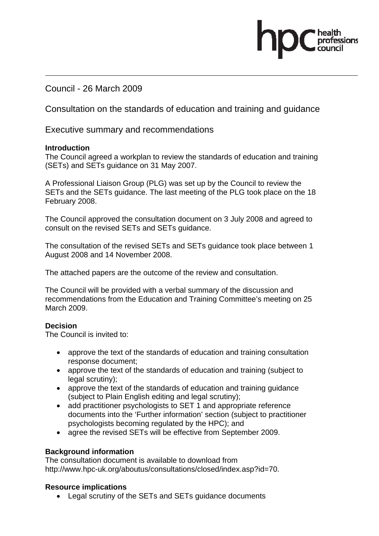Council - 26 March 2009

Consultation on the standards of education and training and guidance

Executive summary and recommendations

#### **Introduction**

The Council agreed a workplan to review the standards of education and training (SETs) and SETs guidance on 31 May 2007.

A Professional Liaison Group (PLG) was set up by the Council to review the SETs and the SETs guidance. The last meeting of the PLG took place on the 18 February 2008.

The Council approved the consultation document on 3 July 2008 and agreed to consult on the revised SETs and SETs guidance.

The consultation of the revised SETs and SETs guidance took place between 1 August 2008 and 14 November 2008.

The attached papers are the outcome of the review and consultation.

The Council will be provided with a verbal summary of the discussion and recommendations from the Education and Training Committee's meeting on 25 March 2009.

## **Decision**

The Council is invited to:

- approve the text of the standards of education and training consultation response document;
- approve the text of the standards of education and training (subject to legal scrutiny);
- approve the text of the standards of education and training quidance (subject to Plain English editing and legal scrutiny);
- add practitioner psychologists to SET 1 and appropriate reference documents into the 'Further information' section (subject to practitioner psychologists becoming regulated by the HPC); and
- agree the revised SETs will be effective from September 2009.

## **Background information**

The consultation document is available to download from http://www.hpc-uk.org/aboutus/consultations/closed/index.asp?id=70.

## **Resource implications**

• Legal scrutiny of the SETs and SETs guidance documents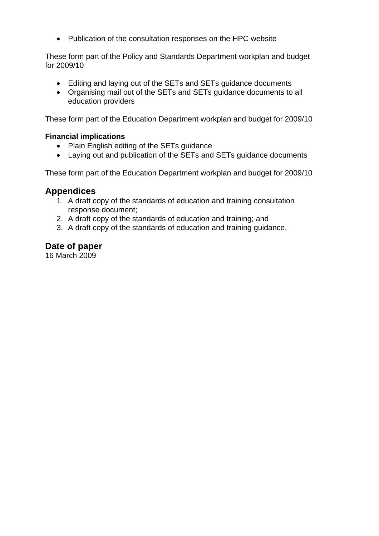• Publication of the consultation responses on the HPC website

These form part of the Policy and Standards Department workplan and budget for 2009/10

- Editing and laying out of the SETs and SETs guidance documents
- Organising mail out of the SETs and SETs guidance documents to all education providers

These form part of the Education Department workplan and budget for 2009/10

### **Financial implications**

- Plain English editing of the SETs guidance
- Laying out and publication of the SETs and SETs guidance documents

These form part of the Education Department workplan and budget for 2009/10

## **Appendices**

- 1. A draft copy of the standards of education and training consultation response document;
- 2. A draft copy of the standards of education and training; and
- 3. A draft copy of the standards of education and training guidance.

## **Date of paper**

16 March 2009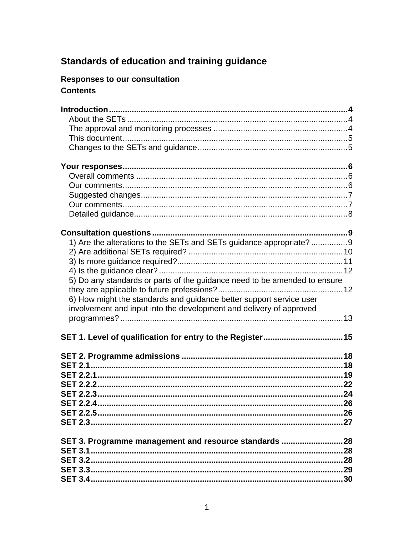# Standards of education and training guidance

## Responses to our consultation **Contents**

| 1) Are the alterations to the SETs and SETs guidance appropriate? 9       |  |
|---------------------------------------------------------------------------|--|
|                                                                           |  |
|                                                                           |  |
|                                                                           |  |
| 5) Do any standards or parts of the guidance need to be amended to ensure |  |
|                                                                           |  |
| 6) How might the standards and guidance better support service user       |  |
| involvement and input into the development and delivery of approved       |  |
|                                                                           |  |
|                                                                           |  |
|                                                                           |  |
|                                                                           |  |
|                                                                           |  |
|                                                                           |  |
|                                                                           |  |
|                                                                           |  |
|                                                                           |  |
|                                                                           |  |
|                                                                           |  |
|                                                                           |  |
|                                                                           |  |
|                                                                           |  |
|                                                                           |  |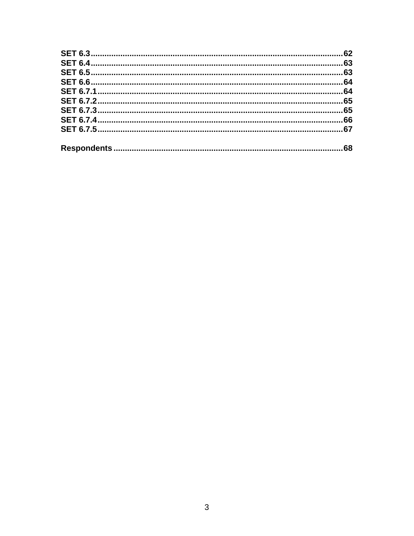| .62 |
|-----|
|     |
|     |
|     |
|     |
|     |
|     |
|     |
|     |
| 68  |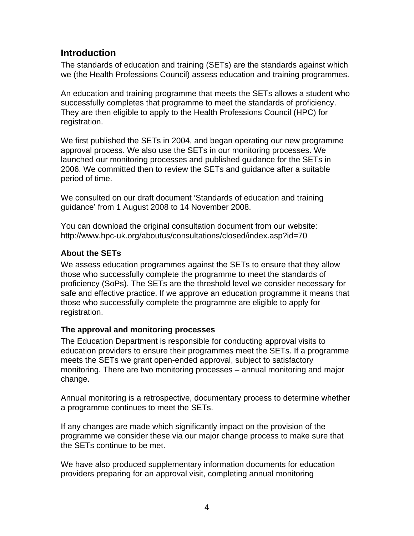## **Introduction**

The standards of education and training (SETs) are the standards against which we (the Health Professions Council) assess education and training programmes.

An education and training programme that meets the SETs allows a student who successfully completes that programme to meet the standards of proficiency. They are then eligible to apply to the Health Professions Council (HPC) for registration.

We first published the SETs in 2004, and began operating our new programme approval process. We also use the SETs in our monitoring processes. We launched our monitoring processes and published guidance for the SETs in 2006. We committed then to review the SETs and guidance after a suitable period of time.

We consulted on our draft document 'Standards of education and training guidance' from 1 August 2008 to 14 November 2008.

You can download the original consultation document from our website: http://www.hpc-uk.org/aboutus/consultations/closed/index.asp?id=70

## **About the SETs**

We assess education programmes against the SETs to ensure that they allow those who successfully complete the programme to meet the standards of proficiency (SoPs). The SETs are the threshold level we consider necessary for safe and effective practice. If we approve an education programme it means that those who successfully complete the programme are eligible to apply for registration.

## **The approval and monitoring processes**

The Education Department is responsible for conducting approval visits to education providers to ensure their programmes meet the SETs. If a programme meets the SETs we grant open-ended approval, subject to satisfactory monitoring. There are two monitoring processes – annual monitoring and major change.

Annual monitoring is a retrospective, documentary process to determine whether a programme continues to meet the SETs.

If any changes are made which significantly impact on the provision of the programme we consider these via our major change process to make sure that the SETs continue to be met.

We have also produced supplementary information documents for education providers preparing for an approval visit, completing annual monitoring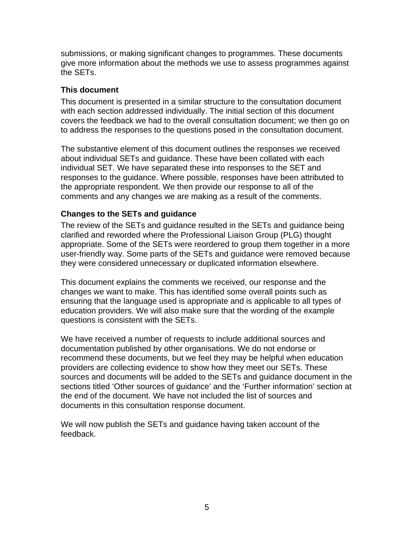submissions, or making significant changes to programmes. These documents give more information about the methods we use to assess programmes against the SETs.

#### **This document**

This document is presented in a similar structure to the consultation document with each section addressed individually. The initial section of this document covers the feedback we had to the overall consultation document; we then go on to address the responses to the questions posed in the consultation document.

The substantive element of this document outlines the responses we received about individual SETs and guidance. These have been collated with each individual SET. We have separated these into responses to the SET and responses to the guidance. Where possible, responses have been attributed to the appropriate respondent. We then provide our response to all of the comments and any changes we are making as a result of the comments.

#### **Changes to the SETs and guidance**

The review of the SETs and guidance resulted in the SETs and guidance being clarified and reworded where the Professional Liaison Group (PLG) thought appropriate. Some of the SETs were reordered to group them together in a more user-friendly way. Some parts of the SETs and guidance were removed because they were considered unnecessary or duplicated information elsewhere.

This document explains the comments we received, our response and the changes we want to make. This has identified some overall points such as ensuring that the language used is appropriate and is applicable to all types of education providers. We will also make sure that the wording of the example questions is consistent with the SETs.

We have received a number of requests to include additional sources and documentation published by other organisations. We do not endorse or recommend these documents, but we feel they may be helpful when education providers are collecting evidence to show how they meet our SETs. These sources and documents will be added to the SETs and guidance document in the sections titled 'Other sources of guidance' and the 'Further information' section at the end of the document. We have not included the list of sources and documents in this consultation response document.

We will now publish the SETs and guidance having taken account of the feedback.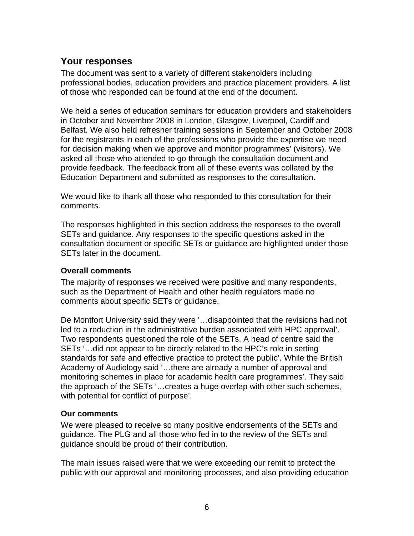## **Your responses**

The document was sent to a variety of different stakeholders including professional bodies, education providers and practice placement providers. A list of those who responded can be found at the end of the document.

We held a series of education seminars for education providers and stakeholders in October and November 2008 in London, Glasgow, Liverpool, Cardiff and Belfast. We also held refresher training sessions in September and October 2008 for the registrants in each of the professions who provide the expertise we need for decision making when we approve and monitor programmes' (visitors). We asked all those who attended to go through the consultation document and provide feedback. The feedback from all of these events was collated by the Education Department and submitted as responses to the consultation.

We would like to thank all those who responded to this consultation for their comments.

The responses highlighted in this section address the responses to the overall SETs and guidance. Any responses to the specific questions asked in the consultation document or specific SETs or guidance are highlighted under those SETs later in the document.

## **Overall comments**

The majority of responses we received were positive and many respondents, such as the Department of Health and other health regulators made no comments about specific SETs or guidance.

De Montfort University said they were '…disappointed that the revisions had not led to a reduction in the administrative burden associated with HPC approval'. Two respondents questioned the role of the SETs. A head of centre said the SETs '…did not appear to be directly related to the HPC's role in setting standards for safe and effective practice to protect the public'. While the British Academy of Audiology said '…there are already a number of approval and monitoring schemes in place for academic health care programmes'. They said the approach of the SETs '…creates a huge overlap with other such schemes, with potential for conflict of purpose'.

## **Our comments**

We were pleased to receive so many positive endorsements of the SETs and guidance. The PLG and all those who fed in to the review of the SETs and guidance should be proud of their contribution.

The main issues raised were that we were exceeding our remit to protect the public with our approval and monitoring processes, and also providing education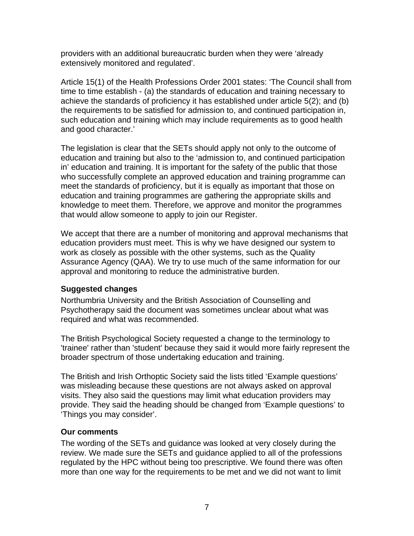providers with an additional bureaucratic burden when they were 'already extensively monitored and regulated'.

Article 15(1) of the Health Professions Order 2001 states: 'The Council shall from time to time establish - (a) the standards of education and training necessary to achieve the standards of proficiency it has established under article 5(2); and (b) the requirements to be satisfied for admission to, and continued participation in, such education and training which may include requirements as to good health and good character.'

The legislation is clear that the SETs should apply not only to the outcome of education and training but also to the 'admission to, and continued participation in' education and training. It is important for the safety of the public that those who successfully complete an approved education and training programme can meet the standards of proficiency, but it is equally as important that those on education and training programmes are gathering the appropriate skills and knowledge to meet them. Therefore, we approve and monitor the programmes that would allow someone to apply to join our Register.

We accept that there are a number of monitoring and approval mechanisms that education providers must meet. This is why we have designed our system to work as closely as possible with the other systems, such as the Quality Assurance Agency (QAA). We try to use much of the same information for our approval and monitoring to reduce the administrative burden.

## **Suggested changes**

Northumbria University and the British Association of Counselling and Psychotherapy said the document was sometimes unclear about what was required and what was recommended.

The British Psychological Society requested a change to the terminology to 'trainee' rather than 'student' because they said it would more fairly represent the broader spectrum of those undertaking education and training.

The British and Irish Orthoptic Society said the lists titled 'Example questions' was misleading because these questions are not always asked on approval visits. They also said the questions may limit what education providers may provide. They said the heading should be changed from 'Example questions' to 'Things you may consider'.

## **Our comments**

The wording of the SETs and guidance was looked at very closely during the review. We made sure the SETs and guidance applied to all of the professions regulated by the HPC without being too prescriptive. We found there was often more than one way for the requirements to be met and we did not want to limit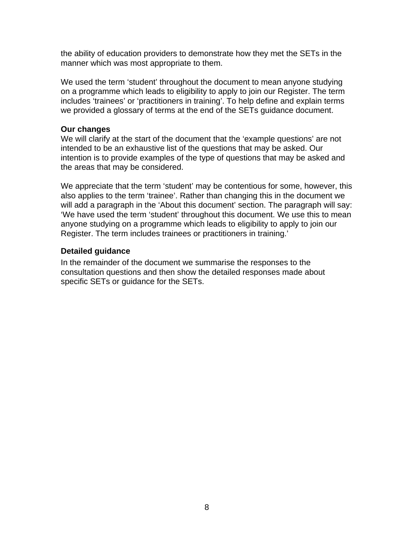the ability of education providers to demonstrate how they met the SETs in the manner which was most appropriate to them.

We used the term 'student' throughout the document to mean anyone studying on a programme which leads to eligibility to apply to join our Register. The term includes 'trainees' or 'practitioners in training'. To help define and explain terms we provided a glossary of terms at the end of the SETs guidance document.

#### **Our changes**

We will clarify at the start of the document that the 'example questions' are not intended to be an exhaustive list of the questions that may be asked. Our intention is to provide examples of the type of questions that may be asked and the areas that may be considered.

We appreciate that the term 'student' may be contentious for some, however, this also applies to the term 'trainee'. Rather than changing this in the document we will add a paragraph in the 'About this document' section. The paragraph will say: 'We have used the term 'student' throughout this document. We use this to mean anyone studying on a programme which leads to eligibility to apply to join our Register. The term includes trainees or practitioners in training.'

#### **Detailed guidance**

In the remainder of the document we summarise the responses to the consultation questions and then show the detailed responses made about specific SETs or guidance for the SETs.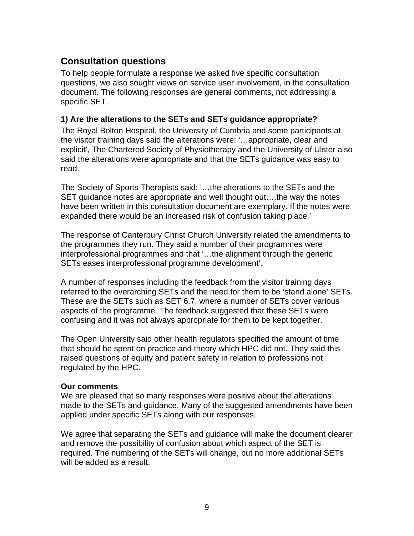## **Consultation questions**

To help people formulate a response we asked five specific consultation questions, we also sought views on service user involvement, in the consultation document. The following responses are general comments, not addressing a specific SET.

### **1) Are the alterations to the SETs and SETs guidance appropriate?**

The Royal Bolton Hospital, the University of Cumbria and some participants at the visitor training days said the alterations were: '…appropriate, clear and explicit', The Chartered Society of Physiotherapy and the University of Ulster also said the alterations were appropriate and that the SETs guidance was easy to read.

The Society of Sports Therapists said: '…the alterations to the SETs and the SET guidance notes are appropriate and well thought out….the way the notes have been written in this consultation document are exemplary. If the notes were expanded there would be an increased risk of confusion taking place.'

The response of Canterbury Christ Church University related the amendments to the programmes they run. They said a number of their programmes were interprofessional programmes and that '…the alignment through the generic SETs eases interprofessional programme development'.

A number of responses including the feedback from the visitor training days referred to the overarching SETs and the need for them to be 'stand alone' SETs. These are the SETs such as SET 6.7, where a number of SETs cover various aspects of the programme. The feedback suggested that these SETs were confusing and it was not always appropriate for them to be kept together.

The Open University said other health regulators specified the amount of time that should be spent on practice and theory which HPC did not. They said this raised questions of equity and patient safety in relation to professions not regulated by the HPC.

#### **Our comments**

We are pleased that so many responses were positive about the alterations made to the SETs and guidance. Many of the suggested amendments have been applied under specific SETs along with our responses.

We agree that separating the SETs and guidance will make the document clearer and remove the possibility of confusion about which aspect of the SET is required. The numbering of the SETs will change, but no more additional SETs will be added as a result.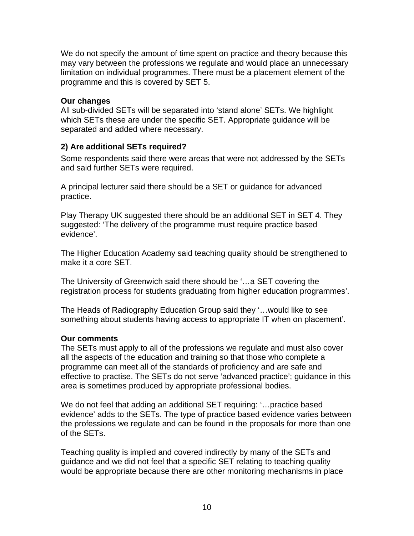We do not specify the amount of time spent on practice and theory because this may vary between the professions we regulate and would place an unnecessary limitation on individual programmes. There must be a placement element of the programme and this is covered by SET 5.

#### **Our changes**

All sub-divided SETs will be separated into 'stand alone' SETs. We highlight which SETs these are under the specific SET. Appropriate guidance will be separated and added where necessary.

## **2) Are additional SETs required?**

Some respondents said there were areas that were not addressed by the SETs and said further SETs were required.

A principal lecturer said there should be a SET or guidance for advanced practice.

Play Therapy UK suggested there should be an additional SET in SET 4. They suggested: 'The delivery of the programme must require practice based evidence'.

The Higher Education Academy said teaching quality should be strengthened to make it a core SET.

The University of Greenwich said there should be '…a SET covering the registration process for students graduating from higher education programmes'.

The Heads of Radiography Education Group said they '…would like to see something about students having access to appropriate IT when on placement'.

## **Our comments**

The SETs must apply to all of the professions we regulate and must also cover all the aspects of the education and training so that those who complete a programme can meet all of the standards of proficiency and are safe and effective to practise. The SETs do not serve 'advanced practice'; guidance in this area is sometimes produced by appropriate professional bodies.

We do not feel that adding an additional SET requiring: '…practice based evidence' adds to the SETs. The type of practice based evidence varies between the professions we regulate and can be found in the proposals for more than one of the SETs.

Teaching quality is implied and covered indirectly by many of the SETs and guidance and we did not feel that a specific SET relating to teaching quality would be appropriate because there are other monitoring mechanisms in place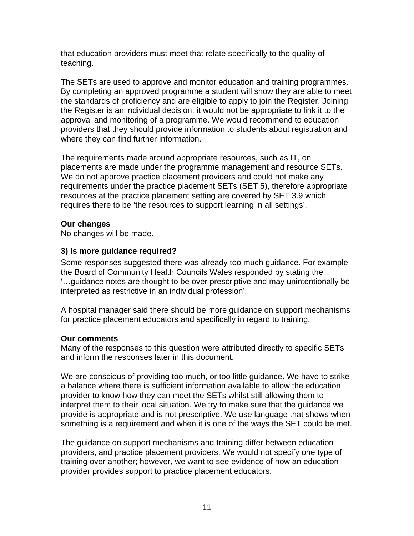that education providers must meet that relate specifically to the quality of teaching.

The SETs are used to approve and monitor education and training programmes. By completing an approved programme a student will show they are able to meet the standards of proficiency and are eligible to apply to join the Register. Joining the Register is an individual decision, it would not be appropriate to link it to the approval and monitoring of a programme. We would recommend to education providers that they should provide information to students about registration and where they can find further information.

The requirements made around appropriate resources, such as IT, on placements are made under the programme management and resource SETs. We do not approve practice placement providers and could not make any requirements under the practice placement SETs (SET 5), therefore appropriate resources at the practice placement setting are covered by SET 3.9 which requires there to be 'the resources to support learning in all settings'.

## **Our changes**

No changes will be made.

## **3) Is more guidance required?**

Some responses suggested there was already too much guidance. For example the Board of Community Health Councils Wales responded by stating the '…guidance notes are thought to be over prescriptive and may unintentionally be interpreted as restrictive in an individual profession'.

A hospital manager said there should be more guidance on support mechanisms for practice placement educators and specifically in regard to training.

## **Our comments**

Many of the responses to this question were attributed directly to specific SETs and inform the responses later in this document.

We are conscious of providing too much, or too little guidance. We have to strike a balance where there is sufficient information available to allow the education provider to know how they can meet the SETs whilst still allowing them to interpret them to their local situation. We try to make sure that the guidance we provide is appropriate and is not prescriptive. We use language that shows when something is a requirement and when it is one of the ways the SET could be met.

The guidance on support mechanisms and training differ between education providers, and practice placement providers. We would not specify one type of training over another; however, we want to see evidence of how an education provider provides support to practice placement educators.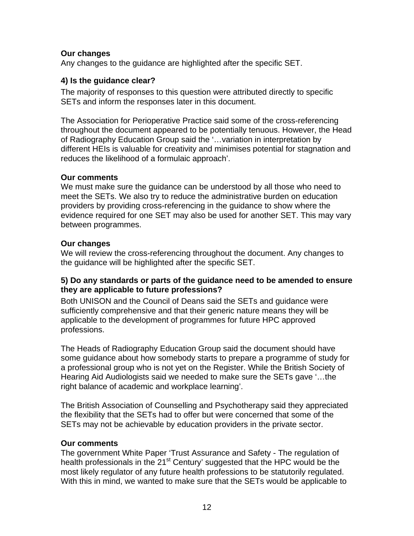### **Our changes**

Any changes to the guidance are highlighted after the specific SET.

### **4) Is the guidance clear?**

The majority of responses to this question were attributed directly to specific SETs and inform the responses later in this document.

The Association for Perioperative Practice said some of the cross-referencing throughout the document appeared to be potentially tenuous. However, the Head of Radiography Education Group said the '…variation in interpretation by different HEIs is valuable for creativity and minimises potential for stagnation and reduces the likelihood of a formulaic approach'.

### **Our comments**

We must make sure the guidance can be understood by all those who need to meet the SETs. We also try to reduce the administrative burden on education providers by providing cross-referencing in the guidance to show where the evidence required for one SET may also be used for another SET. This may vary between programmes.

## **Our changes**

We will review the cross-referencing throughout the document. Any changes to the guidance will be highlighted after the specific SET.

#### **5) Do any standards or parts of the guidance need to be amended to ensure they are applicable to future professions?**

Both UNISON and the Council of Deans said the SETs and guidance were sufficiently comprehensive and that their generic nature means they will be applicable to the development of programmes for future HPC approved professions.

The Heads of Radiography Education Group said the document should have some guidance about how somebody starts to prepare a programme of study for a professional group who is not yet on the Register. While the British Society of Hearing Aid Audiologists said we needed to make sure the SETs gave '…the right balance of academic and workplace learning'.

The British Association of Counselling and Psychotherapy said they appreciated the flexibility that the SETs had to offer but were concerned that some of the SETs may not be achievable by education providers in the private sector.

## **Our comments**

The government White Paper 'Trust Assurance and Safety - The regulation of health professionals in the 21<sup>st</sup> Century' suggested that the HPC would be the most likely regulator of any future health professions to be statutorily regulated. With this in mind, we wanted to make sure that the SETs would be applicable to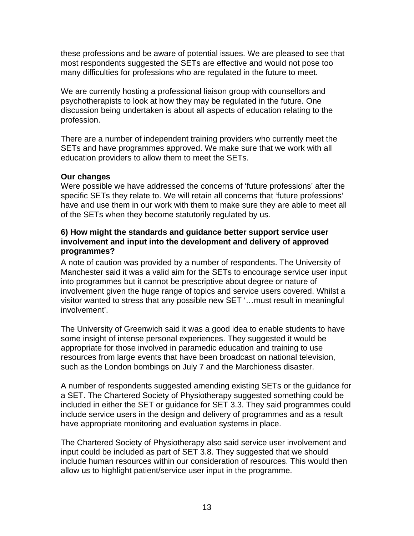these professions and be aware of potential issues. We are pleased to see that most respondents suggested the SETs are effective and would not pose too many difficulties for professions who are regulated in the future to meet.

We are currently hosting a professional liaison group with counsellors and psychotherapists to look at how they may be regulated in the future. One discussion being undertaken is about all aspects of education relating to the profession.

There are a number of independent training providers who currently meet the SETs and have programmes approved. We make sure that we work with all education providers to allow them to meet the SETs.

#### **Our changes**

Were possible we have addressed the concerns of 'future professions' after the specific SETs they relate to. We will retain all concerns that 'future professions' have and use them in our work with them to make sure they are able to meet all of the SETs when they become statutorily regulated by us.

### **6) How might the standards and guidance better support service user involvement and input into the development and delivery of approved programmes?**

A note of caution was provided by a number of respondents. The University of Manchester said it was a valid aim for the SETs to encourage service user input into programmes but it cannot be prescriptive about degree or nature of involvement given the huge range of topics and service users covered. Whilst a visitor wanted to stress that any possible new SET '…must result in meaningful involvement'.

The University of Greenwich said it was a good idea to enable students to have some insight of intense personal experiences. They suggested it would be appropriate for those involved in paramedic education and training to use resources from large events that have been broadcast on national television, such as the London bombings on July 7 and the Marchioness disaster.

A number of respondents suggested amending existing SETs or the guidance for a SET. The Chartered Society of Physiotherapy suggested something could be included in either the SET or guidance for SET 3.3. They said programmes could include service users in the design and delivery of programmes and as a result have appropriate monitoring and evaluation systems in place.

The Chartered Society of Physiotherapy also said service user involvement and input could be included as part of SET 3.8. They suggested that we should include human resources within our consideration of resources. This would then allow us to highlight patient/service user input in the programme.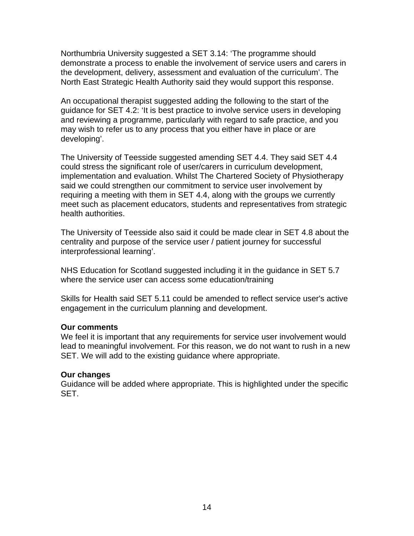Northumbria University suggested a SET 3.14: 'The programme should demonstrate a process to enable the involvement of service users and carers in the development, delivery, assessment and evaluation of the curriculum'. The North East Strategic Health Authority said they would support this response.

An occupational therapist suggested adding the following to the start of the guidance for SET 4.2: 'It is best practice to involve service users in developing and reviewing a programme, particularly with regard to safe practice, and you may wish to refer us to any process that you either have in place or are developing'.

The University of Teesside suggested amending SET 4.4. They said SET 4.4 could stress the significant role of user/carers in curriculum development, implementation and evaluation. Whilst The Chartered Society of Physiotherapy said we could strengthen our commitment to service user involvement by requiring a meeting with them in SET 4.4, along with the groups we currently meet such as placement educators, students and representatives from strategic health authorities.

The University of Teesside also said it could be made clear in SET 4.8 about the centrality and purpose of the service user / patient journey for successful interprofessional learning'.

NHS Education for Scotland suggested including it in the guidance in SET 5.7 where the service user can access some education/training

Skills for Health said SET 5.11 could be amended to reflect service user's active engagement in the curriculum planning and development.

#### **Our comments**

We feel it is important that any requirements for service user involvement would lead to meaningful involvement. For this reason, we do not want to rush in a new SET. We will add to the existing guidance where appropriate.

#### **Our changes**

Guidance will be added where appropriate. This is highlighted under the specific SET.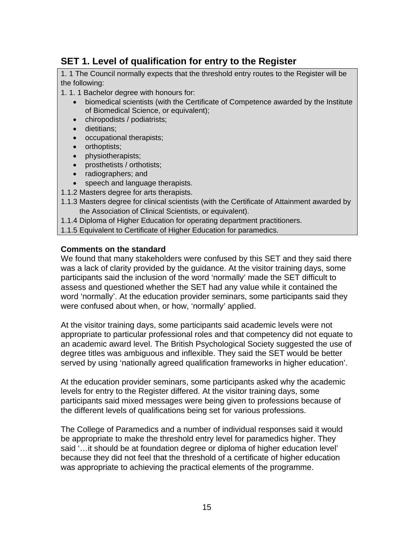## **SET 1. Level of qualification for entry to the Register**

1. 1 The Council normally expects that the threshold entry routes to the Register will be the following:

1. 1. 1 Bachelor degree with honours for:

- biomedical scientists (with the Certificate of Competence awarded by the Institute of Biomedical Science, or equivalent);
- chiropodists / podiatrists;
- dietitians;
- occupational therapists;
- orthoptists;
- physiotherapists;
- prosthetists / orthotists;
- radiographers; and
- speech and language therapists.
- 1.1.2 Masters degree for arts therapists.
- 1.1.3 Masters degree for clinical scientists (with the Certificate of Attainment awarded by the Association of Clinical Scientists, or equivalent).
- 1.1.4 Diploma of Higher Education for operating department practitioners.
- 1.1.5 Equivalent to Certificate of Higher Education for paramedics.

#### **Comments on the standard**

We found that many stakeholders were confused by this SET and they said there was a lack of clarity provided by the guidance. At the visitor training days, some participants said the inclusion of the word 'normally' made the SET difficult to assess and questioned whether the SET had any value while it contained the word 'normally'. At the education provider seminars, some participants said they were confused about when, or how, 'normally' applied.

At the visitor training days, some participants said academic levels were not appropriate to particular professional roles and that competency did not equate to an academic award level. The British Psychological Society suggested the use of degree titles was ambiguous and inflexible. They said the SET would be better served by using 'nationally agreed qualification frameworks in higher education'.

At the education provider seminars, some participants asked why the academic levels for entry to the Register differed. At the visitor training days, some participants said mixed messages were being given to professions because of the different levels of qualifications being set for various professions.

The College of Paramedics and a number of individual responses said it would be appropriate to make the threshold entry level for paramedics higher. They said '…it should be at foundation degree or diploma of higher education level' because they did not feel that the threshold of a certificate of higher education was appropriate to achieving the practical elements of the programme.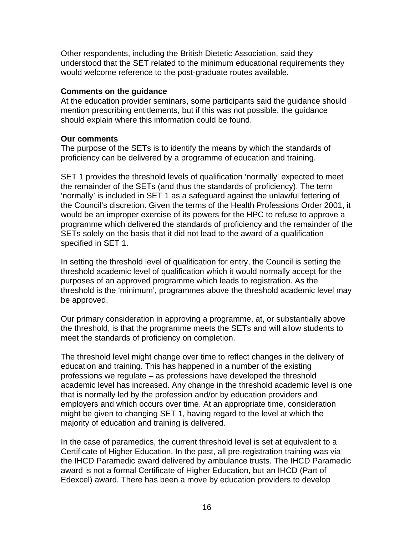Other respondents, including the British Dietetic Association, said they understood that the SET related to the minimum educational requirements they would welcome reference to the post-graduate routes available.

#### **Comments on the guidance**

At the education provider seminars, some participants said the guidance should mention prescribing entitlements, but if this was not possible, the guidance should explain where this information could be found.

#### **Our comments**

The purpose of the SETs is to identify the means by which the standards of proficiency can be delivered by a programme of education and training.

SET 1 provides the threshold levels of qualification 'normally' expected to meet the remainder of the SETs (and thus the standards of proficiency). The term 'normally' is included in SET 1 as a safeguard against the unlawful fettering of the Council's discretion. Given the terms of the Health Professions Order 2001, it would be an improper exercise of its powers for the HPC to refuse to approve a programme which delivered the standards of proficiency and the remainder of the SETs solely on the basis that it did not lead to the award of a qualification specified in SET 1.

In setting the threshold level of qualification for entry, the Council is setting the threshold academic level of qualification which it would normally accept for the purposes of an approved programme which leads to registration. As the threshold is the 'minimum', programmes above the threshold academic level may be approved.

Our primary consideration in approving a programme, at, or substantially above the threshold, is that the programme meets the SETs and will allow students to meet the standards of proficiency on completion.

The threshold level might change over time to reflect changes in the delivery of education and training. This has happened in a number of the existing professions we regulate – as professions have developed the threshold academic level has increased. Any change in the threshold academic level is one that is normally led by the profession and/or by education providers and employers and which occurs over time. At an appropriate time, consideration might be given to changing SET 1, having regard to the level at which the majority of education and training is delivered.

In the case of paramedics, the current threshold level is set at equivalent to a Certificate of Higher Education. In the past, all pre-registration training was via the IHCD Paramedic award delivered by ambulance trusts. The IHCD Paramedic award is not a formal Certificate of Higher Education, but an IHCD (Part of Edexcel) award. There has been a move by education providers to develop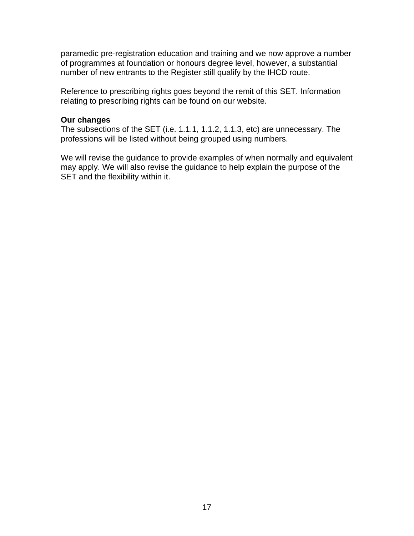paramedic pre-registration education and training and we now approve a number of programmes at foundation or honours degree level, however, a substantial number of new entrants to the Register still qualify by the IHCD route.

Reference to prescribing rights goes beyond the remit of this SET. Information relating to prescribing rights can be found on our website.

#### **Our changes**

The subsections of the SET (i.e. 1.1.1, 1.1.2, 1.1.3, etc) are unnecessary. The professions will be listed without being grouped using numbers.

We will revise the guidance to provide examples of when normally and equivalent may apply. We will also revise the guidance to help explain the purpose of the SET and the flexibility within it.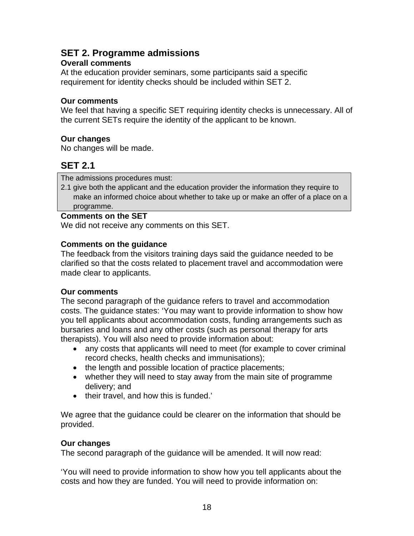## **SET 2. Programme admissions**

## **Overall comments**

At the education provider seminars, some participants said a specific requirement for identity checks should be included within SET 2.

### **Our comments**

We feel that having a specific SET requiring identity checks is unnecessary. All of the current SETs require the identity of the applicant to be known.

## **Our changes**

No changes will be made.

## **SET 2.1**

The admissions procedures must:

2.1 give both the applicant and the education provider the information they require to make an informed choice about whether to take up or make an offer of a place on a programme.

#### **Comments on the SET**

We did not receive any comments on this SET.

### **Comments on the guidance**

The feedback from the visitors training days said the guidance needed to be clarified so that the costs related to placement travel and accommodation were made clear to applicants.

#### **Our comments**

The second paragraph of the guidance refers to travel and accommodation costs. The guidance states: 'You may want to provide information to show how you tell applicants about accommodation costs, funding arrangements such as bursaries and loans and any other costs (such as personal therapy for arts therapists). You will also need to provide information about:

- any costs that applicants will need to meet (for example to cover criminal record checks, health checks and immunisations);
- the length and possible location of practice placements;
- whether they will need to stay away from the main site of programme delivery; and
- their travel, and how this is funded.'

We agree that the guidance could be clearer on the information that should be provided.

## **Our changes**

The second paragraph of the guidance will be amended. It will now read:

'You will need to provide information to show how you tell applicants about the costs and how they are funded. You will need to provide information on: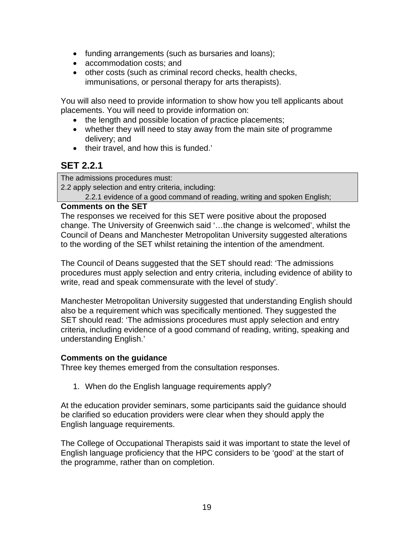- funding arrangements (such as bursaries and loans);
- accommodation costs; and
- other costs (such as criminal record checks, health checks, immunisations, or personal therapy for arts therapists).

You will also need to provide information to show how you tell applicants about placements. You will need to provide information on:

- the length and possible location of practice placements;
- whether they will need to stay away from the main site of programme delivery; and
- their travel, and how this is funded.'

## **SET 2.2.1**

The admissions procedures must:

2.2 apply selection and entry criteria, including:

2.2.1 evidence of a good command of reading, writing and spoken English;

### **Comments on the SET**

The responses we received for this SET were positive about the proposed change. The University of Greenwich said '…the change is welcomed', whilst the Council of Deans and Manchester Metropolitan University suggested alterations to the wording of the SET whilst retaining the intention of the amendment.

The Council of Deans suggested that the SET should read: 'The admissions procedures must apply selection and entry criteria, including evidence of ability to write, read and speak commensurate with the level of study'.

Manchester Metropolitan University suggested that understanding English should also be a requirement which was specifically mentioned. They suggested the SET should read: 'The admissions procedures must apply selection and entry criteria, including evidence of a good command of reading, writing, speaking and understanding English.'

#### **Comments on the guidance**

Three key themes emerged from the consultation responses.

1. When do the English language requirements apply?

At the education provider seminars, some participants said the guidance should be clarified so education providers were clear when they should apply the English language requirements.

The College of Occupational Therapists said it was important to state the level of English language proficiency that the HPC considers to be 'good' at the start of the programme, rather than on completion.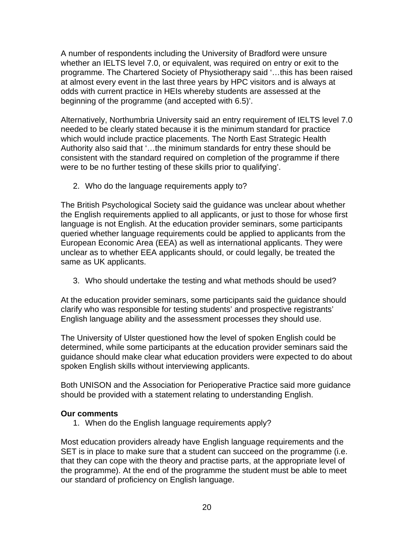A number of respondents including the University of Bradford were unsure whether an IELTS level 7.0, or equivalent, was required on entry or exit to the programme. The Chartered Society of Physiotherapy said '…this has been raised at almost every event in the last three years by HPC visitors and is always at odds with current practice in HEIs whereby students are assessed at the beginning of the programme (and accepted with 6.5)'.

Alternatively, Northumbria University said an entry requirement of IELTS level 7.0 needed to be clearly stated because it is the minimum standard for practice which would include practice placements. The North East Strategic Health Authority also said that '…the minimum standards for entry these should be consistent with the standard required on completion of the programme if there were to be no further testing of these skills prior to qualifying'.

2. Who do the language requirements apply to?

The British Psychological Society said the guidance was unclear about whether the English requirements applied to all applicants, or just to those for whose first language is not English. At the education provider seminars, some participants queried whether language requirements could be applied to applicants from the European Economic Area (EEA) as well as international applicants. They were unclear as to whether EEA applicants should, or could legally, be treated the same as UK applicants.

3. Who should undertake the testing and what methods should be used?

At the education provider seminars, some participants said the guidance should clarify who was responsible for testing students' and prospective registrants' English language ability and the assessment processes they should use.

The University of Ulster questioned how the level of spoken English could be determined, while some participants at the education provider seminars said the guidance should make clear what education providers were expected to do about spoken English skills without interviewing applicants.

Both UNISON and the Association for Perioperative Practice said more guidance should be provided with a statement relating to understanding English.

## **Our comments**

1. When do the English language requirements apply?

Most education providers already have English language requirements and the SET is in place to make sure that a student can succeed on the programme (i.e. that they can cope with the theory and practise parts, at the appropriate level of the programme). At the end of the programme the student must be able to meet our standard of proficiency on English language.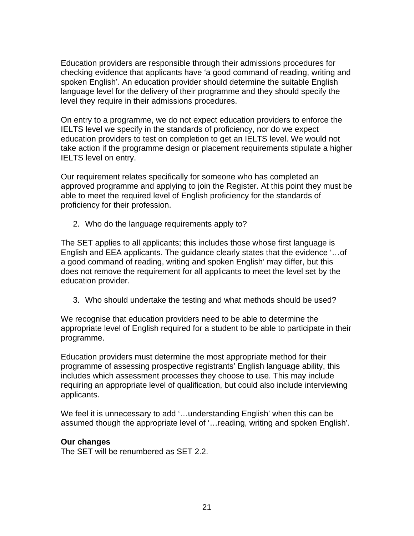Education providers are responsible through their admissions procedures for checking evidence that applicants have 'a good command of reading, writing and spoken English'. An education provider should determine the suitable English language level for the delivery of their programme and they should specify the level they require in their admissions procedures.

On entry to a programme, we do not expect education providers to enforce the IELTS level we specify in the standards of proficiency, nor do we expect education providers to test on completion to get an IELTS level. We would not take action if the programme design or placement requirements stipulate a higher IELTS level on entry.

Our requirement relates specifically for someone who has completed an approved programme and applying to join the Register. At this point they must be able to meet the required level of English proficiency for the standards of proficiency for their profession.

2. Who do the language requirements apply to?

The SET applies to all applicants; this includes those whose first language is English and EEA applicants. The guidance clearly states that the evidence '…of a good command of reading, writing and spoken English' may differ, but this does not remove the requirement for all applicants to meet the level set by the education provider.

3. Who should undertake the testing and what methods should be used?

We recognise that education providers need to be able to determine the appropriate level of English required for a student to be able to participate in their programme.

Education providers must determine the most appropriate method for their programme of assessing prospective registrants' English language ability, this includes which assessment processes they choose to use. This may include requiring an appropriate level of qualification, but could also include interviewing applicants.

We feel it is unnecessary to add '...understanding English' when this can be assumed though the appropriate level of '…reading, writing and spoken English'.

## **Our changes**

The SET will be renumbered as SET 2.2.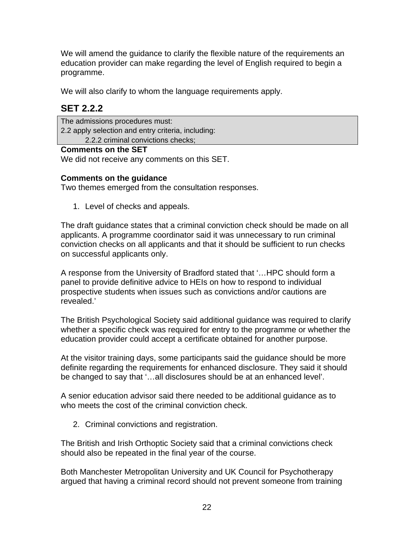We will amend the guidance to clarify the flexible nature of the requirements an education provider can make regarding the level of English required to begin a programme.

We will also clarify to whom the language requirements apply.

## **SET 2.2.2**

The admissions procedures must: 2.2 apply selection and entry criteria, including: 2.2.2 criminal convictions checks;

### **Comments on the SET**

We did not receive any comments on this SET.

## **Comments on the guidance**

Two themes emerged from the consultation responses.

1. Level of checks and appeals.

The draft guidance states that a criminal conviction check should be made on all applicants. A programme coordinator said it was unnecessary to run criminal conviction checks on all applicants and that it should be sufficient to run checks on successful applicants only.

A response from the University of Bradford stated that '…HPC should form a panel to provide definitive advice to HEIs on how to respond to individual prospective students when issues such as convictions and/or cautions are revealed.'

The British Psychological Society said additional guidance was required to clarify whether a specific check was required for entry to the programme or whether the education provider could accept a certificate obtained for another purpose.

At the visitor training days, some participants said the guidance should be more definite regarding the requirements for enhanced disclosure. They said it should be changed to say that '…all disclosures should be at an enhanced level'.

A senior education advisor said there needed to be additional guidance as to who meets the cost of the criminal conviction check.

2. Criminal convictions and registration.

The British and Irish Orthoptic Society said that a criminal convictions check should also be repeated in the final year of the course.

Both Manchester Metropolitan University and UK Council for Psychotherapy argued that having a criminal record should not prevent someone from training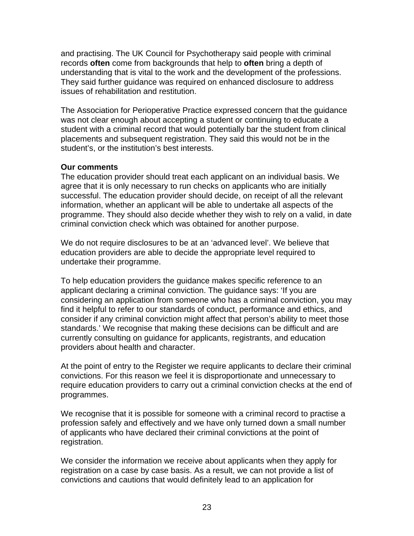and practising. The UK Council for Psychotherapy said people with criminal records **often** come from backgrounds that help to **often** bring a depth of understanding that is vital to the work and the development of the professions. They said further guidance was required on enhanced disclosure to address issues of rehabilitation and restitution.

The Association for Perioperative Practice expressed concern that the guidance was not clear enough about accepting a student or continuing to educate a student with a criminal record that would potentially bar the student from clinical placements and subsequent registration. They said this would not be in the student's, or the institution's best interests.

#### **Our comments**

The education provider should treat each applicant on an individual basis. We agree that it is only necessary to run checks on applicants who are initially successful. The education provider should decide, on receipt of all the relevant information, whether an applicant will be able to undertake all aspects of the programme. They should also decide whether they wish to rely on a valid, in date criminal conviction check which was obtained for another purpose.

We do not require disclosures to be at an 'advanced level'. We believe that education providers are able to decide the appropriate level required to undertake their programme.

To help education providers the guidance makes specific reference to an applicant declaring a criminal conviction. The guidance says: 'If you are considering an application from someone who has a criminal conviction, you may find it helpful to refer to our standards of conduct, performance and ethics, and consider if any criminal conviction might affect that person's ability to meet those standards.' We recognise that making these decisions can be difficult and are currently consulting on guidance for applicants, registrants, and education providers about health and character.

At the point of entry to the Register we require applicants to declare their criminal convictions. For this reason we feel it is disproportionate and unnecessary to require education providers to carry out a criminal conviction checks at the end of programmes.

We recognise that it is possible for someone with a criminal record to practise a profession safely and effectively and we have only turned down a small number of applicants who have declared their criminal convictions at the point of registration.

We consider the information we receive about applicants when they apply for registration on a case by case basis. As a result, we can not provide a list of convictions and cautions that would definitely lead to an application for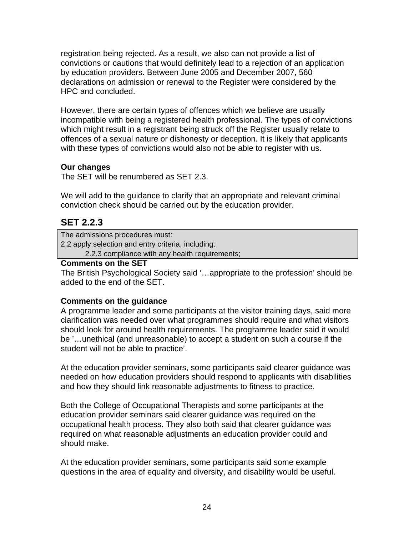registration being rejected. As a result, we also can not provide a list of convictions or cautions that would definitely lead to a rejection of an application by education providers. Between June 2005 and December 2007, 560 declarations on admission or renewal to the Register were considered by the HPC and concluded.

However, there are certain types of offences which we believe are usually incompatible with being a registered health professional. The types of convictions which might result in a registrant being struck off the Register usually relate to offences of a sexual nature or dishonesty or deception. It is likely that applicants with these types of convictions would also not be able to register with us.

## **Our changes**

The SET will be renumbered as SET 2.3.

We will add to the guidance to clarify that an appropriate and relevant criminal conviction check should be carried out by the education provider.

## **SET 2.2.3**

The admissions procedures must:

2.2 apply selection and entry criteria, including:

2.2.3 compliance with any health requirements;

### **Comments on the SET**

The British Psychological Society said '…appropriate to the profession' should be added to the end of the SET.

## **Comments on the guidance**

A programme leader and some participants at the visitor training days, said more clarification was needed over what programmes should require and what visitors should look for around health requirements. The programme leader said it would be '…unethical (and unreasonable) to accept a student on such a course if the student will not be able to practice'.

At the education provider seminars, some participants said clearer guidance was needed on how education providers should respond to applicants with disabilities and how they should link reasonable adjustments to fitness to practice.

Both the College of Occupational Therapists and some participants at the education provider seminars said clearer guidance was required on the occupational health process. They also both said that clearer guidance was required on what reasonable adjustments an education provider could and should make.

At the education provider seminars, some participants said some example questions in the area of equality and diversity, and disability would be useful.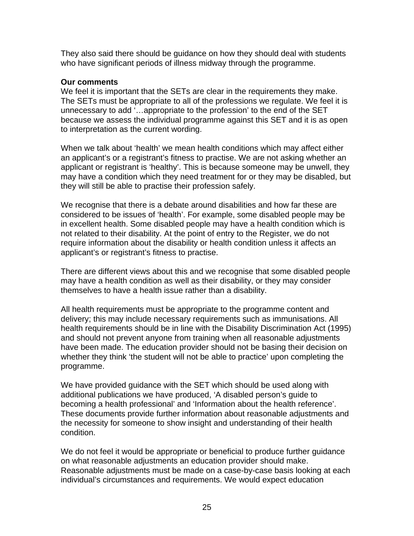They also said there should be guidance on how they should deal with students who have significant periods of illness midway through the programme.

#### **Our comments**

We feel it is important that the SETs are clear in the requirements they make. The SETs must be appropriate to all of the professions we regulate. We feel it is unnecessary to add '…appropriate to the profession' to the end of the SET because we assess the individual programme against this SET and it is as open to interpretation as the current wording.

When we talk about 'health' we mean health conditions which may affect either an applicant's or a registrant's fitness to practise. We are not asking whether an applicant or registrant is 'healthy'. This is because someone may be unwell, they may have a condition which they need treatment for or they may be disabled, but they will still be able to practise their profession safely.

We recognise that there is a debate around disabilities and how far these are considered to be issues of 'health'. For example, some disabled people may be in excellent health. Some disabled people may have a health condition which is not related to their disability. At the point of entry to the Register, we do not require information about the disability or health condition unless it affects an applicant's or registrant's fitness to practise.

There are different views about this and we recognise that some disabled people may have a health condition as well as their disability, or they may consider themselves to have a health issue rather than a disability.

All health requirements must be appropriate to the programme content and delivery; this may include necessary requirements such as immunisations. All health requirements should be in line with the Disability Discrimination Act (1995) and should not prevent anyone from training when all reasonable adjustments have been made. The education provider should not be basing their decision on whether they think 'the student will not be able to practice' upon completing the programme.

We have provided guidance with the SET which should be used along with additional publications we have produced, 'A disabled person's guide to becoming a health professional' and 'Information about the health reference'. These documents provide further information about reasonable adjustments and the necessity for someone to show insight and understanding of their health condition.

We do not feel it would be appropriate or beneficial to produce further guidance on what reasonable adjustments an education provider should make. Reasonable adjustments must be made on a case-by-case basis looking at each individual's circumstances and requirements. We would expect education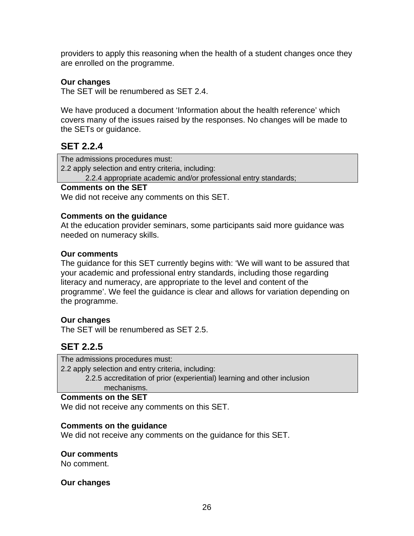providers to apply this reasoning when the health of a student changes once they are enrolled on the programme.

#### **Our changes**

The SET will be renumbered as SET 2.4.

We have produced a document 'Information about the health reference' which covers many of the issues raised by the responses. No changes will be made to the SETs or guidance.

## **SET 2.2.4**

The admissions procedures must:

2.2 apply selection and entry criteria, including:

2.2.4 appropriate academic and/or professional entry standards;

#### **Comments on the SET**

We did not receive any comments on this SET.

#### **Comments on the guidance**

At the education provider seminars, some participants said more guidance was needed on numeracy skills.

### **Our comments**

The guidance for this SET currently begins with: 'We will want to be assured that your academic and professional entry standards, including those regarding literacy and numeracy, are appropriate to the level and content of the programme'. We feel the guidance is clear and allows for variation depending on the programme.

## **Our changes**

The SET will be renumbered as SET 2.5.

## **SET 2.2.5**

The admissions procedures must: 2.2 apply selection and entry criteria, including: 2.2.5 accreditation of prior (experiential) learning and other inclusion mechanisms.

#### **Comments on the SET**

We did not receive any comments on this SET.

#### **Comments on the guidance**

We did not receive any comments on the guidance for this SET.

#### **Our comments**

No comment.

#### **Our changes**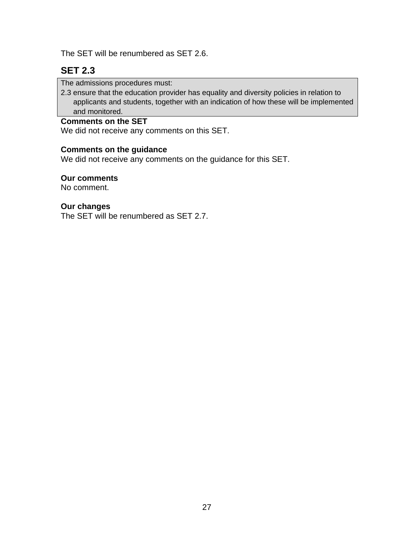The SET will be renumbered as SET 2.6.

## **SET 2.3**

The admissions procedures must:

2.3 ensure that the education provider has equality and diversity policies in relation to applicants and students, together with an indication of how these will be implemented and monitored.

### **Comments on the SET**

We did not receive any comments on this SET.

## **Comments on the guidance**

We did not receive any comments on the guidance for this SET.

#### **Our comments**

No comment.

#### **Our changes**

The SET will be renumbered as SET 2.7.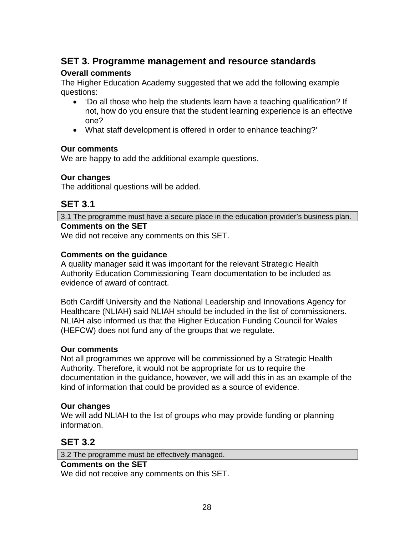## **SET 3. Programme management and resource standards**

### **Overall comments**

The Higher Education Academy suggested that we add the following example questions:

- 'Do all those who help the students learn have a teaching qualification? If not, how do you ensure that the student learning experience is an effective one?
- What staff development is offered in order to enhance teaching?'

### **Our comments**

We are happy to add the additional example questions.

## **Our changes**

The additional questions will be added.

## **SET 3.1**

3.1 The programme must have a secure place in the education provider's business plan. **Comments on the SET** 

We did not receive any comments on this SET.

## **Comments on the guidance**

A quality manager said it was important for the relevant Strategic Health Authority Education Commissioning Team documentation to be included as evidence of award of contract.

Both Cardiff University and the National Leadership and Innovations Agency for Healthcare (NLIAH) said NLIAH should be included in the list of commissioners. NLIAH also informed us that the Higher Education Funding Council for Wales (HEFCW) does not fund any of the groups that we regulate.

#### **Our comments**

Not all programmes we approve will be commissioned by a Strategic Health Authority. Therefore, it would not be appropriate for us to require the documentation in the guidance, however, we will add this in as an example of the kind of information that could be provided as a source of evidence.

## **Our changes**

We will add NLIAH to the list of groups who may provide funding or planning information.

## **SET 3.2**

3.2 The programme must be effectively managed.

#### **Comments on the SET**

We did not receive any comments on this SET.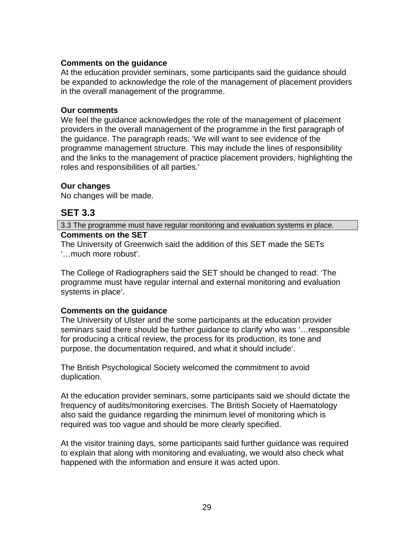#### **Comments on the guidance**

At the education provider seminars, some participants said the guidance should be expanded to acknowledge the role of the management of placement providers in the overall management of the programme.

#### **Our comments**

We feel the guidance acknowledges the role of the management of placement providers in the overall management of the programme in the first paragraph of the guidance. The paragraph reads: 'We will want to see evidence of the programme management structure. This may include the lines of responsibility and the links to the management of practice placement providers, highlighting the roles and responsibilities of all parties.'

### **Our changes**

No changes will be made.

## **SET 3.3**

3.3 The programme must have regular monitoring and evaluation systems in place. **Comments on the SET** 

The University of Greenwich said the addition of this SET made the SETs '…much more robust'.

The College of Radiographers said the SET should be changed to read: 'The programme must have regular internal and external monitoring and evaluation systems in place'.

#### **Comments on the guidance**

The University of Ulster and the some participants at the education provider seminars said there should be further guidance to clarify who was '…responsible for producing a critical review, the process for its production, its tone and purpose, the documentation required, and what it should include'.

The British Psychological Society welcomed the commitment to avoid duplication.

At the education provider seminars, some participants said we should dictate the frequency of audits/monitoring exercises. The British Society of Haematology also said the guidance regarding the minimum level of monitoring which is required was too vague and should be more clearly specified.

At the visitor training days, some participants said further guidance was required to explain that along with monitoring and evaluating, we would also check what happened with the information and ensure it was acted upon.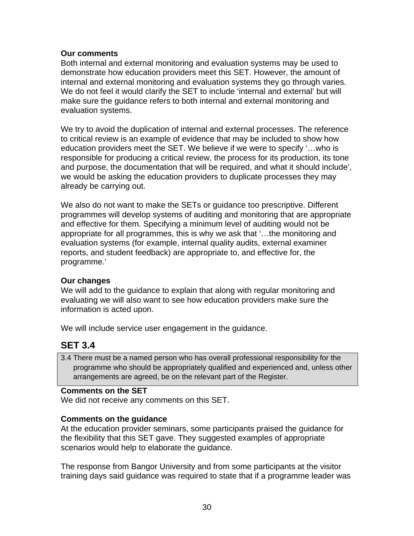#### **Our comments**

Both internal and external monitoring and evaluation systems may be used to demonstrate how education providers meet this SET. However, the amount of internal and external monitoring and evaluation systems they go through varies. We do not feel it would clarify the SET to include 'internal and external' but will make sure the guidance refers to both internal and external monitoring and evaluation systems.

We try to avoid the duplication of internal and external processes. The reference to critical review is an example of evidence that may be included to show how education providers meet the SET. We believe if we were to specify '…who is responsible for producing a critical review, the process for its production, its tone and purpose, the documentation that will be required, and what it should include', we would be asking the education providers to duplicate processes they may already be carrying out.

We also do not want to make the SETs or guidance too prescriptive. Different programmes will develop systems of auditing and monitoring that are appropriate and effective for them. Specifying a minimum level of auditing would not be appropriate for all programmes, this is why we ask that '…the monitoring and evaluation systems (for example, internal quality audits, external examiner reports, and student feedback) are appropriate to, and effective for, the programme.'

#### **Our changes**

We will add to the guidance to explain that along with regular monitoring and evaluating we will also want to see how education providers make sure the information is acted upon.

We will include service user engagement in the guidance.

## **SET 3.4**

3.4 There must be a named person who has overall professional responsibility for the programme who should be appropriately qualified and experienced and, unless other arrangements are agreed, be on the relevant part of the Register.

#### **Comments on the SET**

We did not receive any comments on this SET.

#### **Comments on the guidance**

At the education provider seminars, some participants praised the guidance for the flexibility that this SET gave. They suggested examples of appropriate scenarios would help to elaborate the guidance.

The response from Bangor University and from some participants at the visitor training days said guidance was required to state that if a programme leader was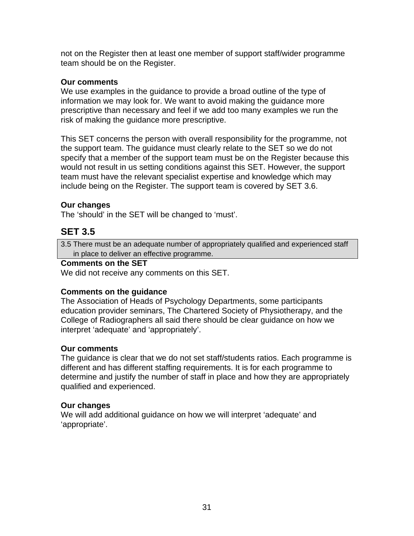not on the Register then at least one member of support staff/wider programme team should be on the Register.

#### **Our comments**

We use examples in the guidance to provide a broad outline of the type of information we may look for. We want to avoid making the guidance more prescriptive than necessary and feel if we add too many examples we run the risk of making the guidance more prescriptive.

This SET concerns the person with overall responsibility for the programme, not the support team. The guidance must clearly relate to the SET so we do not specify that a member of the support team must be on the Register because this would not result in us setting conditions against this SET. However, the support team must have the relevant specialist expertise and knowledge which may include being on the Register. The support team is covered by SET 3.6.

### **Our changes**

The 'should' in the SET will be changed to 'must'.

## **SET 3.5**

3.5 There must be an adequate number of appropriately qualified and experienced staff in place to deliver an effective programme.

#### **Comments on the SET**

We did not receive any comments on this SET.

#### **Comments on the guidance**

The Association of Heads of Psychology Departments, some participants education provider seminars, The Chartered Society of Physiotherapy, and the College of Radiographers all said there should be clear guidance on how we interpret 'adequate' and 'appropriately'.

#### **Our comments**

The guidance is clear that we do not set staff/students ratios. Each programme is different and has different staffing requirements. It is for each programme to determine and justify the number of staff in place and how they are appropriately qualified and experienced.

#### **Our changes**

We will add additional guidance on how we will interpret 'adequate' and 'appropriate'.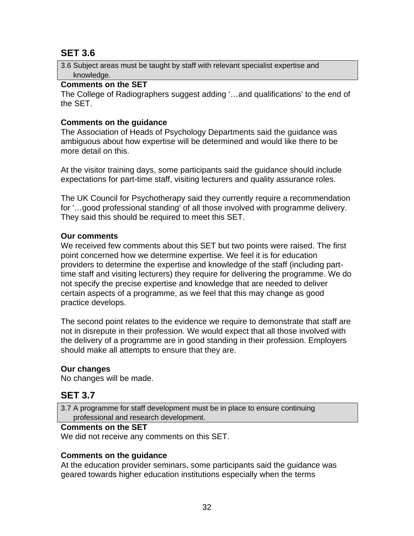## **SET 3.6**

3.6 Subject areas must be taught by staff with relevant specialist expertise and knowledge.

### **Comments on the SET**

The College of Radiographers suggest adding '…and qualifications' to the end of the SET.

## **Comments on the guidance**

The Association of Heads of Psychology Departments said the guidance was ambiguous about how expertise will be determined and would like there to be more detail on this.

At the visitor training days, some participants said the guidance should include expectations for part-time staff, visiting lecturers and quality assurance roles.

The UK Council for Psychotherapy said they currently require a recommendation for '…good professional standing' of all those involved with programme delivery. They said this should be required to meet this SET.

## **Our comments**

We received few comments about this SET but two points were raised. The first point concerned how we determine expertise. We feel it is for education providers to determine the expertise and knowledge of the staff (including parttime staff and visiting lecturers) they require for delivering the programme. We do not specify the precise expertise and knowledge that are needed to deliver certain aspects of a programme, as we feel that this may change as good practice develops.

The second point relates to the evidence we require to demonstrate that staff are not in disrepute in their profession. We would expect that all those involved with the delivery of a programme are in good standing in their profession. Employers should make all attempts to ensure that they are.

## **Our changes**

No changes will be made.

## **SET 3.7**

3.7 A programme for staff development must be in place to ensure continuing professional and research development.

## **Comments on the SET**

We did not receive any comments on this SET.

## **Comments on the guidance**

At the education provider seminars, some participants said the guidance was geared towards higher education institutions especially when the terms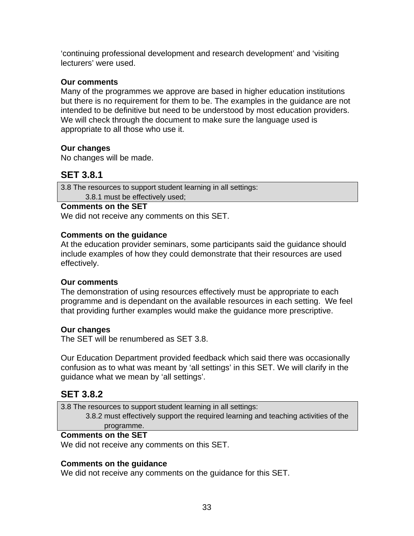'continuing professional development and research development' and 'visiting lecturers' were used.

#### **Our comments**

Many of the programmes we approve are based in higher education institutions but there is no requirement for them to be. The examples in the guidance are not intended to be definitive but need to be understood by most education providers. We will check through the document to make sure the language used is appropriate to all those who use it.

### **Our changes**

No changes will be made.

## **SET 3.8.1**

3.8 The resources to support student learning in all settings: 3.8.1 must be effectively used;

#### **Comments on the SET**

We did not receive any comments on this SET.

### **Comments on the guidance**

At the education provider seminars, some participants said the guidance should include examples of how they could demonstrate that their resources are used effectively.

#### **Our comments**

The demonstration of using resources effectively must be appropriate to each programme and is dependant on the available resources in each setting. We feel that providing further examples would make the guidance more prescriptive.

#### **Our changes**

The SET will be renumbered as SET 3.8.

Our Education Department provided feedback which said there was occasionally confusion as to what was meant by 'all settings' in this SET. We will clarify in the guidance what we mean by 'all settings'.

## **SET 3.8.2**

3.8 The resources to support student learning in all settings: 3.8.2 must effectively support the required learning and teaching activities of the

#### programme. **Comments on the SET**

We did not receive any comments on this SET.

## **Comments on the guidance**

We did not receive any comments on the guidance for this SET.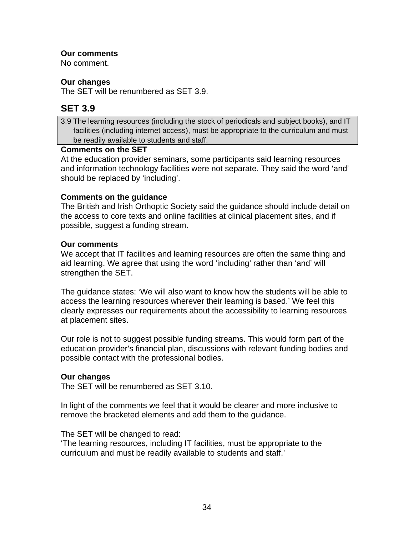### **Our comments**

No comment.

### **Our changes**

The SET will be renumbered as SET 3.9.

## **SET 3.9**

3.9 The learning resources (including the stock of periodicals and subject books), and IT facilities (including internet access), must be appropriate to the curriculum and must be readily available to students and staff.

#### **Comments on the SET**

At the education provider seminars, some participants said learning resources and information technology facilities were not separate. They said the word 'and' should be replaced by 'including'.

### **Comments on the guidance**

The British and Irish Orthoptic Society said the guidance should include detail on the access to core texts and online facilities at clinical placement sites, and if possible, suggest a funding stream.

#### **Our comments**

We accept that IT facilities and learning resources are often the same thing and aid learning. We agree that using the word 'including' rather than 'and' will strengthen the SET.

The guidance states: 'We will also want to know how the students will be able to access the learning resources wherever their learning is based.' We feel this clearly expresses our requirements about the accessibility to learning resources at placement sites.

Our role is not to suggest possible funding streams. This would form part of the education provider's financial plan, discussions with relevant funding bodies and possible contact with the professional bodies.

## **Our changes**

The SET will be renumbered as SET 3.10.

In light of the comments we feel that it would be clearer and more inclusive to remove the bracketed elements and add them to the guidance.

#### The SET will be changed to read:

'The learning resources, including IT facilities, must be appropriate to the curriculum and must be readily available to students and staff.'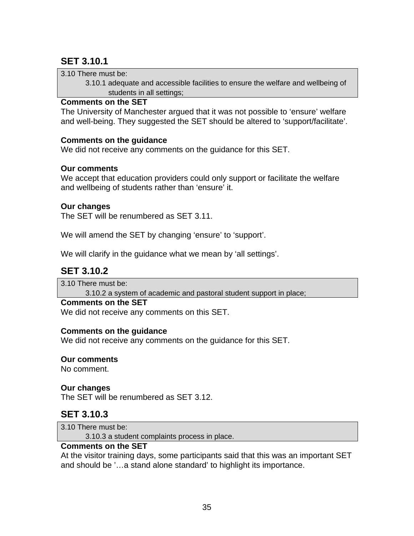# **SET 3.10.1**

3.10 There must be:

 3.10.1 adequate and accessible facilities to ensure the welfare and wellbeing of students in all settings;

#### **Comments on the SET**

The University of Manchester argued that it was not possible to 'ensure' welfare and well-being. They suggested the SET should be altered to 'support/facilitate'.

#### **Comments on the guidance**

We did not receive any comments on the guidance for this SET.

#### **Our comments**

We accept that education providers could only support or facilitate the welfare and wellbeing of students rather than 'ensure' it.

#### **Our changes**

The SET will be renumbered as SET 3.11.

We will amend the SET by changing 'ensure' to 'support'.

We will clarify in the guidance what we mean by 'all settings'.

## **SET 3.10.2**

3.10 There must be:

3.10.2 a system of academic and pastoral student support in place;

#### **Comments on the SET**

We did not receive any comments on this SET.

#### **Comments on the guidance**

We did not receive any comments on the guidance for this SET.

#### **Our comments**

No comment.

#### **Our changes**

The SET will be renumbered as SET 3.12.

## **SET 3.10.3**

3.10 There must be:

3.10.3 a student complaints process in place.

#### **Comments on the SET**

At the visitor training days, some participants said that this was an important SET and should be '…a stand alone standard' to highlight its importance.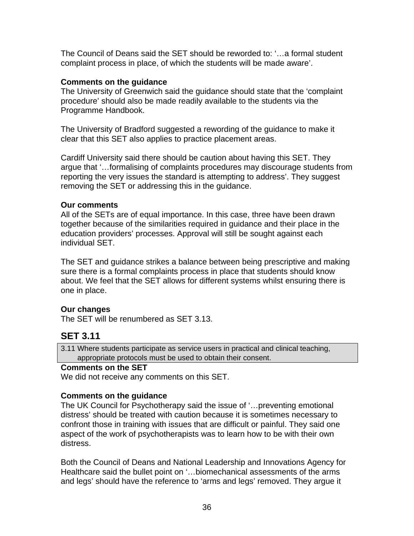The Council of Deans said the SET should be reworded to: '…a formal student complaint process in place, of which the students will be made aware'.

### **Comments on the guidance**

The University of Greenwich said the guidance should state that the 'complaint procedure' should also be made readily available to the students via the Programme Handbook.

The University of Bradford suggested a rewording of the guidance to make it clear that this SET also applies to practice placement areas.

Cardiff University said there should be caution about having this SET. They argue that '…formalising of complaints procedures may discourage students from reporting the very issues the standard is attempting to address'. They suggest removing the SET or addressing this in the guidance.

### **Our comments**

All of the SETs are of equal importance. In this case, three have been drawn together because of the similarities required in guidance and their place in the education providers' processes. Approval will still be sought against each individual SET.

The SET and guidance strikes a balance between being prescriptive and making sure there is a formal complaints process in place that students should know about. We feel that the SET allows for different systems whilst ensuring there is one in place.

## **Our changes**

The SET will be renumbered as SET 3.13.

# **SET 3.11**

3.11 Where students participate as service users in practical and clinical teaching, appropriate protocols must be used to obtain their consent.

## **Comments on the SET**

We did not receive any comments on this SET.

## **Comments on the guidance**

The UK Council for Psychotherapy said the issue of '…preventing emotional distress' should be treated with caution because it is sometimes necessary to confront those in training with issues that are difficult or painful. They said one aspect of the work of psychotherapists was to learn how to be with their own distress.

Both the Council of Deans and National Leadership and Innovations Agency for Healthcare said the bullet point on '...biomechanical assessments of the arms and legs' should have the reference to 'arms and legs' removed. They argue it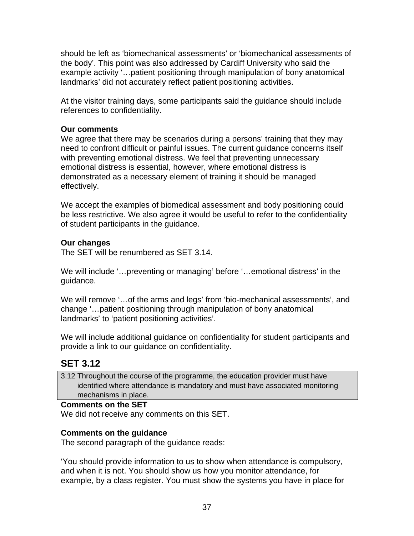should be left as 'biomechanical assessments' or 'biomechanical assessments of the body'. This point was also addressed by Cardiff University who said the example activity '…patient positioning through manipulation of bony anatomical landmarks' did not accurately reflect patient positioning activities.

At the visitor training days, some participants said the guidance should include references to confidentiality.

### **Our comments**

We agree that there may be scenarios during a persons' training that they may need to confront difficult or painful issues. The current guidance concerns itself with preventing emotional distress. We feel that preventing unnecessary emotional distress is essential, however, where emotional distress is demonstrated as a necessary element of training it should be managed effectively.

We accept the examples of biomedical assessment and body positioning could be less restrictive. We also agree it would be useful to refer to the confidentiality of student participants in the guidance.

### **Our changes**

The SET will be renumbered as SET 3.14.

We will include '…preventing or managing' before '…emotional distress' in the guidance.

We will remove '…of the arms and legs' from 'bio-mechanical assessments', and change '…patient positioning through manipulation of bony anatomical landmarks' to 'patient positioning activities'.

We will include additional guidance on confidentiality for student participants and provide a link to our guidance on confidentiality.

# **SET 3.12**

3.12 Throughout the course of the programme, the education provider must have identified where attendance is mandatory and must have associated monitoring mechanisms in place.

#### **Comments on the SET**

We did not receive any comments on this SET.

#### **Comments on the guidance**

The second paragraph of the guidance reads:

'You should provide information to us to show when attendance is compulsory, and when it is not. You should show us how you monitor attendance, for example, by a class register. You must show the systems you have in place for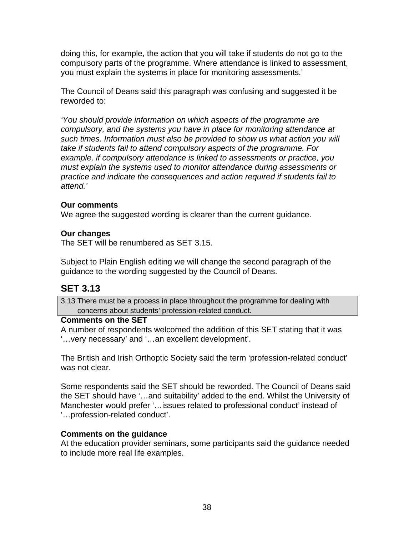doing this, for example, the action that you will take if students do not go to the compulsory parts of the programme. Where attendance is linked to assessment, you must explain the systems in place for monitoring assessments.'

The Council of Deans said this paragraph was confusing and suggested it be reworded to:

*'You should provide information on which aspects of the programme are compulsory, and the systems you have in place for monitoring attendance at such times. Information must also be provided to show us what action you will take if students fail to attend compulsory aspects of the programme. For example, if compulsory attendance is linked to assessments or practice, you must explain the systems used to monitor attendance during assessments or practice and indicate the consequences and action required if students fail to attend.'* 

#### **Our comments**

We agree the suggested wording is clearer than the current guidance.

### **Our changes**

The SET will be renumbered as SET 3.15.

Subject to Plain English editing we will change the second paragraph of the guidance to the wording suggested by the Council of Deans.

# **SET 3.13**

3.13 There must be a process in place throughout the programme for dealing with concerns about students' profession-related conduct.

#### **Comments on the SET**

A number of respondents welcomed the addition of this SET stating that it was '…very necessary' and '…an excellent development'.

The British and Irish Orthoptic Society said the term 'profession-related conduct' was not clear.

Some respondents said the SET should be reworded. The Council of Deans said the SET should have '…and suitability' added to the end. Whilst the University of Manchester would prefer '…issues related to professional conduct' instead of '…profession-related conduct'.

## **Comments on the guidance**

At the education provider seminars, some participants said the guidance needed to include more real life examples.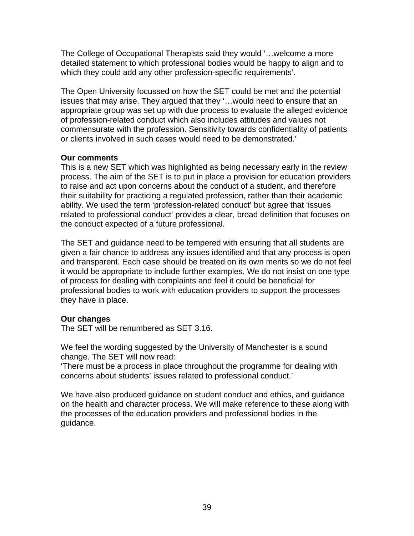The College of Occupational Therapists said they would '…welcome a more detailed statement to which professional bodies would be happy to align and to which they could add any other profession-specific requirements'.

The Open University focussed on how the SET could be met and the potential issues that may arise. They argued that they '…would need to ensure that an appropriate group was set up with due process to evaluate the alleged evidence of profession-related conduct which also includes attitudes and values not commensurate with the profession. Sensitivity towards confidentiality of patients or clients involved in such cases would need to be demonstrated.'

#### **Our comments**

This is a new SET which was highlighted as being necessary early in the review process. The aim of the SET is to put in place a provision for education providers to raise and act upon concerns about the conduct of a student, and therefore their suitability for practicing a regulated profession, rather than their academic ability. We used the term 'profession-related conduct' but agree that 'issues related to professional conduct' provides a clear, broad definition that focuses on the conduct expected of a future professional.

The SET and guidance need to be tempered with ensuring that all students are given a fair chance to address any issues identified and that any process is open and transparent. Each case should be treated on its own merits so we do not feel it would be appropriate to include further examples. We do not insist on one type of process for dealing with complaints and feel it could be beneficial for professional bodies to work with education providers to support the processes they have in place.

#### **Our changes**

The SET will be renumbered as SET 3.16.

We feel the wording suggested by the University of Manchester is a sound change. The SET will now read:

'There must be a process in place throughout the programme for dealing with concerns about students' issues related to professional conduct.'

We have also produced guidance on student conduct and ethics, and guidance on the health and character process. We will make reference to these along with the processes of the education providers and professional bodies in the guidance.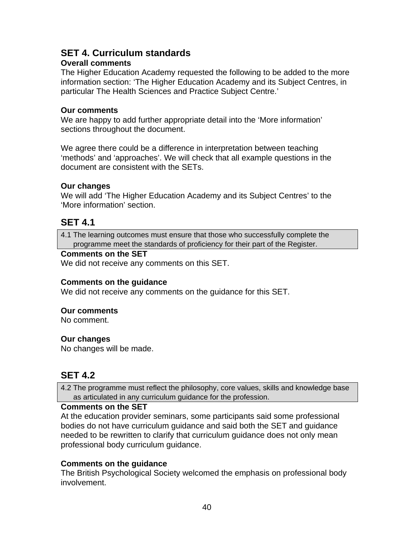# **SET 4. Curriculum standards**

### **Overall comments**

The Higher Education Academy requested the following to be added to the more information section: 'The Higher Education Academy and its Subject Centres, in particular The Health Sciences and Practice Subject Centre.'

#### **Our comments**

We are happy to add further appropriate detail into the 'More information' sections throughout the document.

We agree there could be a difference in interpretation between teaching 'methods' and 'approaches'. We will check that all example questions in the document are consistent with the SETs.

#### **Our changes**

We will add 'The Higher Education Academy and its Subject Centres' to the 'More information' section.

## **SET 4.1**

4.1 The learning outcomes must ensure that those who successfully complete the programme meet the standards of proficiency for their part of the Register.

### **Comments on the SET**

We did not receive any comments on this SET.

#### **Comments on the guidance**

We did not receive any comments on the guidance for this SET.

#### **Our comments**

No comment.

#### **Our changes**

No changes will be made.

## **SET 4.2**

4.2 The programme must reflect the philosophy, core values, skills and knowledge base as articulated in any curriculum guidance for the profession.

#### **Comments on the SET**

At the education provider seminars, some participants said some professional bodies do not have curriculum guidance and said both the SET and guidance needed to be rewritten to clarify that curriculum guidance does not only mean professional body curriculum guidance.

#### **Comments on the guidance**

The British Psychological Society welcomed the emphasis on professional body involvement.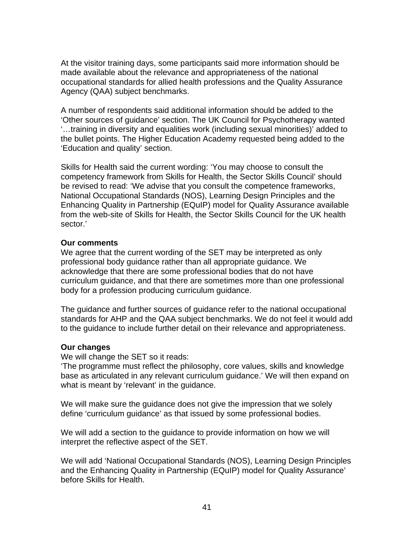At the visitor training days, some participants said more information should be made available about the relevance and appropriateness of the national occupational standards for allied health professions and the Quality Assurance Agency (QAA) subject benchmarks.

A number of respondents said additional information should be added to the 'Other sources of guidance' section. The UK Council for Psychotherapy wanted '…training in diversity and equalities work (including sexual minorities)' added to the bullet points. The Higher Education Academy requested being added to the 'Education and quality' section.

Skills for Health said the current wording: 'You may choose to consult the competency framework from Skills for Health, the Sector Skills Council' should be revised to read: 'We advise that you consult the competence frameworks, National Occupational Standards (NOS), Learning Design Principles and the Enhancing Quality in Partnership (EQuIP) model for Quality Assurance available from the web-site of Skills for Health, the Sector Skills Council for the UK health sector.'

#### **Our comments**

We agree that the current wording of the SET may be interpreted as only professional body guidance rather than all appropriate guidance. We acknowledge that there are some professional bodies that do not have curriculum guidance, and that there are sometimes more than one professional body for a profession producing curriculum guidance.

The guidance and further sources of guidance refer to the national occupational standards for AHP and the QAA subject benchmarks. We do not feel it would add to the guidance to include further detail on their relevance and appropriateness.

#### **Our changes**

We will change the SET so it reads:

'The programme must reflect the philosophy, core values, skills and knowledge base as articulated in any relevant curriculum guidance.' We will then expand on what is meant by 'relevant' in the guidance.

We will make sure the guidance does not give the impression that we solely define 'curriculum guidance' as that issued by some professional bodies.

We will add a section to the guidance to provide information on how we will interpret the reflective aspect of the SET.

We will add 'National Occupational Standards (NOS), Learning Design Principles and the Enhancing Quality in Partnership (EQuIP) model for Quality Assurance' before Skills for Health.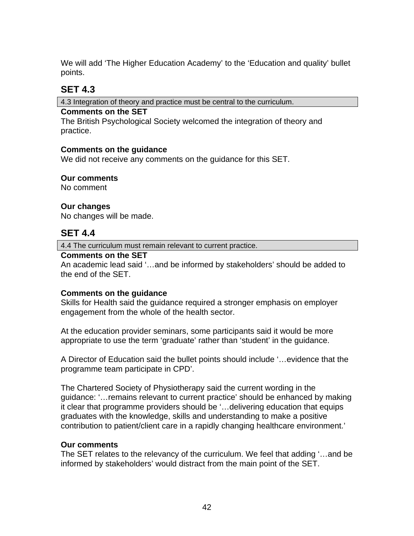We will add 'The Higher Education Academy' to the 'Education and quality' bullet points.

## **SET 4.3**

4.3 Integration of theory and practice must be central to the curriculum.

### **Comments on the SET**

The British Psychological Society welcomed the integration of theory and practice.

### **Comments on the guidance**

We did not receive any comments on the guidance for this SET.

### **Our comments**

No comment

### **Our changes**

No changes will be made.

## **SET 4.4**

4.4 The curriculum must remain relevant to current practice.

### **Comments on the SET**

An academic lead said '…and be informed by stakeholders' should be added to the end of the SET.

## **Comments on the guidance**

Skills for Health said the guidance required a stronger emphasis on employer engagement from the whole of the health sector.

At the education provider seminars, some participants said it would be more appropriate to use the term 'graduate' rather than 'student' in the guidance.

A Director of Education said the bullet points should include '…evidence that the programme team participate in CPD'.

The Chartered Society of Physiotherapy said the current wording in the guidance: '…remains relevant to current practice' should be enhanced by making it clear that programme providers should be '…delivering education that equips graduates with the knowledge, skills and understanding to make a positive contribution to patient/client care in a rapidly changing healthcare environment.'

## **Our comments**

The SET relates to the relevancy of the curriculum. We feel that adding '…and be informed by stakeholders' would distract from the main point of the SET.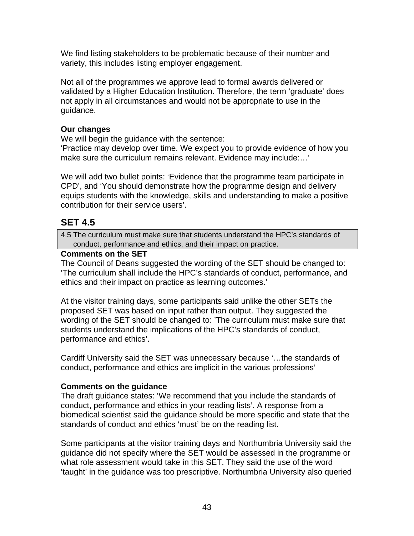We find listing stakeholders to be problematic because of their number and variety, this includes listing employer engagement.

Not all of the programmes we approve lead to formal awards delivered or validated by a Higher Education Institution. Therefore, the term 'graduate' does not apply in all circumstances and would not be appropriate to use in the guidance.

### **Our changes**

We will begin the guidance with the sentence:

'Practice may develop over time. We expect you to provide evidence of how you make sure the curriculum remains relevant. Evidence may include:…'

We will add two bullet points: 'Evidence that the programme team participate in CPD', and 'You should demonstrate how the programme design and delivery equips students with the knowledge, skills and understanding to make a positive contribution for their service users'.

# **SET 4.5**

4.5 The curriculum must make sure that students understand the HPC's standards of conduct, performance and ethics, and their impact on practice.

## **Comments on the SET**

The Council of Deans suggested the wording of the SET should be changed to: 'The curriculum shall include the HPC's standards of conduct, performance, and ethics and their impact on practice as learning outcomes.'

At the visitor training days, some participants said unlike the other SETs the proposed SET was based on input rather than output. They suggested the wording of the SET should be changed to: 'The curriculum must make sure that students understand the implications of the HPC's standards of conduct, performance and ethics'.

Cardiff University said the SET was unnecessary because '…the standards of conduct, performance and ethics are implicit in the various professions'

#### **Comments on the guidance**

The draft guidance states: 'We recommend that you include the standards of conduct, performance and ethics in your reading lists'. A response from a biomedical scientist said the guidance should be more specific and state that the standards of conduct and ethics 'must' be on the reading list.

Some participants at the visitor training days and Northumbria University said the guidance did not specify where the SET would be assessed in the programme or what role assessment would take in this SET. They said the use of the word 'taught' in the guidance was too prescriptive. Northumbria University also queried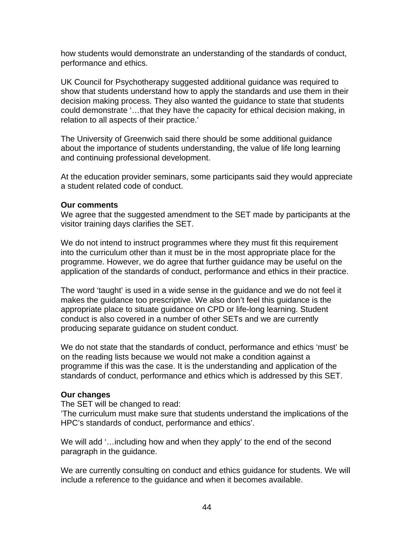how students would demonstrate an understanding of the standards of conduct, performance and ethics.

UK Council for Psychotherapy suggested additional guidance was required to show that students understand how to apply the standards and use them in their decision making process. They also wanted the guidance to state that students could demonstrate '…that they have the capacity for ethical decision making, in relation to all aspects of their practice.'

The University of Greenwich said there should be some additional guidance about the importance of students understanding, the value of life long learning and continuing professional development.

At the education provider seminars, some participants said they would appreciate a student related code of conduct.

#### **Our comments**

We agree that the suggested amendment to the SET made by participants at the visitor training days clarifies the SET.

We do not intend to instruct programmes where they must fit this requirement into the curriculum other than it must be in the most appropriate place for the programme. However, we do agree that further guidance may be useful on the application of the standards of conduct, performance and ethics in their practice.

The word 'taught' is used in a wide sense in the guidance and we do not feel it makes the guidance too prescriptive. We also don't feel this guidance is the appropriate place to situate guidance on CPD or life-long learning. Student conduct is also covered in a number of other SETs and we are currently producing separate guidance on student conduct.

We do not state that the standards of conduct, performance and ethics 'must' be on the reading lists because we would not make a condition against a programme if this was the case. It is the understanding and application of the standards of conduct, performance and ethics which is addressed by this SET.

#### **Our changes**

The SET will be changed to read:

'The curriculum must make sure that students understand the implications of the HPC's standards of conduct, performance and ethics'.

We will add '...including how and when they apply' to the end of the second paragraph in the guidance.

We are currently consulting on conduct and ethics guidance for students. We will include a reference to the guidance and when it becomes available.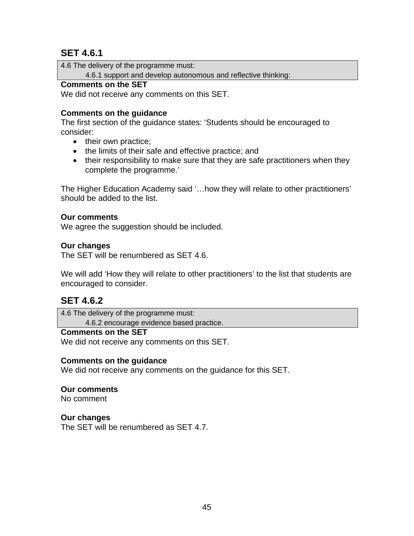# **SET 4.6.1**

4.6 The delivery of the programme must:

4.6.1 support and develop autonomous and reflective thinking:

#### **Comments on the SET**

We did not receive any comments on this SET.

## **Comments on the guidance**

The first section of the guidance states: 'Students should be encouraged to consider:

- their own practice;
- the limits of their safe and effective practice; and
- their responsibility to make sure that they are safe practitioners when they complete the programme.'

The Higher Education Academy said '…how they will relate to other practitioners' should be added to the list.

#### **Our comments**

We agree the suggestion should be included.

#### **Our changes**

The SET will be renumbered as SET 4.6.

We will add 'How they will relate to other practitioners' to the list that students are encouraged to consider.

# **SET 4.6.2**

4.6 The delivery of the programme must: 4.6.2 encourage evidence based practice.

#### **Comments on the SET**

We did not receive any comments on this SET.

#### **Comments on the guidance**

We did not receive any comments on the guidance for this SET.

#### **Our comments**

No comment

#### **Our changes**

The SET will be renumbered as SET 4.7.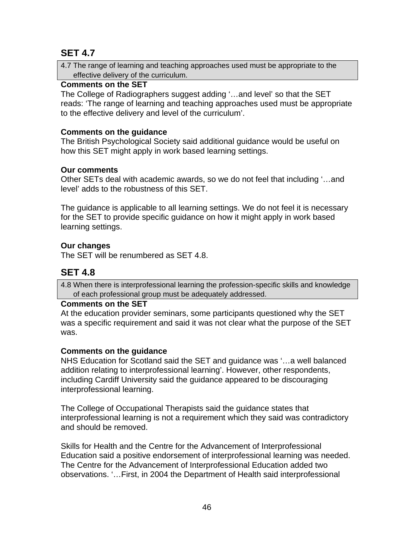# **SET 4.7**

4.7 The range of learning and teaching approaches used must be appropriate to the effective delivery of the curriculum.

## **Comments on the SET**

The College of Radiographers suggest adding '…and level' so that the SET reads: 'The range of learning and teaching approaches used must be appropriate to the effective delivery and level of the curriculum'.

## **Comments on the guidance**

The British Psychological Society said additional guidance would be useful on how this SET might apply in work based learning settings.

## **Our comments**

Other SETs deal with academic awards, so we do not feel that including '…and level' adds to the robustness of this SET.

The guidance is applicable to all learning settings. We do not feel it is necessary for the SET to provide specific guidance on how it might apply in work based learning settings.

## **Our changes**

The SET will be renumbered as SET 4.8.

# **SET 4.8**

4.8 When there is interprofessional learning the profession-specific skills and knowledge of each professional group must be adequately addressed.

## **Comments on the SET**

At the education provider seminars, some participants questioned why the SET was a specific requirement and said it was not clear what the purpose of the SET was.

## **Comments on the guidance**

NHS Education for Scotland said the SET and guidance was '…a well balanced addition relating to interprofessional learning'. However, other respondents, including Cardiff University said the guidance appeared to be discouraging interprofessional learning.

The College of Occupational Therapists said the guidance states that interprofessional learning is not a requirement which they said was contradictory and should be removed.

Skills for Health and the Centre for the Advancement of Interprofessional Education said a positive endorsement of interprofessional learning was needed. The Centre for the Advancement of Interprofessional Education added two observations. '…First, in 2004 the Department of Health said interprofessional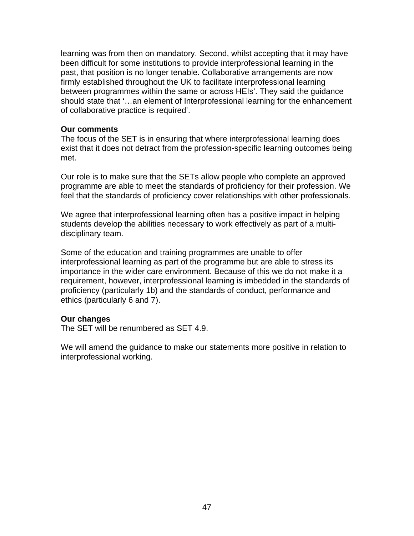learning was from then on mandatory. Second, whilst accepting that it may have been difficult for some institutions to provide interprofessional learning in the past, that position is no longer tenable. Collaborative arrangements are now firmly established throughout the UK to facilitate interprofessional learning between programmes within the same or across HEIs'. They said the guidance should state that '…an element of Interprofessional learning for the enhancement of collaborative practice is required'.

#### **Our comments**

The focus of the SET is in ensuring that where interprofessional learning does exist that it does not detract from the profession-specific learning outcomes being met.

Our role is to make sure that the SETs allow people who complete an approved programme are able to meet the standards of proficiency for their profession. We feel that the standards of proficiency cover relationships with other professionals.

We agree that interprofessional learning often has a positive impact in helping students develop the abilities necessary to work effectively as part of a multidisciplinary team.

Some of the education and training programmes are unable to offer interprofessional learning as part of the programme but are able to stress its importance in the wider care environment. Because of this we do not make it a requirement, however, interprofessional learning is imbedded in the standards of proficiency (particularly 1b) and the standards of conduct, performance and ethics (particularly 6 and 7).

#### **Our changes**

The SET will be renumbered as SET 4.9.

We will amend the guidance to make our statements more positive in relation to interprofessional working.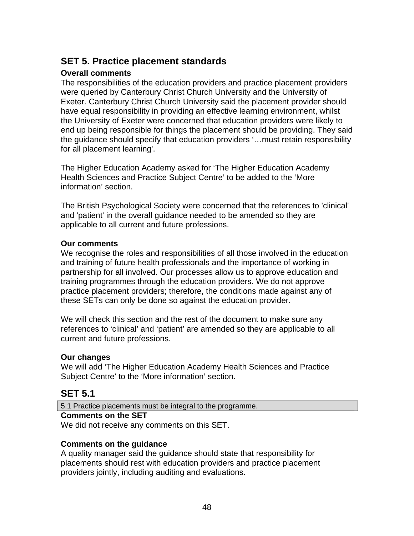# **SET 5. Practice placement standards**

## **Overall comments**

The responsibilities of the education providers and practice placement providers were queried by Canterbury Christ Church University and the University of Exeter. Canterbury Christ Church University said the placement provider should have equal responsibility in providing an effective learning environment, whilst the University of Exeter were concerned that education providers were likely to end up being responsible for things the placement should be providing. They said the guidance should specify that education providers '…must retain responsibility for all placement learning'.

The Higher Education Academy asked for 'The Higher Education Academy Health Sciences and Practice Subject Centre' to be added to the 'More information' section.

The British Psychological Society were concerned that the references to 'clinical' and 'patient' in the overall guidance needed to be amended so they are applicable to all current and future professions.

#### **Our comments**

We recognise the roles and responsibilities of all those involved in the education and training of future health professionals and the importance of working in partnership for all involved. Our processes allow us to approve education and training programmes through the education providers. We do not approve practice placement providers; therefore, the conditions made against any of these SETs can only be done so against the education provider.

We will check this section and the rest of the document to make sure any references to 'clinical' and 'patient' are amended so they are applicable to all current and future professions.

#### **Our changes**

We will add 'The Higher Education Academy Health Sciences and Practice Subject Centre' to the 'More information' section.

# **SET 5.1**

5.1 Practice placements must be integral to the programme.

#### **Comments on the SET**

We did not receive any comments on this SET.

## **Comments on the guidance**

A quality manager said the guidance should state that responsibility for placements should rest with education providers and practice placement providers jointly, including auditing and evaluations.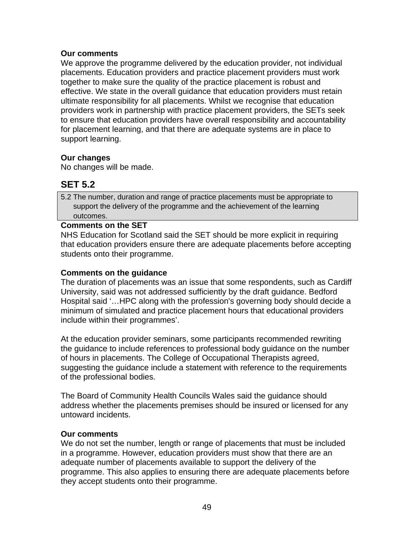#### **Our comments**

We approve the programme delivered by the education provider, not individual placements. Education providers and practice placement providers must work together to make sure the quality of the practice placement is robust and effective. We state in the overall guidance that education providers must retain ultimate responsibility for all placements. Whilst we recognise that education providers work in partnership with practice placement providers, the SETs seek to ensure that education providers have overall responsibility and accountability for placement learning, and that there are adequate systems are in place to support learning.

## **Our changes**

No changes will be made.

# **SET 5.2**

5.2 The number, duration and range of practice placements must be appropriate to support the delivery of the programme and the achievement of the learning outcomes.

### **Comments on the SET**

NHS Education for Scotland said the SET should be more explicit in requiring that education providers ensure there are adequate placements before accepting students onto their programme.

## **Comments on the guidance**

The duration of placements was an issue that some respondents, such as Cardiff University, said was not addressed sufficiently by the draft guidance. Bedford Hospital said '…HPC along with the profession's governing body should decide a minimum of simulated and practice placement hours that educational providers include within their programmes'.

At the education provider seminars, some participants recommended rewriting the guidance to include references to professional body guidance on the number of hours in placements. The College of Occupational Therapists agreed, suggesting the guidance include a statement with reference to the requirements of the professional bodies.

The Board of Community Health Councils Wales said the guidance should address whether the placements premises should be insured or licensed for any untoward incidents.

## **Our comments**

We do not set the number, length or range of placements that must be included in a programme. However, education providers must show that there are an adequate number of placements available to support the delivery of the programme. This also applies to ensuring there are adequate placements before they accept students onto their programme.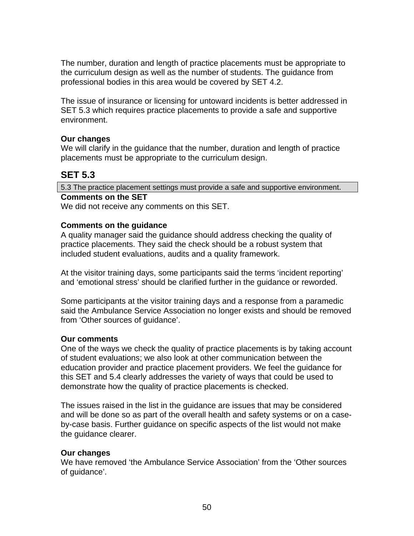The number, duration and length of practice placements must be appropriate to the curriculum design as well as the number of students. The guidance from professional bodies in this area would be covered by SET 4.2.

The issue of insurance or licensing for untoward incidents is better addressed in SET 5.3 which requires practice placements to provide a safe and supportive environment.

### **Our changes**

We will clarify in the guidance that the number, duration and length of practice placements must be appropriate to the curriculum design.

# **SET 5.3**

5.3 The practice placement settings must provide a safe and supportive environment.

#### **Comments on the SET**

We did not receive any comments on this SET.

#### **Comments on the guidance**

A quality manager said the guidance should address checking the quality of practice placements. They said the check should be a robust system that included student evaluations, audits and a quality framework.

At the visitor training days, some participants said the terms 'incident reporting' and 'emotional stress' should be clarified further in the guidance or reworded.

Some participants at the visitor training days and a response from a paramedic said the Ambulance Service Association no longer exists and should be removed from 'Other sources of guidance'.

#### **Our comments**

One of the ways we check the quality of practice placements is by taking account of student evaluations; we also look at other communication between the education provider and practice placement providers. We feel the guidance for this SET and 5.4 clearly addresses the variety of ways that could be used to demonstrate how the quality of practice placements is checked.

The issues raised in the list in the guidance are issues that may be considered and will be done so as part of the overall health and safety systems or on a caseby-case basis. Further guidance on specific aspects of the list would not make the guidance clearer.

#### **Our changes**

We have removed 'the Ambulance Service Association' from the 'Other sources of guidance'.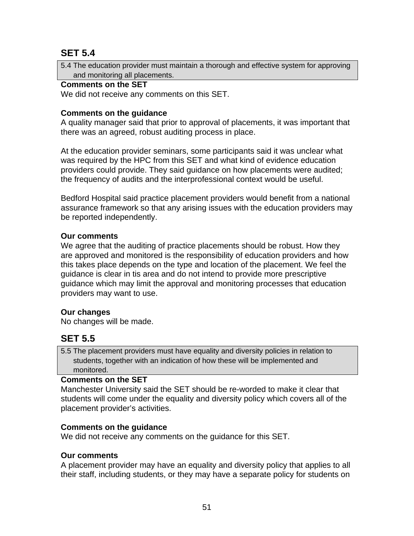# **SET 5.4**

5.4 The education provider must maintain a thorough and effective system for approving and monitoring all placements.

## **Comments on the SET**

We did not receive any comments on this SET.

## **Comments on the guidance**

A quality manager said that prior to approval of placements, it was important that there was an agreed, robust auditing process in place.

At the education provider seminars, some participants said it was unclear what was required by the HPC from this SET and what kind of evidence education providers could provide. They said guidance on how placements were audited; the frequency of audits and the interprofessional context would be useful.

Bedford Hospital said practice placement providers would benefit from a national assurance framework so that any arising issues with the education providers may be reported independently.

### **Our comments**

We agree that the auditing of practice placements should be robust. How they are approved and monitored is the responsibility of education providers and how this takes place depends on the type and location of the placement. We feel the guidance is clear in tis area and do not intend to provide more prescriptive guidance which may limit the approval and monitoring processes that education providers may want to use.

## **Our changes**

No changes will be made.

# **SET 5.5**

5.5 The placement providers must have equality and diversity policies in relation to students, together with an indication of how these will be implemented and monitored.

#### **Comments on the SET**

Manchester University said the SET should be re-worded to make it clear that students will come under the equality and diversity policy which covers all of the placement provider's activities.

## **Comments on the guidance**

We did not receive any comments on the guidance for this SET.

## **Our comments**

A placement provider may have an equality and diversity policy that applies to all their staff, including students, or they may have a separate policy for students on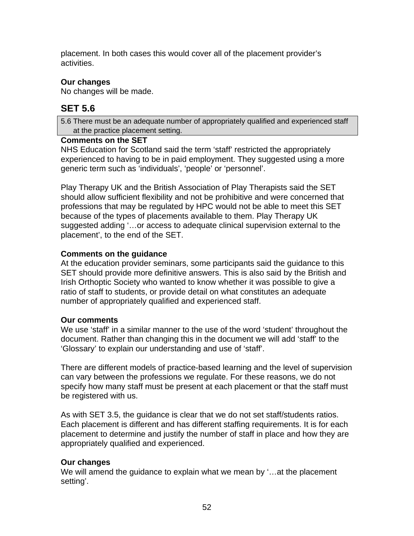placement. In both cases this would cover all of the placement provider's activities.

## **Our changes**

No changes will be made.

# **SET 5.6**

5.6 There must be an adequate number of appropriately qualified and experienced staff at the practice placement setting.

### **Comments on the SET**

NHS Education for Scotland said the term 'staff' restricted the appropriately experienced to having to be in paid employment. They suggested using a more generic term such as 'individuals', 'people' or 'personnel'.

Play Therapy UK and the British Association of Play Therapists said the SET should allow sufficient flexibility and not be prohibitive and were concerned that professions that may be regulated by HPC would not be able to meet this SET because of the types of placements available to them. Play Therapy UK suggested adding '…or access to adequate clinical supervision external to the placement', to the end of the SET.

## **Comments on the guidance**

At the education provider seminars, some participants said the guidance to this SET should provide more definitive answers. This is also said by the British and Irish Orthoptic Society who wanted to know whether it was possible to give a ratio of staff to students, or provide detail on what constitutes an adequate number of appropriately qualified and experienced staff.

## **Our comments**

We use 'staff' in a similar manner to the use of the word 'student' throughout the document. Rather than changing this in the document we will add 'staff' to the 'Glossary' to explain our understanding and use of 'staff'.

There are different models of practice-based learning and the level of supervision can vary between the professions we regulate. For these reasons, we do not specify how many staff must be present at each placement or that the staff must be registered with us.

As with SET 3.5, the guidance is clear that we do not set staff/students ratios. Each placement is different and has different staffing requirements. It is for each placement to determine and justify the number of staff in place and how they are appropriately qualified and experienced.

## **Our changes**

We will amend the guidance to explain what we mean by '…at the placement setting'.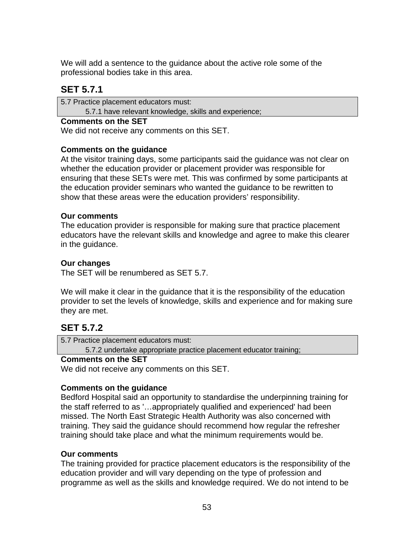We will add a sentence to the guidance about the active role some of the professional bodies take in this area.

# **SET 5.7.1**

5.7 Practice placement educators must:

5.7.1 have relevant knowledge, skills and experience;

### **Comments on the SET**

We did not receive any comments on this SET.

## **Comments on the guidance**

At the visitor training days, some participants said the guidance was not clear on whether the education provider or placement provider was responsible for ensuring that these SETs were met. This was confirmed by some participants at the education provider seminars who wanted the guidance to be rewritten to show that these areas were the education providers' responsibility.

### **Our comments**

The education provider is responsible for making sure that practice placement educators have the relevant skills and knowledge and agree to make this clearer in the guidance.

### **Our changes**

The SET will be renumbered as SET 5.7.

We will make it clear in the guidance that it is the responsibility of the education provider to set the levels of knowledge, skills and experience and for making sure they are met.

# **SET 5.7.2**

5.7 Practice placement educators must: 5.7.2 undertake appropriate practice placement educator training;

#### **Comments on the SET**

We did not receive any comments on this SET.

## **Comments on the guidance**

Bedford Hospital said an opportunity to standardise the underpinning training for the staff referred to as '…appropriately qualified and experienced' had been missed. The North East Strategic Health Authority was also concerned with training. They said the guidance should recommend how regular the refresher training should take place and what the minimum requirements would be.

#### **Our comments**

The training provided for practice placement educators is the responsibility of the education provider and will vary depending on the type of profession and programme as well as the skills and knowledge required. We do not intend to be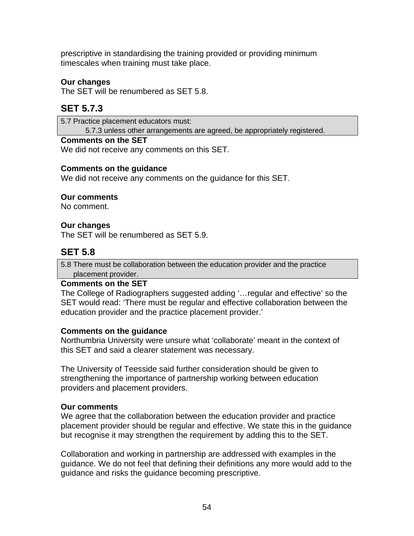prescriptive in standardising the training provided or providing minimum timescales when training must take place.

## **Our changes**

The SET will be renumbered as SET 5.8.

# **SET 5.7.3**

5.7 Practice placement educators must: 5.7.3 unless other arrangements are agreed, be appropriately registered.

#### **Comments on the SET**

We did not receive any comments on this SET.

#### **Comments on the guidance**

We did not receive any comments on the guidance for this SET.

#### **Our comments**

No comment.

#### **Our changes**

The SET will be renumbered as SET 5.9.

## **SET 5.8**

5.8 There must be collaboration between the education provider and the practice placement provider.

#### **Comments on the SET**

The College of Radiographers suggested adding '…regular and effective' so the SET would read: 'There must be regular and effective collaboration between the education provider and the practice placement provider.'

#### **Comments on the guidance**

Northumbria University were unsure what 'collaborate' meant in the context of this SET and said a clearer statement was necessary.

The University of Teesside said further consideration should be given to strengthening the importance of partnership working between education providers and placement providers.

#### **Our comments**

We agree that the collaboration between the education provider and practice placement provider should be regular and effective. We state this in the guidance but recognise it may strengthen the requirement by adding this to the SET.

Collaboration and working in partnership are addressed with examples in the guidance. We do not feel that defining their definitions any more would add to the guidance and risks the guidance becoming prescriptive.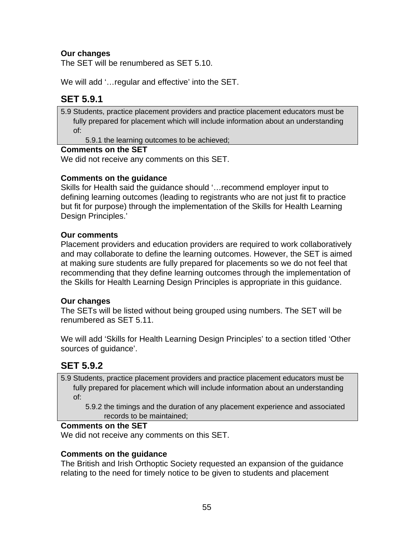## **Our changes**

The SET will be renumbered as SET 5.10.

We will add '…regular and effective' into the SET.

# **SET 5.9.1**

5.9 Students, practice placement providers and practice placement educators must be fully prepared for placement which will include information about an understanding of:

5.9.1 the learning outcomes to be achieved;

#### **Comments on the SET**

We did not receive any comments on this SET.

### **Comments on the guidance**

Skills for Health said the guidance should '…recommend employer input to defining learning outcomes (leading to registrants who are not just fit to practice but fit for purpose) through the implementation of the Skills for Health Learning Design Principles.'

#### **Our comments**

Placement providers and education providers are required to work collaboratively and may collaborate to define the learning outcomes. However, the SET is aimed at making sure students are fully prepared for placements so we do not feel that recommending that they define learning outcomes through the implementation of the Skills for Health Learning Design Principles is appropriate in this guidance.

#### **Our changes**

The SETs will be listed without being grouped using numbers. The SET will be renumbered as SET 5.11.

We will add 'Skills for Health Learning Design Principles' to a section titled 'Other sources of guidance'.

## **SET 5.9.2**

5.9 Students, practice placement providers and practice placement educators must be fully prepared for placement which will include information about an understanding of:

 5.9.2 the timings and the duration of any placement experience and associated records to be maintained;

## **Comments on the SET**

We did not receive any comments on this SET.

#### **Comments on the guidance**

The British and Irish Orthoptic Society requested an expansion of the guidance relating to the need for timely notice to be given to students and placement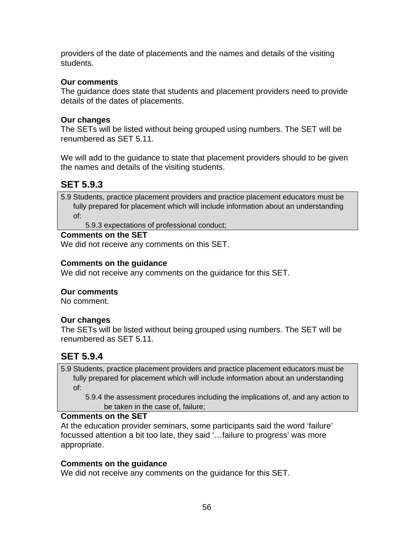providers of the date of placements and the names and details of the visiting students.

#### **Our comments**

The guidance does state that students and placement providers need to provide details of the dates of placements.

#### **Our changes**

The SETs will be listed without being grouped using numbers. The SET will be renumbered as SET 5.11.

We will add to the guidance to state that placement providers should to be given the names and details of the visiting students.

## **SET 5.9.3**

5.9 Students, practice placement providers and practice placement educators must be fully prepared for placement which will include information about an understanding of:

5.9.3 expectations of professional conduct;

#### **Comments on the SET**

We did not receive any comments on this SET.

#### **Comments on the guidance**

We did not receive any comments on the guidance for this SET.

#### **Our comments**

No comment.

#### **Our changes**

The SETs will be listed without being grouped using numbers. The SET will be renumbered as SET 5.11.

## **SET 5.9.4**

5.9 Students, practice placement providers and practice placement educators must be fully prepared for placement which will include information about an understanding of:

 5.9.4 the assessment procedures including the implications of, and any action to be taken in the case of, failure;

#### **Comments on the SET**

At the education provider seminars, some participants said the word 'failure' focussed attention a bit too late, they said '…failure to progress' was more appropriate.

#### **Comments on the guidance**

We did not receive any comments on the guidance for this SET.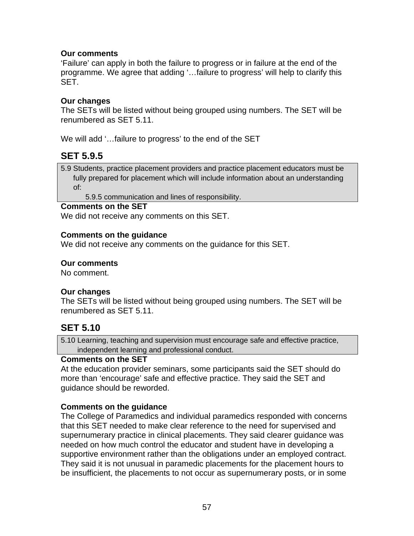### **Our comments**

'Failure' can apply in both the failure to progress or in failure at the end of the programme. We agree that adding '…failure to progress' will help to clarify this SET.

#### **Our changes**

The SETs will be listed without being grouped using numbers. The SET will be renumbered as SET 5.11.

We will add '…failure to progress' to the end of the SET

## **SET 5.9.5**

5.9 Students, practice placement providers and practice placement educators must be fully prepared for placement which will include information about an understanding of:

5.9.5 communication and lines of responsibility.

#### **Comments on the SET**

We did not receive any comments on this SET.

#### **Comments on the guidance**

We did not receive any comments on the guidance for this SET.

#### **Our comments**

No comment.

#### **Our changes**

The SETs will be listed without being grouped using numbers. The SET will be renumbered as SET 5.11.

## **SET 5.10**

5.10 Learning, teaching and supervision must encourage safe and effective practice, independent learning and professional conduct.

#### **Comments on the SET**

At the education provider seminars, some participants said the SET should do more than 'encourage' safe and effective practice. They said the SET and guidance should be reworded.

## **Comments on the guidance**

The College of Paramedics and individual paramedics responded with concerns that this SET needed to make clear reference to the need for supervised and supernumerary practice in clinical placements. They said clearer guidance was needed on how much control the educator and student have in developing a supportive environment rather than the obligations under an employed contract. They said it is not unusual in paramedic placements for the placement hours to be insufficient, the placements to not occur as supernumerary posts, or in some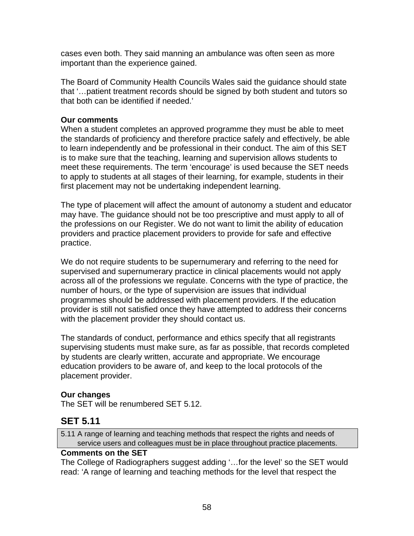cases even both. They said manning an ambulance was often seen as more important than the experience gained.

The Board of Community Health Councils Wales said the guidance should state that '…patient treatment records should be signed by both student and tutors so that both can be identified if needed.'

## **Our comments**

When a student completes an approved programme they must be able to meet the standards of proficiency and therefore practice safely and effectively, be able to learn independently and be professional in their conduct. The aim of this SET is to make sure that the teaching, learning and supervision allows students to meet these requirements. The term 'encourage' is used because the SET needs to apply to students at all stages of their learning, for example, students in their first placement may not be undertaking independent learning.

The type of placement will affect the amount of autonomy a student and educator may have. The guidance should not be too prescriptive and must apply to all of the professions on our Register. We do not want to limit the ability of education providers and practice placement providers to provide for safe and effective practice.

We do not require students to be supernumerary and referring to the need for supervised and supernumerary practice in clinical placements would not apply across all of the professions we regulate. Concerns with the type of practice, the number of hours, or the type of supervision are issues that individual programmes should be addressed with placement providers. If the education provider is still not satisfied once they have attempted to address their concerns with the placement provider they should contact us.

The standards of conduct, performance and ethics specify that all registrants supervising students must make sure, as far as possible, that records completed by students are clearly written, accurate and appropriate. We encourage education providers to be aware of, and keep to the local protocols of the placement provider.

## **Our changes**

The SET will be renumbered SET 5.12.

## **SET 5.11**

5.11 A range of learning and teaching methods that respect the rights and needs of service users and colleagues must be in place throughout practice placements.

#### **Comments on the SET**

The College of Radiographers suggest adding '…for the level' so the SET would read: 'A range of learning and teaching methods for the level that respect the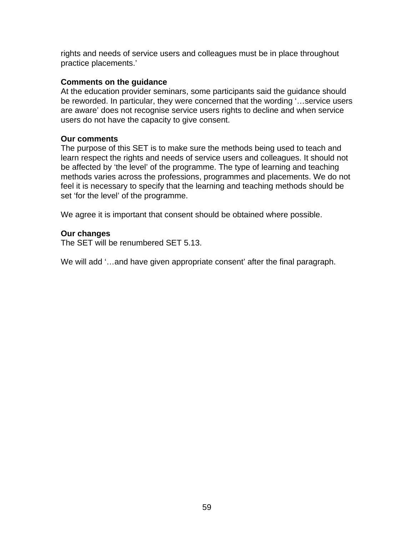rights and needs of service users and colleagues must be in place throughout practice placements.'

#### **Comments on the guidance**

At the education provider seminars, some participants said the guidance should be reworded. In particular, they were concerned that the wording '…service users are aware' does not recognise service users rights to decline and when service users do not have the capacity to give consent.

#### **Our comments**

The purpose of this SET is to make sure the methods being used to teach and learn respect the rights and needs of service users and colleagues. It should not be affected by 'the level' of the programme. The type of learning and teaching methods varies across the professions, programmes and placements. We do not feel it is necessary to specify that the learning and teaching methods should be set 'for the level' of the programme.

We agree it is important that consent should be obtained where possible.

#### **Our changes**

The SET will be renumbered SET 5.13.

We will add '…and have given appropriate consent' after the final paragraph.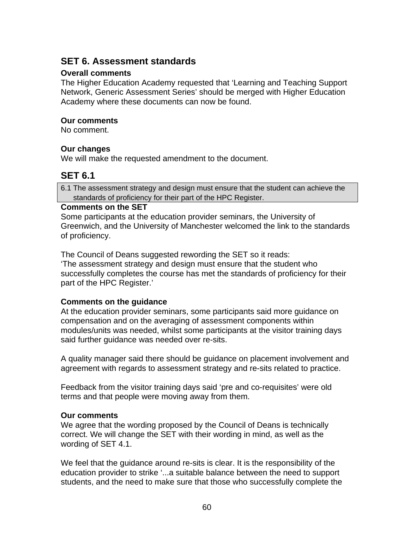# **SET 6. Assessment standards**

### **Overall comments**

The Higher Education Academy requested that 'Learning and Teaching Support Network, Generic Assessment Series' should be merged with Higher Education Academy where these documents can now be found.

### **Our comments**

No comment.

## **Our changes**

We will make the requested amendment to the document.

# **SET 6.1**

6.1 The assessment strategy and design must ensure that the student can achieve the standards of proficiency for their part of the HPC Register.

### **Comments on the SET**

Some participants at the education provider seminars, the University of Greenwich, and the University of Manchester welcomed the link to the standards of proficiency.

The Council of Deans suggested rewording the SET so it reads:

'The assessment strategy and design must ensure that the student who successfully completes the course has met the standards of proficiency for their part of the HPC Register.'

## **Comments on the guidance**

At the education provider seminars, some participants said more guidance on compensation and on the averaging of assessment components within modules/units was needed, whilst some participants at the visitor training days said further guidance was needed over re-sits.

A quality manager said there should be guidance on placement involvement and agreement with regards to assessment strategy and re-sits related to practice.

Feedback from the visitor training days said 'pre and co-requisites' were old terms and that people were moving away from them.

## **Our comments**

We agree that the wording proposed by the Council of Deans is technically correct. We will change the SET with their wording in mind, as well as the wording of SET 4.1.

We feel that the guidance around re-sits is clear. It is the responsibility of the education provider to strike '...a suitable balance between the need to support students, and the need to make sure that those who successfully complete the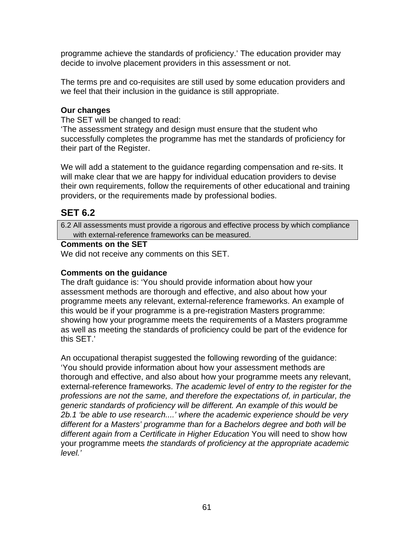programme achieve the standards of proficiency.' The education provider may decide to involve placement providers in this assessment or not.

The terms pre and co-requisites are still used by some education providers and we feel that their inclusion in the guidance is still appropriate.

## **Our changes**

The SET will be changed to read:

'The assessment strategy and design must ensure that the student who successfully completes the programme has met the standards of proficiency for their part of the Register.

We will add a statement to the guidance regarding compensation and re-sits. It will make clear that we are happy for individual education providers to devise their own requirements, follow the requirements of other educational and training providers, or the requirements made by professional bodies.

# **SET 6.2**

6.2 All assessments must provide a rigorous and effective process by which compliance with external-reference frameworks can be measured.

## **Comments on the SET**

We did not receive any comments on this SET.

## **Comments on the guidance**

The draft guidance is: 'You should provide information about how your assessment methods are thorough and effective, and also about how your programme meets any relevant, external-reference frameworks. An example of this would be if your programme is a pre-registration Masters programme: showing how your programme meets the requirements of a Masters programme as well as meeting the standards of proficiency could be part of the evidence for this SET.'

An occupational therapist suggested the following rewording of the guidance: 'You should provide information about how your assessment methods are thorough and effective, and also about how your programme meets any relevant, external-reference frameworks. *The academic level of entry to the register for the professions are not the same, and therefore the expectations of, in particular, the generic standards of proficiency will be different. An example of this would be 2b.1 'be able to use research....' where the academic experience should be very different for a Masters' programme than for a Bachelors degree and both will be different again from a Certificate in Higher Education* You will need to show how your programme meets *the standards of proficiency at the appropriate academic level.'*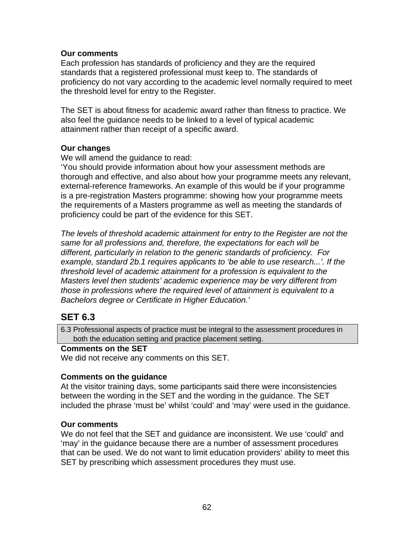#### **Our comments**

Each profession has standards of proficiency and they are the required standards that a registered professional must keep to. The standards of proficiency do not vary according to the academic level normally required to meet the threshold level for entry to the Register.

The SET is about fitness for academic award rather than fitness to practice. We also feel the guidance needs to be linked to a level of typical academic attainment rather than receipt of a specific award.

#### **Our changes**

We will amend the guidance to read:

'You should provide information about how your assessment methods are thorough and effective, and also about how your programme meets any relevant, external-reference frameworks. An example of this would be if your programme is a pre-registration Masters programme: showing how your programme meets the requirements of a Masters programme as well as meeting the standards of proficiency could be part of the evidence for this SET.

*The levels of threshold academic attainment for entry to the Register are not the same for all professions and, therefore, the expectations for each will be different, particularly in relation to the generic standards of proficiency. For example, standard 2b.1 requires applicants to 'be able to use research...'. If the threshold level of academic attainment for a profession is equivalent to the Masters level then students' academic experience may be very different from those in professions where the required level of attainment is equivalent to a Bachelors degree or Certificate in Higher Education.'* 

# **SET 6.3**

6.3 Professional aspects of practice must be integral to the assessment procedures in both the education setting and practice placement setting.

#### **Comments on the SET**

We did not receive any comments on this SET.

#### **Comments on the guidance**

At the visitor training days, some participants said there were inconsistencies between the wording in the SET and the wording in the guidance. The SET included the phrase 'must be' whilst 'could' and 'may' were used in the guidance.

#### **Our comments**

We do not feel that the SET and guidance are inconsistent. We use 'could' and 'may' in the guidance because there are a number of assessment procedures that can be used. We do not want to limit education providers' ability to meet this SET by prescribing which assessment procedures they must use.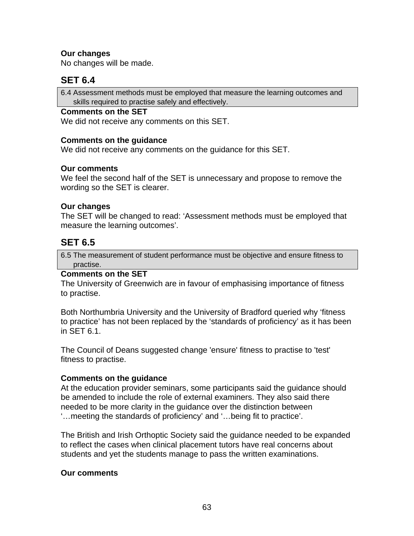## **Our changes**

No changes will be made.

## **SET 6.4**

6.4 Assessment methods must be employed that measure the learning outcomes and skills required to practise safely and effectively.

#### **Comments on the SET**

We did not receive any comments on this SET.

#### **Comments on the guidance**

We did not receive any comments on the guidance for this SET.

#### **Our comments**

We feel the second half of the SET is unnecessary and propose to remove the wording so the SET is clearer.

#### **Our changes**

The SET will be changed to read: 'Assessment methods must be employed that measure the learning outcomes'.

## **SET 6.5**

6.5 The measurement of student performance must be objective and ensure fitness to practise.

#### **Comments on the SET**

The University of Greenwich are in favour of emphasising importance of fitness to practise.

Both Northumbria University and the University of Bradford queried why 'fitness to practice' has not been replaced by the 'standards of proficiency' as it has been in SET 6.1.

The Council of Deans suggested change 'ensure' fitness to practise to 'test' fitness to practise.

#### **Comments on the guidance**

At the education provider seminars, some participants said the guidance should be amended to include the role of external examiners. They also said there needed to be more clarity in the guidance over the distinction between '…meeting the standards of proficiency' and '…being fit to practice'.

The British and Irish Orthoptic Society said the guidance needed to be expanded to reflect the cases when clinical placement tutors have real concerns about students and yet the students manage to pass the written examinations.

#### **Our comments**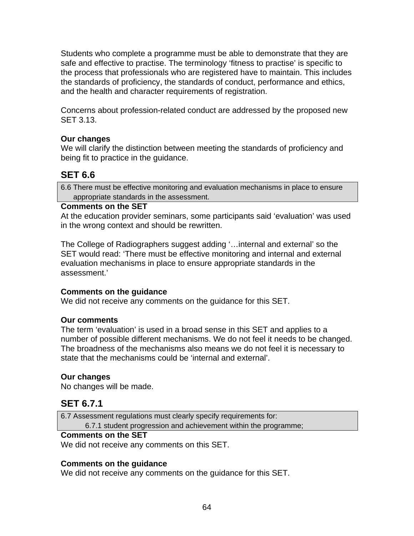Students who complete a programme must be able to demonstrate that they are safe and effective to practise. The terminology 'fitness to practise' is specific to the process that professionals who are registered have to maintain. This includes the standards of proficiency, the standards of conduct, performance and ethics, and the health and character requirements of registration.

Concerns about profession-related conduct are addressed by the proposed new SET 3.13.

## **Our changes**

We will clarify the distinction between meeting the standards of proficiency and being fit to practice in the guidance.

# **SET 6.6**

6.6 There must be effective monitoring and evaluation mechanisms in place to ensure appropriate standards in the assessment.

### **Comments on the SET**

At the education provider seminars, some participants said 'evaluation' was used in the wrong context and should be rewritten.

The College of Radiographers suggest adding '…internal and external' so the SET would read: 'There must be effective monitoring and internal and external evaluation mechanisms in place to ensure appropriate standards in the assessment.'

## **Comments on the guidance**

We did not receive any comments on the guidance for this SET.

#### **Our comments**

The term 'evaluation' is used in a broad sense in this SET and applies to a number of possible different mechanisms. We do not feel it needs to be changed. The broadness of the mechanisms also means we do not feel it is necessary to state that the mechanisms could be 'internal and external'.

## **Our changes**

No changes will be made.

## **SET 6.7.1**

6.7 Assessment regulations must clearly specify requirements for: 6.7.1 student progression and achievement within the programme;

#### **Comments on the SET**

We did not receive any comments on this SET.

## **Comments on the guidance**

We did not receive any comments on the guidance for this SET.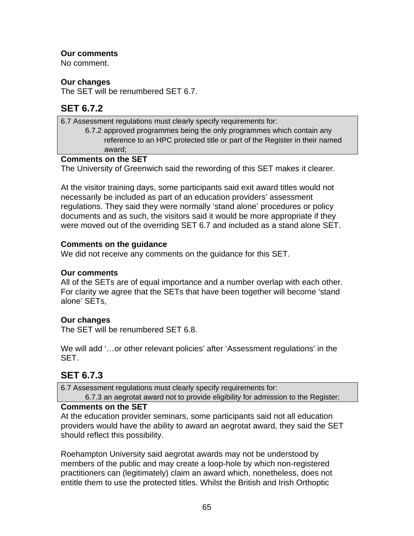## **Our comments**

No comment.

### **Our changes**

The SET will be renumbered SET 6.7.

# **SET 6.7.2**

6.7 Assessment regulations must clearly specify requirements for: 6.7.2 approved programmes being the only programmes which contain any reference to an HPC protected title or part of the Register in their named award;

### **Comments on the SET**

The University of Greenwich said the rewording of this SET makes it clearer.

At the visitor training days, some participants said exit award titles would not necessarily be included as part of an education providers' assessment regulations. They said they were normally 'stand alone' procedures or policy documents and as such, the visitors said it would be more appropriate if they were moved out of the overriding SET 6.7 and included as a stand alone SET.

## **Comments on the guidance**

We did not receive any comments on the guidance for this SET.

## **Our comments**

All of the SETs are of equal importance and a number overlap with each other. For clarity we agree that the SETs that have been together will become 'stand alone' SETs,

## **Our changes**

The SET will be renumbered SET 6.8.

We will add '…or other relevant policies' after 'Assessment regulations' in the SET.

# **SET 6.7.3**

6.7 Assessment regulations must clearly specify requirements for:

6.7.3 an aegrotat award not to provide eligibility for admission to the Register;

## **Comments on the SET**

At the education provider seminars, some participants said not all education providers would have the ability to award an aegrotat award, they said the SET should reflect this possibility.

Roehampton University said aegrotat awards may not be understood by members of the public and may create a loop-hole by which non-registered practitioners can (legitimately) claim an award which, nonetheless, does not entitle them to use the protected titles. Whilst the British and Irish Orthoptic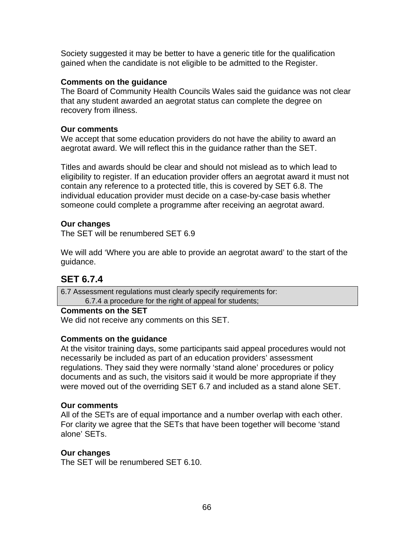Society suggested it may be better to have a generic title for the qualification gained when the candidate is not eligible to be admitted to the Register.

#### **Comments on the guidance**

The Board of Community Health Councils Wales said the guidance was not clear that any student awarded an aegrotat status can complete the degree on recovery from illness.

#### **Our comments**

We accept that some education providers do not have the ability to award an aegrotat award. We will reflect this in the guidance rather than the SET.

Titles and awards should be clear and should not mislead as to which lead to eligibility to register. If an education provider offers an aegrotat award it must not contain any reference to a protected title, this is covered by SET 6.8. The individual education provider must decide on a case-by-case basis whether someone could complete a programme after receiving an aegrotat award.

### **Our changes**

The SET will be renumbered SET 6.9

We will add 'Where you are able to provide an aegrotat award' to the start of the guidance.

## **SET 6.7.4**

6.7 Assessment regulations must clearly specify requirements for: 6.7.4 a procedure for the right of appeal for students;

### **Comments on the SET**

We did not receive any comments on this SET.

#### **Comments on the guidance**

At the visitor training days, some participants said appeal procedures would not necessarily be included as part of an education providers' assessment regulations. They said they were normally 'stand alone' procedures or policy documents and as such, the visitors said it would be more appropriate if they were moved out of the overriding SET 6.7 and included as a stand alone SET.

#### **Our comments**

All of the SETs are of equal importance and a number overlap with each other. For clarity we agree that the SETs that have been together will become 'stand alone' SETs.

#### **Our changes**

The SET will be renumbered SET 6.10.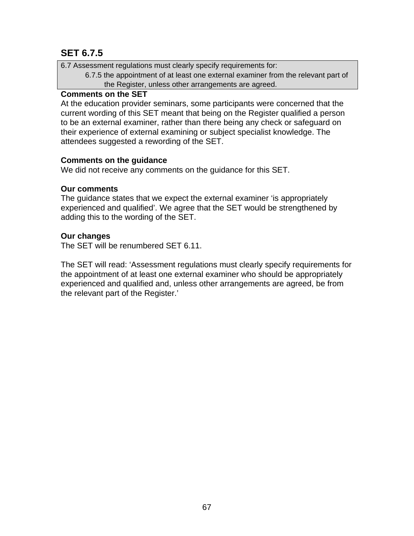# **SET 6.7.5**

6.7 Assessment regulations must clearly specify requirements for:

6.7.5 the appointment of at least one external examiner from the relevant part of the Register, unless other arrangements are agreed.

### **Comments on the SET**

At the education provider seminars, some participants were concerned that the current wording of this SET meant that being on the Register qualified a person to be an external examiner, rather than there being any check or safeguard on their experience of external examining or subject specialist knowledge. The attendees suggested a rewording of the SET.

## **Comments on the guidance**

We did not receive any comments on the guidance for this SET.

### **Our comments**

The guidance states that we expect the external examiner 'is appropriately experienced and qualified'. We agree that the SET would be strengthened by adding this to the wording of the SET.

## **Our changes**

The SET will be renumbered SET 6.11.

The SET will read: 'Assessment regulations must clearly specify requirements for the appointment of at least one external examiner who should be appropriately experienced and qualified and, unless other arrangements are agreed, be from the relevant part of the Register.'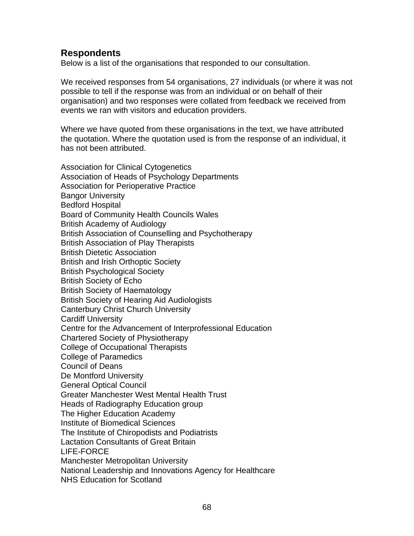# **Respondents**

Below is a list of the organisations that responded to our consultation.

We received responses from 54 organisations, 27 individuals (or where it was not possible to tell if the response was from an individual or on behalf of their organisation) and two responses were collated from feedback we received from events we ran with visitors and education providers.

Where we have quoted from these organisations in the text, we have attributed the quotation. Where the quotation used is from the response of an individual, it has not been attributed.

Association for Clinical Cytogenetics Association of Heads of Psychology Departments Association for Perioperative Practice Bangor University Bedford Hospital Board of Community Health Councils Wales British Academy of Audiology British Association of Counselling and Psychotherapy British Association of Play Therapists British Dietetic Association British and Irish Orthoptic Society British Psychological Society British Society of Echo British Society of Haematology British Society of Hearing Aid Audiologists Canterbury Christ Church University Cardiff University Centre for the Advancement of Interprofessional Education Chartered Society of Physiotherapy College of Occupational Therapists College of Paramedics Council of Deans De Montford University General Optical Council Greater Manchester West Mental Health Trust Heads of Radiography Education group The Higher Education Academy Institute of Biomedical Sciences The Institute of Chiropodists and Podiatrists Lactation Consultants of Great Britain LIFE-FORCE Manchester Metropolitan University National Leadership and Innovations Agency for Healthcare NHS Education for Scotland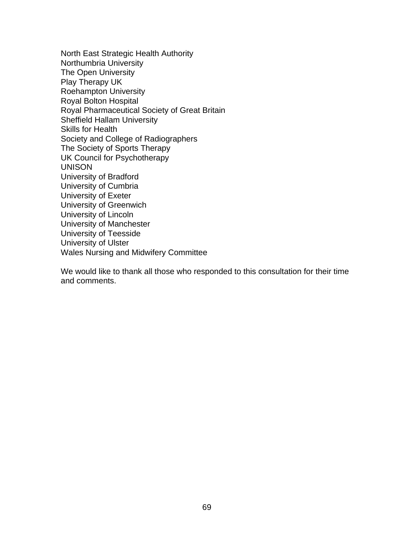North East Strategic Health Authority Northumbria University The Open University Play Therapy UK Roehampton University Royal Bolton Hospital Royal Pharmaceutical Society of Great Britain Sheffield Hallam University Skills for Health Society and College of Radiographers The Society of Sports Therapy UK Council for Psychotherapy UNISON University of Bradford University of Cumbria University of Exeter University of Greenwich University of Lincoln University of Manchester University of Teesside University of Ulster Wales Nursing and Midwifery Committee

We would like to thank all those who responded to this consultation for their time and comments.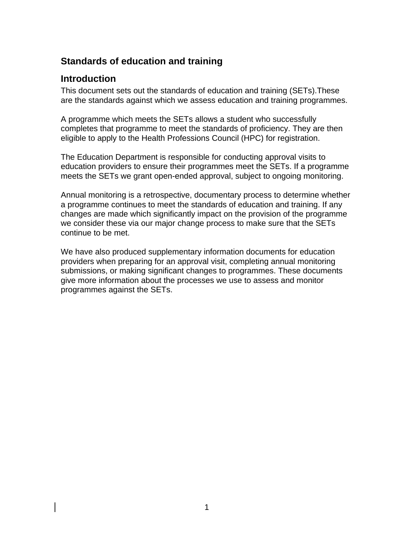# **Standards of education and training**

## **Introduction**

This document sets out the standards of education and training (SETs).These are the standards against which we assess education and training programmes.

A programme which meets the SETs allows a student who successfully completes that programme to meet the standards of proficiency. They are then eligible to apply to the Health Professions Council (HPC) for registration.

The Education Department is responsible for conducting approval visits to education providers to ensure their programmes meet the SETs. If a programme meets the SETs we grant open-ended approval, subject to ongoing monitoring.

Annual monitoring is a retrospective, documentary process to determine whether a programme continues to meet the standards of education and training. If any changes are made which significantly impact on the provision of the programme we consider these via our major change process to make sure that the SETs continue to be met.

We have also produced supplementary information documents for education providers when preparing for an approval visit, completing annual monitoring submissions, or making significant changes to programmes. These documents give more information about the processes we use to assess and monitor programmes against the SETs.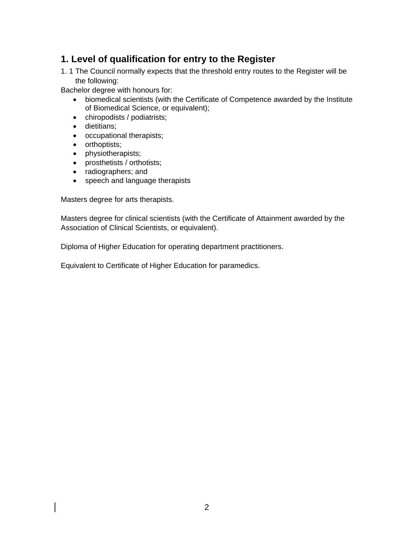## **1. Level of qualification for entry to the Register**

1. 1 The Council normally expects that the threshold entry routes to the Register will be the following:

Bachelor degree with honours for:

- biomedical scientists (with the Certificate of Competence awarded by the Institute of Biomedical Science, or equivalent);
- chiropodists / podiatrists;
- dietitians;
- occupational therapists;
- orthoptists;
- physiotherapists;
- prosthetists / orthotists;
- radiographers; and
- speech and language therapists

Masters degree for arts therapists.

Masters degree for clinical scientists (with the Certificate of Attainment awarded by the Association of Clinical Scientists, or equivalent).

Diploma of Higher Education for operating department practitioners.

Equivalent to Certificate of Higher Education for paramedics.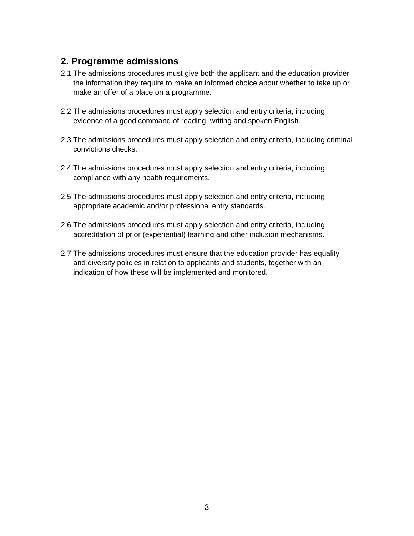## **2. Programme admissions**

- 2.1 The admissions procedures must give both the applicant and the education provider the information they require to make an informed choice about whether to take up or make an offer of a place on a programme.
- 2.2 The admissions procedures must apply selection and entry criteria, including evidence of a good command of reading, writing and spoken English.
- 2.3 The admissions procedures must apply selection and entry criteria, including criminal convictions checks.
- 2.4 The admissions procedures must apply selection and entry criteria, including compliance with any health requirements.
- 2.5 The admissions procedures must apply selection and entry criteria, including appropriate academic and/or professional entry standards.
- 2.6 The admissions procedures must apply selection and entry criteria, including accreditation of prior (experiential) learning and other inclusion mechanisms.
- 2.7 The admissions procedures must ensure that the education provider has equality and diversity policies in relation to applicants and students, together with an indication of how these will be implemented and monitored.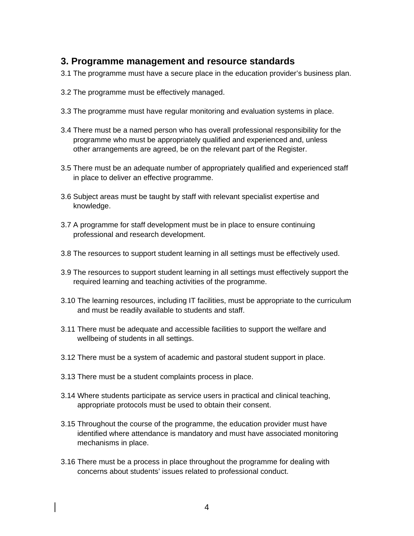## **3. Programme management and resource standards**

- 3.1 The programme must have a secure place in the education provider's business plan.
- 3.2 The programme must be effectively managed.
- 3.3 The programme must have regular monitoring and evaluation systems in place.
- 3.4 There must be a named person who has overall professional responsibility for the programme who must be appropriately qualified and experienced and, unless other arrangements are agreed, be on the relevant part of the Register.
- 3.5 There must be an adequate number of appropriately qualified and experienced staff in place to deliver an effective programme.
- 3.6 Subject areas must be taught by staff with relevant specialist expertise and knowledge.
- 3.7 A programme for staff development must be in place to ensure continuing professional and research development.
- 3.8 The resources to support student learning in all settings must be effectively used.
- 3.9 The resources to support student learning in all settings must effectively support the required learning and teaching activities of the programme.
- 3.10 The learning resources, including IT facilities, must be appropriate to the curriculum and must be readily available to students and staff.
- 3.11 There must be adequate and accessible facilities to support the welfare and wellbeing of students in all settings.
- 3.12 There must be a system of academic and pastoral student support in place.
- 3.13 There must be a student complaints process in place.
- 3.14 Where students participate as service users in practical and clinical teaching, appropriate protocols must be used to obtain their consent.
- 3.15 Throughout the course of the programme, the education provider must have identified where attendance is mandatory and must have associated monitoring mechanisms in place.
- 3.16 There must be a process in place throughout the programme for dealing with concerns about students' issues related to professional conduct.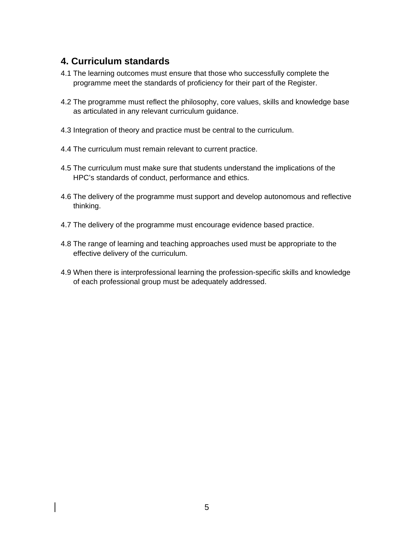## **4. Curriculum standards**

- 4.1 The learning outcomes must ensure that those who successfully complete the programme meet the standards of proficiency for their part of the Register.
- 4.2 The programme must reflect the philosophy, core values, skills and knowledge base as articulated in any relevant curriculum guidance.
- 4.3 Integration of theory and practice must be central to the curriculum.
- 4.4 The curriculum must remain relevant to current practice.
- 4.5 The curriculum must make sure that students understand the implications of the HPC's standards of conduct, performance and ethics.
- 4.6 The delivery of the programme must support and develop autonomous and reflective thinking.
- 4.7 The delivery of the programme must encourage evidence based practice.
- 4.8 The range of learning and teaching approaches used must be appropriate to the effective delivery of the curriculum.
- 4.9 When there is interprofessional learning the profession-specific skills and knowledge of each professional group must be adequately addressed.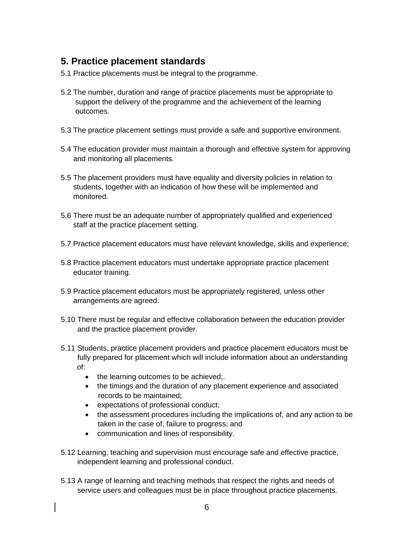## **5. Practice placement standards**

- 5.1 Practice placements must be integral to the programme.
- 5.2 The number, duration and range of practice placements must be appropriate to support the delivery of the programme and the achievement of the learning outcomes.
- 5.3 The practice placement settings must provide a safe and supportive environment.
- 5.4 The education provider must maintain a thorough and effective system for approving and monitoring all placements.
- 5.5 The placement providers must have equality and diversity policies in relation to students, together with an indication of how these will be implemented and monitored.
- 5.6 There must be an adequate number of appropriately qualified and experienced staff at the practice placement setting.
- 5.7 Practice placement educators must have relevant knowledge, skills and experience;
- 5.8 Practice placement educators must undertake appropriate practice placement educator training.
- 5.9 Practice placement educators must be appropriately registered, unless other arrangements are agreed.
- 5.10 There must be regular and effective collaboration between the education provider and the practice placement provider.
- 5.11 Students, practice placement providers and practice placement educators must be fully prepared for placement which will include information about an understanding of:
	- the learning outcomes to be achieved;
	- the timings and the duration of any placement experience and associated records to be maintained;
	- expectations of professional conduct;
	- the assessment procedures including the implications of, and any action to be taken in the case of, failure to progress; and
	- communication and lines of responsibility.
- 5.12 Learning, teaching and supervision must encourage safe and effective practice, independent learning and professional conduct.
- 5.13 A range of learning and teaching methods that respect the rights and needs of service users and colleagues must be in place throughout practice placements.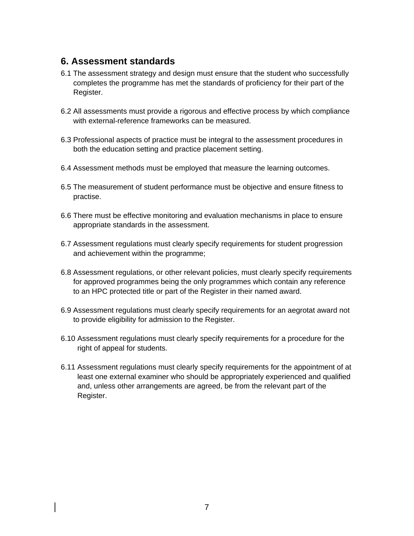## **6. Assessment standards**

- 6.1 The assessment strategy and design must ensure that the student who successfully completes the programme has met the standards of proficiency for their part of the Register.
- 6.2 All assessments must provide a rigorous and effective process by which compliance with external-reference frameworks can be measured.
- 6.3 Professional aspects of practice must be integral to the assessment procedures in both the education setting and practice placement setting.
- 6.4 Assessment methods must be employed that measure the learning outcomes.
- 6.5 The measurement of student performance must be objective and ensure fitness to practise.
- 6.6 There must be effective monitoring and evaluation mechanisms in place to ensure appropriate standards in the assessment.
- 6.7 Assessment regulations must clearly specify requirements for student progression and achievement within the programme;
- 6.8 Assessment regulations, or other relevant policies, must clearly specify requirements for approved programmes being the only programmes which contain any reference to an HPC protected title or part of the Register in their named award.
- 6.9 Assessment regulations must clearly specify requirements for an aegrotat award not to provide eligibility for admission to the Register.
- 6.10 Assessment regulations must clearly specify requirements for a procedure for the right of appeal for students.
- 6.11 Assessment regulations must clearly specify requirements for the appointment of at least one external examiner who should be appropriately experienced and qualified and, unless other arrangements are agreed, be from the relevant part of the Register.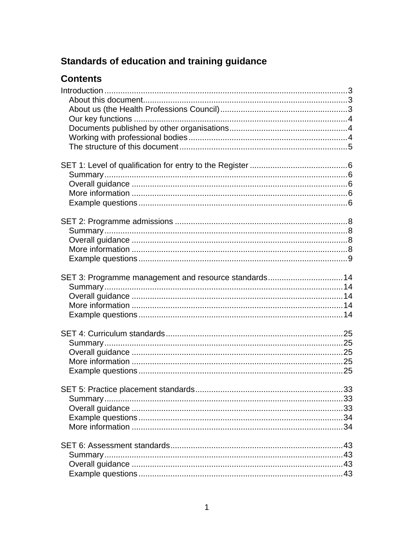# Standards of education and training guidance

# **Contents**

| SET 3: Programme management and resource standards14 |  |
|------------------------------------------------------|--|
|                                                      |  |
|                                                      |  |
|                                                      |  |
|                                                      |  |
|                                                      |  |
|                                                      |  |
|                                                      |  |
|                                                      |  |
|                                                      |  |
|                                                      |  |
|                                                      |  |
|                                                      |  |
|                                                      |  |
|                                                      |  |
|                                                      |  |
|                                                      |  |
|                                                      |  |
|                                                      |  |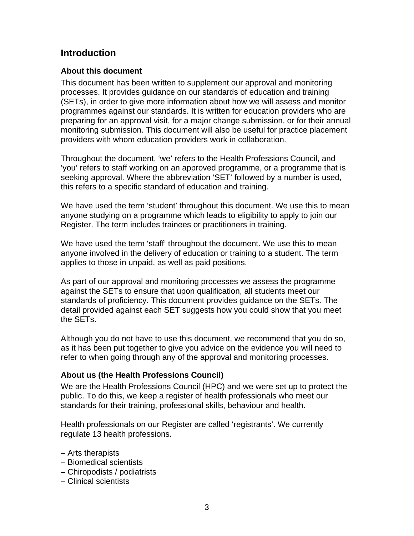## **Introduction**

#### **About this document**

This document has been written to supplement our approval and monitoring processes. It provides guidance on our standards of education and training (SETs), in order to give more information about how we will assess and monitor programmes against our standards. It is written for education providers who are preparing for an approval visit, for a major change submission, or for their annual monitoring submission. This document will also be useful for practice placement providers with whom education providers work in collaboration.

Throughout the document, 'we' refers to the Health Professions Council, and 'you' refers to staff working on an approved programme, or a programme that is seeking approval. Where the abbreviation 'SET' followed by a number is used, this refers to a specific standard of education and training.

We have used the term 'student' throughout this document. We use this to mean anyone studying on a programme which leads to eligibility to apply to join our Register. The term includes trainees or practitioners in training.

We have used the term 'staff' throughout the document. We use this to mean anyone involved in the delivery of education or training to a student. The term applies to those in unpaid, as well as paid positions.

As part of our approval and monitoring processes we assess the programme against the SETs to ensure that upon qualification, all students meet our standards of proficiency. This document provides guidance on the SETs. The detail provided against each SET suggests how you could show that you meet the SETs.

Although you do not have to use this document, we recommend that you do so, as it has been put together to give you advice on the evidence you will need to refer to when going through any of the approval and monitoring processes.

#### **About us (the Health Professions Council)**

We are the Health Professions Council (HPC) and we were set up to protect the public. To do this, we keep a register of health professionals who meet our standards for their training, professional skills, behaviour and health.

Health professionals on our Register are called 'registrants'. We currently regulate 13 health professions.

- Arts therapists
- Biomedical scientists
- Chiropodists / podiatrists
- Clinical scientists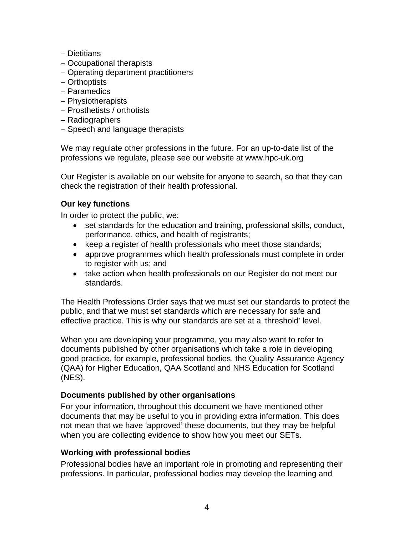- Dietitians
- Occupational therapists
- Operating department practitioners
- Orthoptists
- Paramedics
- Physiotherapists
- Prosthetists / orthotists
- Radiographers
- Speech and language therapists

We may regulate other professions in the future. For an up-to-date list of the professions we regulate, please see our website at www.hpc-uk.org

Our Register is available on our website for anyone to search, so that they can check the registration of their health professional.

## **Our key functions**

In order to protect the public, we:

- set standards for the education and training, professional skills, conduct, performance, ethics, and health of registrants;
- keep a register of health professionals who meet those standards;
- approve programmes which health professionals must complete in order to register with us; and
- take action when health professionals on our Register do not meet our standards.

The Health Professions Order says that we must set our standards to protect the public, and that we must set standards which are necessary for safe and effective practice. This is why our standards are set at a 'threshold' level.

When you are developing your programme, you may also want to refer to documents published by other organisations which take a role in developing good practice, for example, professional bodies, the Quality Assurance Agency (QAA) for Higher Education, QAA Scotland and NHS Education for Scotland (NES).

## **Documents published by other organisations**

For your information, throughout this document we have mentioned other documents that may be useful to you in providing extra information. This does not mean that we have 'approved' these documents, but they may be helpful when you are collecting evidence to show how you meet our SETs.

## **Working with professional bodies**

Professional bodies have an important role in promoting and representing their professions. In particular, professional bodies may develop the learning and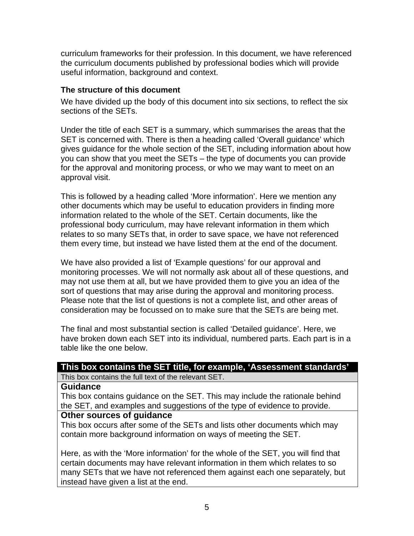curriculum frameworks for their profession. In this document, we have referenced the curriculum documents published by professional bodies which will provide useful information, background and context.

#### **The structure of this document**

We have divided up the body of this document into six sections, to reflect the six sections of the SETs.

Under the title of each SET is a summary, which summarises the areas that the SET is concerned with. There is then a heading called 'Overall guidance' which gives guidance for the whole section of the SET, including information about how you can show that you meet the SETs – the type of documents you can provide for the approval and monitoring process, or who we may want to meet on an approval visit.

This is followed by a heading called 'More information'. Here we mention any other documents which may be useful to education providers in finding more information related to the whole of the SET. Certain documents, like the professional body curriculum, may have relevant information in them which relates to so many SETs that, in order to save space, we have not referenced them every time, but instead we have listed them at the end of the document.

We have also provided a list of 'Example questions' for our approval and monitoring processes. We will not normally ask about all of these questions, and may not use them at all, but we have provided them to give you an idea of the sort of questions that may arise during the approval and monitoring process. Please note that the list of questions is not a complete list, and other areas of consideration may be focussed on to make sure that the SETs are being met.

The final and most substantial section is called 'Detailed guidance'. Here, we have broken down each SET into its individual, numbered parts. Each part is in a table like the one below.

## **This box contains the SET title, for example, 'Assessment standards'**

This box contains the full text of the relevant SET.

#### **Guidance**

This box contains guidance on the SET. This may include the rationale behind the SET, and examples and suggestions of the type of evidence to provide.

#### **Other sources of guidance**

This box occurs after some of the SETs and lists other documents which may contain more background information on ways of meeting the SET.

Here, as with the 'More information' for the whole of the SET, you will find that certain documents may have relevant information in them which relates to so many SETs that we have not referenced them against each one separately, but instead have given a list at the end.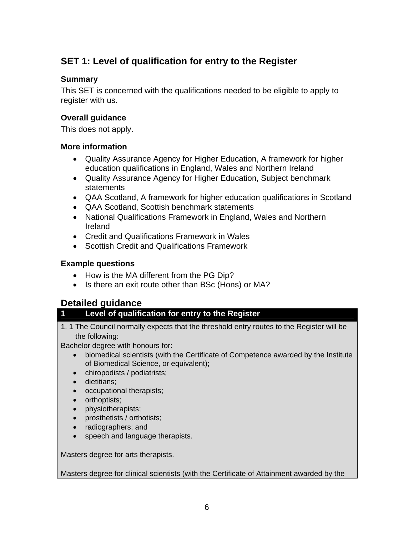## **SET 1: Level of qualification for entry to the Register**

#### **Summary**

This SET is concerned with the qualifications needed to be eligible to apply to register with us.

### **Overall guidance**

This does not apply.

#### **More information**

- Quality Assurance Agency for Higher Education, A framework for higher education qualifications in England, Wales and Northern Ireland
- Quality Assurance Agency for Higher Education, Subject benchmark statements
- QAA Scotland, A framework for higher education qualifications in Scotland
- QAA Scotland, Scottish benchmark statements
- National Qualifications Framework in England, Wales and Northern Ireland
- Credit and Qualifications Framework in Wales
- Scottish Credit and Qualifications Framework

## **Example questions**

- How is the MA different from the PG Dip?
- Is there an exit route other than BSc (Hons) or MA?

## **Detailed guidance**

## **1 Level of qualification for entry to the Register**

1. 1 The Council normally expects that the threshold entry routes to the Register will be the following:

Bachelor degree with honours for:

- biomedical scientists (with the Certificate of Competence awarded by the Institute of Biomedical Science, or equivalent);
- chiropodists / podiatrists;
- dietitians;
- occupational therapists;
- orthoptists;
- physiotherapists;
- prosthetists / orthotists;
- radiographers; and
- speech and language therapists.

Masters degree for arts therapists.

Masters degree for clinical scientists (with the Certificate of Attainment awarded by the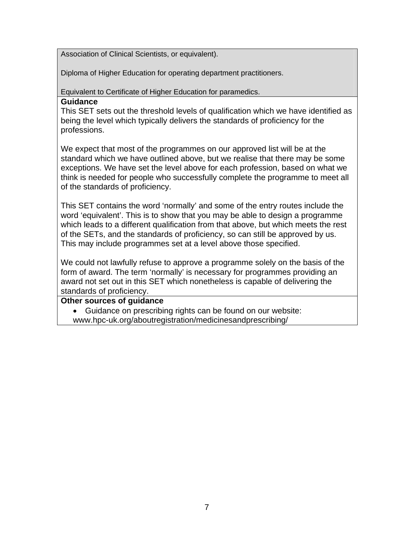Association of Clinical Scientists, or equivalent).

Diploma of Higher Education for operating department practitioners.

Equivalent to Certificate of Higher Education for paramedics.

#### **Guidance**

This SET sets out the threshold levels of qualification which we have identified as being the level which typically delivers the standards of proficiency for the professions.

We expect that most of the programmes on our approved list will be at the standard which we have outlined above, but we realise that there may be some exceptions. We have set the level above for each profession, based on what we think is needed for people who successfully complete the programme to meet all of the standards of proficiency.

This SET contains the word 'normally' and some of the entry routes include the word 'equivalent'. This is to show that you may be able to design a programme which leads to a different qualification from that above, but which meets the rest of the SETs, and the standards of proficiency, so can still be approved by us. This may include programmes set at a level above those specified.

We could not lawfully refuse to approve a programme solely on the basis of the form of award. The term 'normally' is necessary for programmes providing an award not set out in this SET which nonetheless is capable of delivering the standards of proficiency.

## **Other sources of guidance**

• Guidance on prescribing rights can be found on our website: www.hpc-uk.org/aboutregistration/medicinesandprescribing/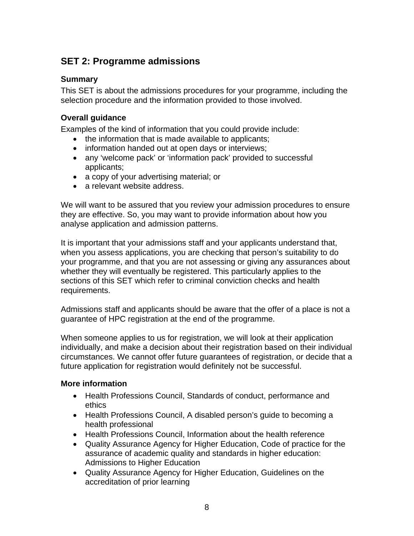## **SET 2: Programme admissions**

#### **Summary**

This SET is about the admissions procedures for your programme, including the selection procedure and the information provided to those involved.

#### **Overall guidance**

Examples of the kind of information that you could provide include:

- the information that is made available to applicants;
- information handed out at open days or interviews;
- any 'welcome pack' or 'information pack' provided to successful applicants;
- a copy of your advertising material; or
- a relevant website address.

We will want to be assured that you review your admission procedures to ensure they are effective. So, you may want to provide information about how you analyse application and admission patterns.

It is important that your admissions staff and your applicants understand that, when you assess applications, you are checking that person's suitability to do your programme, and that you are not assessing or giving any assurances about whether they will eventually be registered. This particularly applies to the sections of this SET which refer to criminal conviction checks and health requirements.

Admissions staff and applicants should be aware that the offer of a place is not a guarantee of HPC registration at the end of the programme.

When someone applies to us for registration, we will look at their application individually, and make a decision about their registration based on their individual circumstances. We cannot offer future guarantees of registration, or decide that a future application for registration would definitely not be successful.

## **More information**

- Health Professions Council, Standards of conduct, performance and ethics
- Health Professions Council, A disabled person's guide to becoming a health professional
- Health Professions Council, Information about the health reference
- Quality Assurance Agency for Higher Education, Code of practice for the assurance of academic quality and standards in higher education: Admissions to Higher Education
- Quality Assurance Agency for Higher Education, Guidelines on the accreditation of prior learning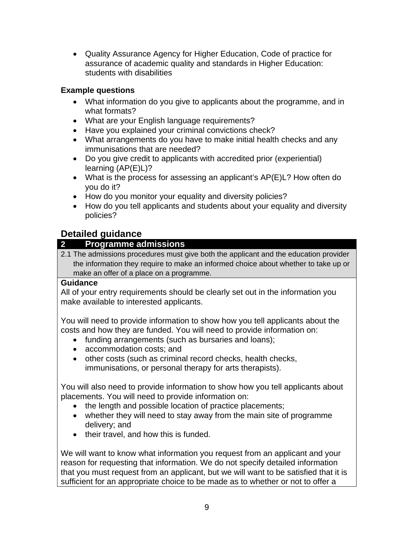• Quality Assurance Agency for Higher Education, Code of practice for assurance of academic quality and standards in Higher Education: students with disabilities

## **Example questions**

- What information do you give to applicants about the programme, and in what formats?
- What are your English language requirements?
- Have you explained your criminal convictions check?
- What arrangements do you have to make initial health checks and any immunisations that are needed?
- Do you give credit to applicants with accredited prior (experiential) learning (AP(E)L)?
- What is the process for assessing an applicant's AP(E)L? How often do you do it?
- How do you monitor your equality and diversity policies?
- How do you tell applicants and students about your equality and diversity policies?

## **Detailed guidance**

## **2 Programme admissions**

2.1 The admissions procedures must give both the applicant and the education provider the information they require to make an informed choice about whether to take up or make an offer of a place on a programme.

## **Guidance**

All of your entry requirements should be clearly set out in the information you make available to interested applicants.

You will need to provide information to show how you tell applicants about the costs and how they are funded. You will need to provide information on:

- funding arrangements (such as bursaries and loans);
- accommodation costs; and
- other costs (such as criminal record checks, health checks, immunisations, or personal therapy for arts therapists).

You will also need to provide information to show how you tell applicants about placements. You will need to provide information on:

- the length and possible location of practice placements;
- whether they will need to stay away from the main site of programme delivery; and
- their travel, and how this is funded.

We will want to know what information you request from an applicant and your reason for requesting that information. We do not specify detailed information that you must request from an applicant, but we will want to be satisfied that it is sufficient for an appropriate choice to be made as to whether or not to offer a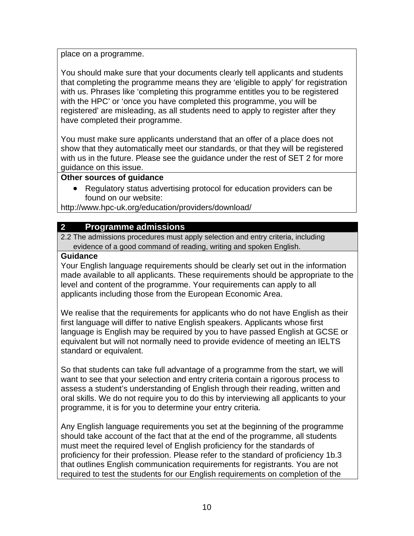place on a programme.

You should make sure that your documents clearly tell applicants and students that completing the programme means they are 'eligible to apply' for registration with us. Phrases like 'completing this programme entitles you to be registered with the HPC' or 'once you have completed this programme, you will be registered' are misleading, as all students need to apply to register after they have completed their programme.

You must make sure applicants understand that an offer of a place does not show that they automatically meet our standards, or that they will be registered with us in the future. Please see the guidance under the rest of SET 2 for more guidance on this issue.

#### **Other sources of guidance**

• Regulatory status advertising protocol for education providers can be found on our website:

http://www.hpc-uk.org/education/providers/download/

## **2 Programme admissions**

2.2 The admissions procedures must apply selection and entry criteria, including evidence of a good command of reading, writing and spoken English.

## **Guidance**

Your English language requirements should be clearly set out in the information made available to all applicants. These requirements should be appropriate to the level and content of the programme. Your requirements can apply to all applicants including those from the European Economic Area.

We realise that the requirements for applicants who do not have English as their first language will differ to native English speakers. Applicants whose first language is English may be required by you to have passed English at GCSE or equivalent but will not normally need to provide evidence of meeting an IELTS standard or equivalent.

So that students can take full advantage of a programme from the start, we will want to see that your selection and entry criteria contain a rigorous process to assess a student's understanding of English through their reading, written and oral skills. We do not require you to do this by interviewing all applicants to your programme, it is for you to determine your entry criteria.

Any English language requirements you set at the beginning of the programme should take account of the fact that at the end of the programme, all students must meet the required level of English proficiency for the standards of proficiency for their profession. Please refer to the standard of proficiency 1b.3 that outlines English communication requirements for registrants. You are not required to test the students for our English requirements on completion of the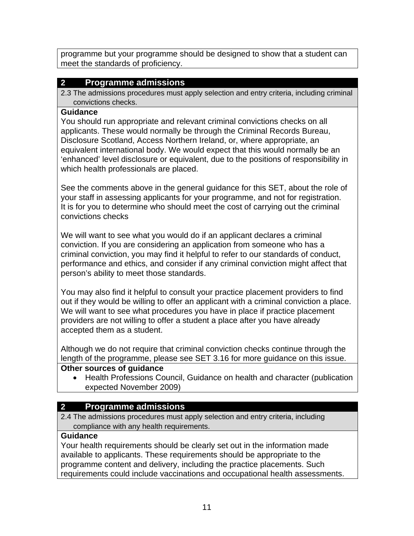programme but your programme should be designed to show that a student can meet the standards of proficiency.

## **2 Programme admissions**

2.3 The admissions procedures must apply selection and entry criteria, including criminal convictions checks.

## **Guidance**

You should run appropriate and relevant criminal convictions checks on all applicants. These would normally be through the Criminal Records Bureau, Disclosure Scotland, Access Northern Ireland, or, where appropriate, an equivalent international body. We would expect that this would normally be an 'enhanced' level disclosure or equivalent, due to the positions of responsibility in which health professionals are placed.

See the comments above in the general guidance for this SET, about the role of your staff in assessing applicants for your programme, and not for registration. It is for you to determine who should meet the cost of carrying out the criminal convictions checks

We will want to see what you would do if an applicant declares a criminal conviction. If you are considering an application from someone who has a criminal conviction, you may find it helpful to refer to our standards of conduct, performance and ethics, and consider if any criminal conviction might affect that person's ability to meet those standards.

You may also find it helpful to consult your practice placement providers to find out if they would be willing to offer an applicant with a criminal conviction a place. We will want to see what procedures you have in place if practice placement providers are not willing to offer a student a place after you have already accepted them as a student.

Although we do not require that criminal conviction checks continue through the length of the programme, please see SET 3.16 for more guidance on this issue.

## **Other sources of guidance**

• Health Professions Council, Guidance on health and character (publication expected November 2009)

## **2 Programme admissions**

2.4 The admissions procedures must apply selection and entry criteria, including compliance with any health requirements.

## **Guidance**

Your health requirements should be clearly set out in the information made available to applicants. These requirements should be appropriate to the programme content and delivery, including the practice placements. Such requirements could include vaccinations and occupational health assessments.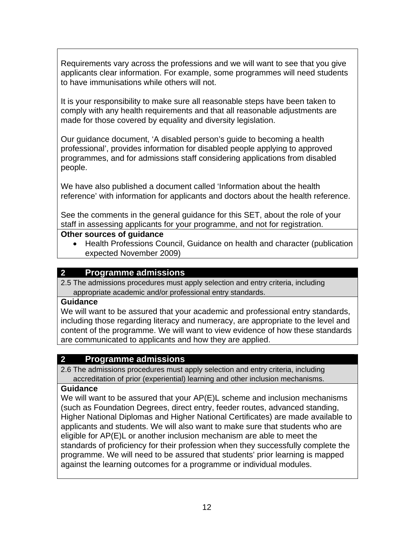Requirements vary across the professions and we will want to see that you give applicants clear information. For example, some programmes will need students to have immunisations while others will not.

It is your responsibility to make sure all reasonable steps have been taken to comply with any health requirements and that all reasonable adjustments are made for those covered by equality and diversity legislation.

Our guidance document, 'A disabled person's guide to becoming a health professional', provides information for disabled people applying to approved programmes, and for admissions staff considering applications from disabled people.

We have also published a document called 'Information about the health reference' with information for applicants and doctors about the health reference.

See the comments in the general guidance for this SET, about the role of your staff in assessing applicants for your programme, and not for registration.

#### **Other sources of guidance**

• Health Professions Council, Guidance on health and character (publication expected November 2009)

## **2 Programme admissions**

2.5 The admissions procedures must apply selection and entry criteria, including appropriate academic and/or professional entry standards.

## **Guidance**

We will want to be assured that your academic and professional entry standards, including those regarding literacy and numeracy, are appropriate to the level and content of the programme. We will want to view evidence of how these standards are communicated to applicants and how they are applied.

## **2 Programme admissions**

2.6 The admissions procedures must apply selection and entry criteria, including accreditation of prior (experiential) learning and other inclusion mechanisms.

## **Guidance**

We will want to be assured that your AP(E)L scheme and inclusion mechanisms (such as Foundation Degrees, direct entry, feeder routes, advanced standing, Higher National Diplomas and Higher National Certificates) are made available to applicants and students. We will also want to make sure that students who are eligible for AP(E)L or another inclusion mechanism are able to meet the standards of proficiency for their profession when they successfully complete the programme. We will need to be assured that students' prior learning is mapped against the learning outcomes for a programme or individual modules.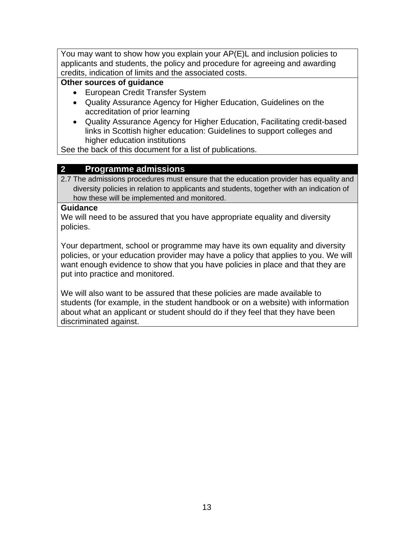You may want to show how you explain your AP(E)L and inclusion policies to applicants and students, the policy and procedure for agreeing and awarding credits, indication of limits and the associated costs.

## **Other sources of guidance**

- European Credit Transfer System
- Quality Assurance Agency for Higher Education, Guidelines on the accreditation of prior learning
- Quality Assurance Agency for Higher Education, Facilitating credit-based links in Scottish higher education: Guidelines to support colleges and higher education institutions

See the back of this document for a list of publications.

## **2 Programme admissions**

2.7 The admissions procedures must ensure that the education provider has equality and diversity policies in relation to applicants and students, together with an indication of how these will be implemented and monitored.

#### **Guidance**

We will need to be assured that you have appropriate equality and diversity policies.

Your department, school or programme may have its own equality and diversity policies, or your education provider may have a policy that applies to you. We will want enough evidence to show that you have policies in place and that they are put into practice and monitored.

We will also want to be assured that these policies are made available to students (for example, in the student handbook or on a website) with information about what an applicant or student should do if they feel that they have been discriminated against.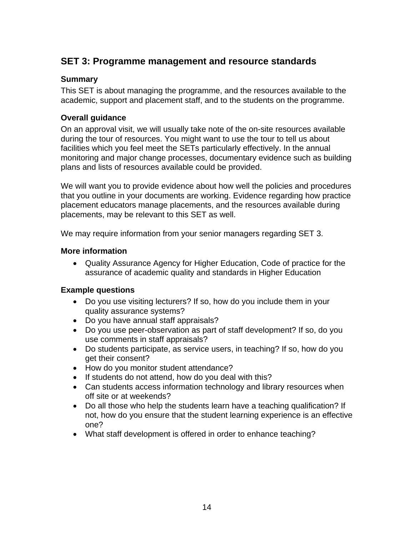## **SET 3: Programme management and resource standards**

#### **Summary**

This SET is about managing the programme, and the resources available to the academic, support and placement staff, and to the students on the programme.

#### **Overall guidance**

On an approval visit, we will usually take note of the on-site resources available during the tour of resources. You might want to use the tour to tell us about facilities which you feel meet the SETs particularly effectively. In the annual monitoring and major change processes, documentary evidence such as building plans and lists of resources available could be provided.

We will want you to provide evidence about how well the policies and procedures that you outline in your documents are working. Evidence regarding how practice placement educators manage placements, and the resources available during placements, may be relevant to this SET as well.

We may require information from your senior managers regarding SET 3.

#### **More information**

• Quality Assurance Agency for Higher Education, Code of practice for the assurance of academic quality and standards in Higher Education

#### **Example questions**

- Do you use visiting lecturers? If so, how do you include them in your quality assurance systems?
- Do you have annual staff appraisals?
- Do you use peer-observation as part of staff development? If so, do you use comments in staff appraisals?
- Do students participate, as service users, in teaching? If so, how do you get their consent?
- How do you monitor student attendance?
- If students do not attend, how do you deal with this?
- Can students access information technology and library resources when off site or at weekends?
- Do all those who help the students learn have a teaching qualification? If not, how do you ensure that the student learning experience is an effective one?
- What staff development is offered in order to enhance teaching?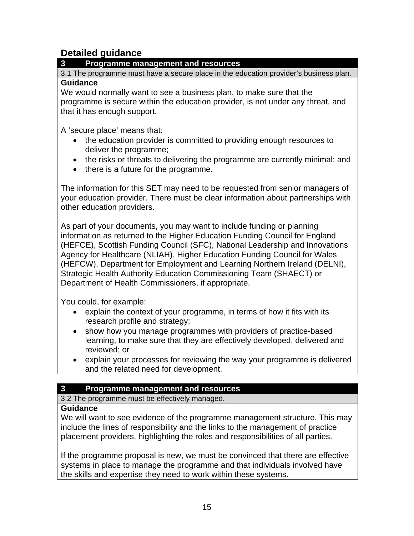## **Detailed guidance**

## **3 Programme management and resources**

3.1 The programme must have a secure place in the education provider's business plan. **Guidance** 

We would normally want to see a business plan, to make sure that the programme is secure within the education provider, is not under any threat, and that it has enough support.

A 'secure place' means that:

- the education provider is committed to providing enough resources to deliver the programme;
- the risks or threats to delivering the programme are currently minimal; and
- there is a future for the programme.

The information for this SET may need to be requested from senior managers of your education provider. There must be clear information about partnerships with other education providers.

As part of your documents, you may want to include funding or planning information as returned to the Higher Education Funding Council for England (HEFCE), Scottish Funding Council (SFC), National Leadership and Innovations Agency for Healthcare (NLIAH), Higher Education Funding Council for Wales (HEFCW), Department for Employment and Learning Northern Ireland (DELNI), Strategic Health Authority Education Commissioning Team (SHAECT) or Department of Health Commissioners, if appropriate.

You could, for example:

- explain the context of your programme, in terms of how it fits with its research profile and strategy;
- show how you manage programmes with providers of practice-based learning, to make sure that they are effectively developed, delivered and reviewed; or
- explain your processes for reviewing the way your programme is delivered and the related need for development.

## **3 Programme management and resources**

3.2 The programme must be effectively managed.

#### **Guidance**

We will want to see evidence of the programme management structure. This may include the lines of responsibility and the links to the management of practice placement providers, highlighting the roles and responsibilities of all parties.

If the programme proposal is new, we must be convinced that there are effective systems in place to manage the programme and that individuals involved have the skills and expertise they need to work within these systems.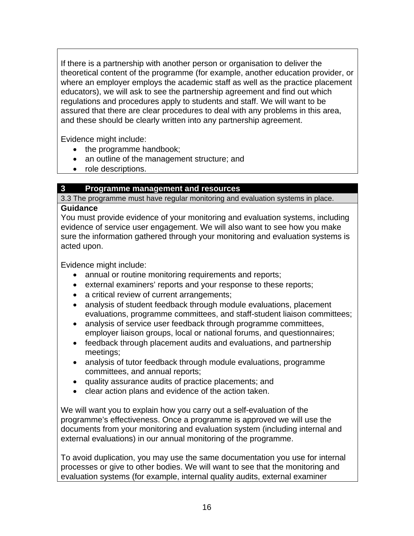If there is a partnership with another person or organisation to deliver the theoretical content of the programme (for example, another education provider, or where an employer employs the academic staff as well as the practice placement educators), we will ask to see the partnership agreement and find out which regulations and procedures apply to students and staff. We will want to be assured that there are clear procedures to deal with any problems in this area, and these should be clearly written into any partnership agreement.

Evidence might include:

- the programme handbook;
- an outline of the management structure; and
- role descriptions.

## **3 Programme management and resources**

3.3 The programme must have regular monitoring and evaluation systems in place.

## **Guidance**

You must provide evidence of your monitoring and evaluation systems, including evidence of service user engagement. We will also want to see how you make sure the information gathered through your monitoring and evaluation systems is acted upon.

Evidence might include:

- annual or routine monitoring requirements and reports;
- external examiners' reports and your response to these reports;
- a critical review of current arrangements;
- analysis of student feedback through module evaluations, placement evaluations, programme committees, and staff-student liaison committees;
- analysis of service user feedback through programme committees, employer liaison groups, local or national forums, and questionnaires;
- feedback through placement audits and evaluations, and partnership meetings;
- analysis of tutor feedback through module evaluations, programme committees, and annual reports;
- quality assurance audits of practice placements; and
- clear action plans and evidence of the action taken.

We will want you to explain how you carry out a self-evaluation of the programme's effectiveness. Once a programme is approved we will use the documents from your monitoring and evaluation system (including internal and external evaluations) in our annual monitoring of the programme.

To avoid duplication, you may use the same documentation you use for internal processes or give to other bodies. We will want to see that the monitoring and evaluation systems (for example, internal quality audits, external examiner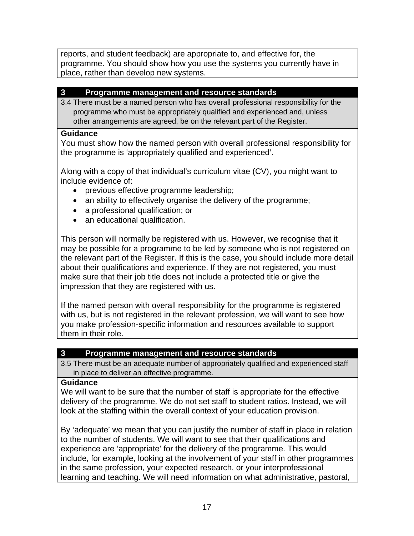reports, and student feedback) are appropriate to, and effective for, the programme. You should show how you use the systems you currently have in place, rather than develop new systems.

#### **3 Programme management and resource standards**

3.4 There must be a named person who has overall professional responsibility for the programme who must be appropriately qualified and experienced and, unless other arrangements are agreed, be on the relevant part of the Register.

#### **Guidance**

You must show how the named person with overall professional responsibility for the programme is 'appropriately qualified and experienced'.

Along with a copy of that individual's curriculum vitae (CV), you might want to include evidence of:

- previous effective programme leadership;
- an ability to effectively organise the delivery of the programme;
- a professional qualification; or
- an educational qualification.

This person will normally be registered with us. However, we recognise that it may be possible for a programme to be led by someone who is not registered on the relevant part of the Register. If this is the case, you should include more detail about their qualifications and experience. If they are not registered, you must make sure that their job title does not include a protected title or give the impression that they are registered with us.

If the named person with overall responsibility for the programme is registered with us, but is not registered in the relevant profession, we will want to see how you make profession-specific information and resources available to support them in their role.

## **3 Programme management and resource standards**

3.5 There must be an adequate number of appropriately qualified and experienced staff in place to deliver an effective programme.

#### **Guidance**

We will want to be sure that the number of staff is appropriate for the effective delivery of the programme. We do not set staff to student ratios. Instead, we will look at the staffing within the overall context of your education provision.

By 'adequate' we mean that you can justify the number of staff in place in relation to the number of students. We will want to see that their qualifications and experience are 'appropriate' for the delivery of the programme. This would include, for example, looking at the involvement of your staff in other programmes in the same profession, your expected research, or your interprofessional learning and teaching. We will need information on what administrative, pastoral,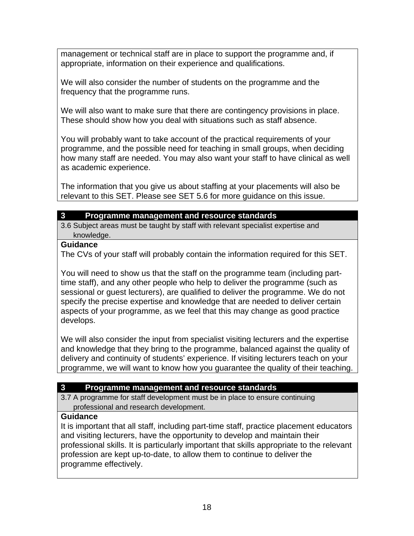management or technical staff are in place to support the programme and, if appropriate, information on their experience and qualifications.

We will also consider the number of students on the programme and the frequency that the programme runs.

We will also want to make sure that there are contingency provisions in place. These should show how you deal with situations such as staff absence.

You will probably want to take account of the practical requirements of your programme, and the possible need for teaching in small groups, when deciding how many staff are needed. You may also want your staff to have clinical as well as academic experience.

The information that you give us about staffing at your placements will also be relevant to this SET. Please see SET 5.6 for more guidance on this issue.

#### **3 Programme management and resource standards**

3.6 Subject areas must be taught by staff with relevant specialist expertise and knowledge.

#### **Guidance**

The CVs of your staff will probably contain the information required for this SET.

You will need to show us that the staff on the programme team (including parttime staff), and any other people who help to deliver the programme (such as sessional or guest lecturers), are qualified to deliver the programme. We do not specify the precise expertise and knowledge that are needed to deliver certain aspects of your programme, as we feel that this may change as good practice develops.

We will also consider the input from specialist visiting lecturers and the expertise and knowledge that they bring to the programme, balanced against the quality of delivery and continuity of students' experience. If visiting lecturers teach on your programme, we will want to know how you guarantee the quality of their teaching.

## **3 Programme management and resource standards**

3.7 A programme for staff development must be in place to ensure continuing professional and research development.

## **Guidance**

It is important that all staff, including part-time staff, practice placement educators and visiting lecturers, have the opportunity to develop and maintain their professional skills. It is particularly important that skills appropriate to the relevant profession are kept up-to-date, to allow them to continue to deliver the programme effectively.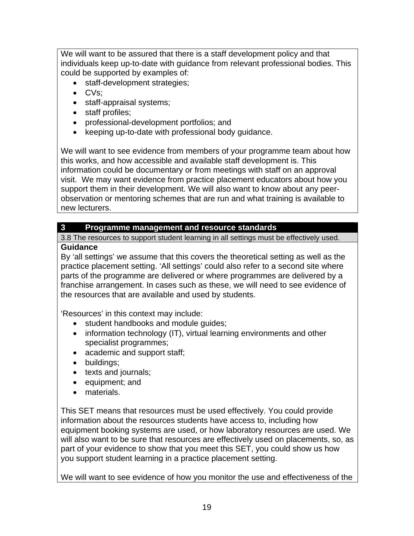We will want to be assured that there is a staff development policy and that individuals keep up-to-date with guidance from relevant professional bodies. This could be supported by examples of:

- staff-development strategies;
- CVs;
- staff-appraisal systems;
- staff profiles;
- professional-development portfolios; and
- keeping up-to-date with professional body guidance.

We will want to see evidence from members of your programme team about how this works, and how accessible and available staff development is. This information could be documentary or from meetings with staff on an approval visit. We may want evidence from practice placement educators about how you support them in their development. We will also want to know about any peerobservation or mentoring schemes that are run and what training is available to new lecturers.

## **3 Programme management and resource standards**

3.8 The resources to support student learning in all settings must be effectively used. **Guidance** 

By 'all settings' we assume that this covers the theoretical setting as well as the practice placement setting. 'All settings' could also refer to a second site where parts of the programme are delivered or where programmes are delivered by a franchise arrangement. In cases such as these, we will need to see evidence of the resources that are available and used by students.

'Resources' in this context may include:

- student handbooks and module guides;
- information technology (IT), virtual learning environments and other specialist programmes;
- academic and support staff;
- buildings;
- texts and journals;
- equipment; and
- materials.

This SET means that resources must be used effectively. You could provide information about the resources students have access to, including how equipment booking systems are used, or how laboratory resources are used. We will also want to be sure that resources are effectively used on placements, so, as part of your evidence to show that you meet this SET, you could show us how you support student learning in a practice placement setting.

We will want to see evidence of how you monitor the use and effectiveness of the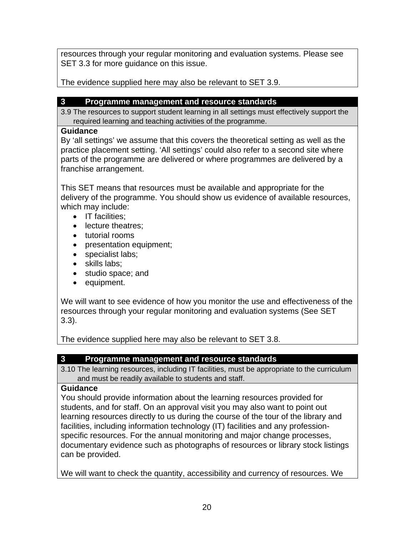resources through your regular monitoring and evaluation systems. Please see SET 3.3 for more guidance on this issue.

The evidence supplied here may also be relevant to SET 3.9.

## **3 Programme management and resource standards**

3.9 The resources to support student learning in all settings must effectively support the required learning and teaching activities of the programme.

## **Guidance**

By 'all settings' we assume that this covers the theoretical setting as well as the practice placement setting. 'All settings' could also refer to a second site where parts of the programme are delivered or where programmes are delivered by a franchise arrangement.

This SET means that resources must be available and appropriate for the delivery of the programme. You should show us evidence of available resources, which may include:

- IT facilities:
- lecture theatres;
- tutorial rooms
- presentation equipment;
- specialist labs;
- skills labs;
- studio space; and
- equipment.

We will want to see evidence of how you monitor the use and effectiveness of the resources through your regular monitoring and evaluation systems (See SET 3.3).

The evidence supplied here may also be relevant to SET 3.8.

## **3 Programme management and resource standards**

3.10 The learning resources, including IT facilities, must be appropriate to the curriculum and must be readily available to students and staff.

## **Guidance**

You should provide information about the learning resources provided for students, and for staff. On an approval visit you may also want to point out learning resources directly to us during the course of the tour of the library and facilities, including information technology (IT) facilities and any professionspecific resources. For the annual monitoring and major change processes, documentary evidence such as photographs of resources or library stock listings can be provided.

We will want to check the quantity, accessibility and currency of resources. We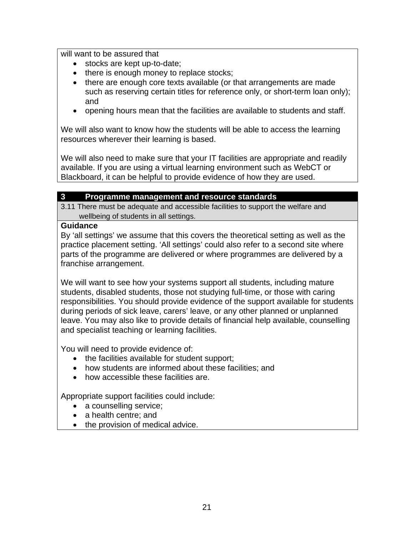will want to be assured that

- stocks are kept up-to-date;
- there is enough money to replace stocks;
- there are enough core texts available (or that arrangements are made such as reserving certain titles for reference only, or short-term loan only); and
- opening hours mean that the facilities are available to students and staff.

We will also want to know how the students will be able to access the learning resources wherever their learning is based.

We will also need to make sure that your IT facilities are appropriate and readily available. If you are using a virtual learning environment such as WebCT or Blackboard, it can be helpful to provide evidence of how they are used.

#### **3 Programme management and resource standards**

3.11 There must be adequate and accessible facilities to support the welfare and wellbeing of students in all settings.

#### **Guidance**

By 'all settings' we assume that this covers the theoretical setting as well as the practice placement setting. 'All settings' could also refer to a second site where parts of the programme are delivered or where programmes are delivered by a franchise arrangement.

We will want to see how your systems support all students, including mature students, disabled students, those not studying full-time, or those with caring responsibilities. You should provide evidence of the support available for students during periods of sick leave, carers' leave, or any other planned or unplanned leave. You may also like to provide details of financial help available, counselling and specialist teaching or learning facilities.

You will need to provide evidence of:

- the facilities available for student support;
- how students are informed about these facilities; and
- how accessible these facilities are.

Appropriate support facilities could include:

- a counselling service;
- a health centre; and
- the provision of medical advice.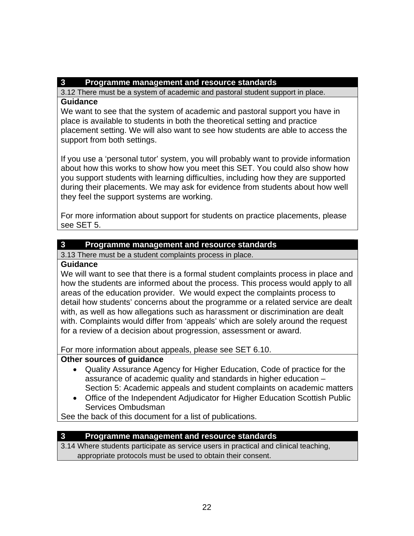### **3 Programme management and resource standards**

3.12 There must be a system of academic and pastoral student support in place.

#### **Guidance**

We want to see that the system of academic and pastoral support you have in place is available to students in both the theoretical setting and practice placement setting. We will also want to see how students are able to access the support from both settings.

If you use a 'personal tutor' system, you will probably want to provide information about how this works to show how you meet this SET. You could also show how you support students with learning difficulties, including how they are supported during their placements. We may ask for evidence from students about how well they feel the support systems are working.

For more information about support for students on practice placements, please see SET 5.

## **3 Programme management and resource standards**

3.13 There must be a student complaints process in place.

## **Guidance**

We will want to see that there is a formal student complaints process in place and how the students are informed about the process. This process would apply to all areas of the education provider. We would expect the complaints process to detail how students' concerns about the programme or a related service are dealt with, as well as how allegations such as harassment or discrimination are dealt with. Complaints would differ from 'appeals' which are solely around the request for a review of a decision about progression, assessment or award.

For more information about appeals, please see SET 6.10.

## **Other sources of guidance**

- Quality Assurance Agency for Higher Education, Code of practice for the assurance of academic quality and standards in higher education – Section 5: Academic appeals and student complaints on academic matters
- Office of the Independent Adjudicator for Higher Education Scottish Public Services Ombudsman

See the back of this document for a list of publications.

## **3 Programme management and resource standards**

3.14 Where students participate as service users in practical and clinical teaching, appropriate protocols must be used to obtain their consent.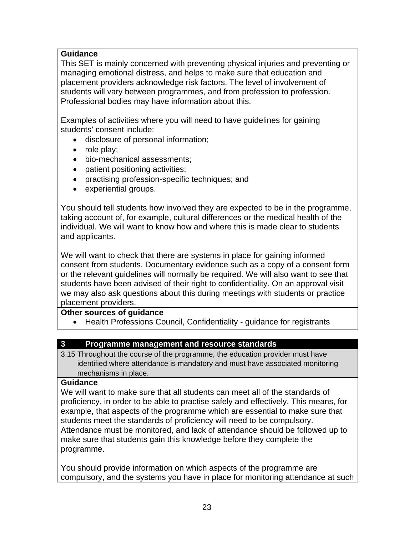## **Guidance**

This SET is mainly concerned with preventing physical injuries and preventing or managing emotional distress, and helps to make sure that education and placement providers acknowledge risk factors. The level of involvement of students will vary between programmes, and from profession to profession. Professional bodies may have information about this.

Examples of activities where you will need to have guidelines for gaining students' consent include:

- disclosure of personal information;
- role play;
- bio-mechanical assessments;
- patient positioning activities;
- practising profession-specific techniques; and
- experiential groups.

You should tell students how involved they are expected to be in the programme, taking account of, for example, cultural differences or the medical health of the individual. We will want to know how and where this is made clear to students and applicants.

We will want to check that there are systems in place for gaining informed consent from students. Documentary evidence such as a copy of a consent form or the relevant guidelines will normally be required. We will also want to see that students have been advised of their right to confidentiality. On an approval visit we may also ask questions about this during meetings with students or practice placement providers.

## **Other sources of guidance**

• Health Professions Council, Confidentiality - guidance for registrants

## **3 Programme management and resource standards**

3.15 Throughout the course of the programme, the education provider must have identified where attendance is mandatory and must have associated monitoring mechanisms in place.

#### **Guidance**

We will want to make sure that all students can meet all of the standards of proficiency, in order to be able to practise safely and effectively. This means, for example, that aspects of the programme which are essential to make sure that students meet the standards of proficiency will need to be compulsory. Attendance must be monitored, and lack of attendance should be followed up to make sure that students gain this knowledge before they complete the programme.

You should provide information on which aspects of the programme are compulsory, and the systems you have in place for monitoring attendance at such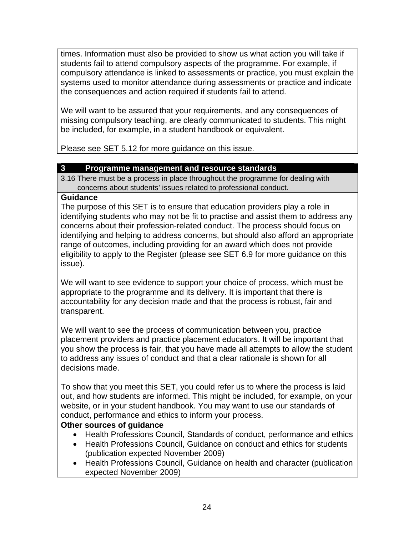times. Information must also be provided to show us what action you will take if students fail to attend compulsory aspects of the programme. For example, if compulsory attendance is linked to assessments or practice, you must explain the systems used to monitor attendance during assessments or practice and indicate the consequences and action required if students fail to attend.

We will want to be assured that your requirements, and any consequences of missing compulsory teaching, are clearly communicated to students. This might be included, for example, in a student handbook or equivalent.

Please see SET 5.12 for more guidance on this issue.

## **3 Programme management and resource standards**

3.16 There must be a process in place throughout the programme for dealing with concerns about students' issues related to professional conduct.

#### **Guidance**

The purpose of this SET is to ensure that education providers play a role in identifying students who may not be fit to practise and assist them to address any concerns about their profession-related conduct. The process should focus on identifying and helping to address concerns, but should also afford an appropriate range of outcomes, including providing for an award which does not provide eligibility to apply to the Register (please see SET 6.9 for more guidance on this issue).

We will want to see evidence to support your choice of process, which must be appropriate to the programme and its delivery. It is important that there is accountability for any decision made and that the process is robust, fair and transparent.

We will want to see the process of communication between you, practice placement providers and practice placement educators. It will be important that you show the process is fair, that you have made all attempts to allow the student to address any issues of conduct and that a clear rationale is shown for all decisions made.

To show that you meet this SET, you could refer us to where the process is laid out, and how students are informed. This might be included, for example, on your website, or in your student handbook. You may want to use our standards of conduct, performance and ethics to inform your process.

## **Other sources of guidance**

- Health Professions Council, Standards of conduct, performance and ethics
- Health Professions Council, Guidance on conduct and ethics for students (publication expected November 2009)
- Health Professions Council, Guidance on health and character (publication expected November 2009)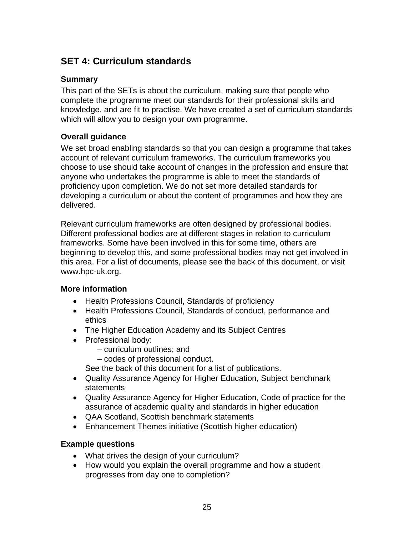## **SET 4: Curriculum standards**

#### **Summary**

This part of the SETs is about the curriculum, making sure that people who complete the programme meet our standards for their professional skills and knowledge, and are fit to practise. We have created a set of curriculum standards which will allow you to design your own programme.

## **Overall guidance**

We set broad enabling standards so that you can design a programme that takes account of relevant curriculum frameworks. The curriculum frameworks you choose to use should take account of changes in the profession and ensure that anyone who undertakes the programme is able to meet the standards of proficiency upon completion. We do not set more detailed standards for developing a curriculum or about the content of programmes and how they are delivered.

Relevant curriculum frameworks are often designed by professional bodies. Different professional bodies are at different stages in relation to curriculum frameworks. Some have been involved in this for some time, others are beginning to develop this, and some professional bodies may not get involved in this area. For a list of documents, please see the back of this document, or visit www.hpc-uk.org.

#### **More information**

- Health Professions Council, Standards of proficiency
- Health Professions Council, Standards of conduct, performance and ethics
- The Higher Education Academy and its Subject Centres
- Professional body:
	- curriculum outlines; and
	- codes of professional conduct.
	- See the back of this document for a list of publications.
- Quality Assurance Agency for Higher Education, Subject benchmark statements
- Quality Assurance Agency for Higher Education, Code of practice for the assurance of academic quality and standards in higher education
- QAA Scotland, Scottish benchmark statements
- Enhancement Themes initiative (Scottish higher education)

#### **Example questions**

- What drives the design of your curriculum?
- How would you explain the overall programme and how a student progresses from day one to completion?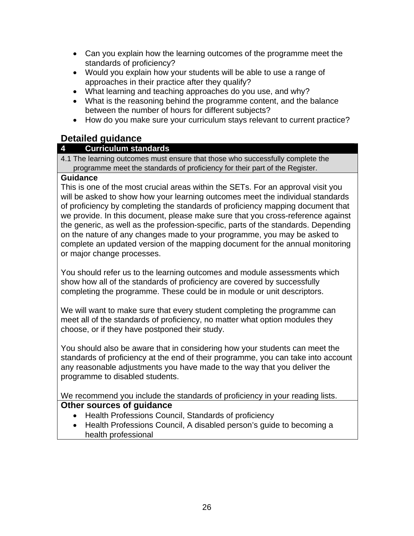- Can you explain how the learning outcomes of the programme meet the standards of proficiency?
- Would you explain how your students will be able to use a range of approaches in their practice after they qualify?
- What learning and teaching approaches do you use, and why?
- What is the reasoning behind the programme content, and the balance between the number of hours for different subjects?
- How do you make sure your curriculum stays relevant to current practice?

## **Detailed guidance**

## **4 Curriculum standards**

4.1 The learning outcomes must ensure that those who successfully complete the programme meet the standards of proficiency for their part of the Register.

## **Guidance**

This is one of the most crucial areas within the SETs. For an approval visit you will be asked to show how your learning outcomes meet the individual standards of proficiency by completing the standards of proficiency mapping document that we provide. In this document, please make sure that you cross-reference against the generic, as well as the profession-specific, parts of the standards. Depending on the nature of any changes made to your programme, you may be asked to complete an updated version of the mapping document for the annual monitoring or major change processes.

You should refer us to the learning outcomes and module assessments which show how all of the standards of proficiency are covered by successfully completing the programme. These could be in module or unit descriptors.

We will want to make sure that every student completing the programme can meet all of the standards of proficiency, no matter what option modules they choose, or if they have postponed their study.

You should also be aware that in considering how your students can meet the standards of proficiency at the end of their programme, you can take into account any reasonable adjustments you have made to the way that you deliver the programme to disabled students.

We recommend you include the standards of proficiency in your reading lists. **Other sources of guidance** 

- Health Professions Council, Standards of proficiency
- Health Professions Council, A disabled person's guide to becoming a health professional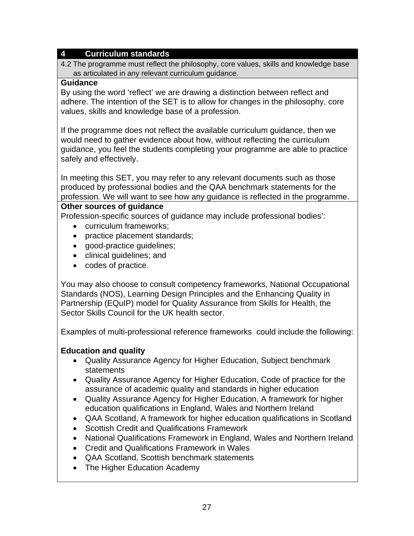#### **4 Curriculum standards**

4.2 The programme must reflect the philosophy, core values, skills and knowledge base as articulated in any relevant curriculum guidance.

#### **Guidance**

By using the word 'reflect' we are drawing a distinction between reflect and adhere. The intention of the SET is to allow for changes in the philosophy, core values, skills and knowledge base of a profession.

If the programme does not reflect the available curriculum guidance, then we would need to gather evidence about how, without reflecting the curriculum guidance, you feel the students completing your programme are able to practice safely and effectively.

In meeting this SET, you may refer to any relevant documents such as those produced by professional bodies and the QAA benchmark statements for the profession. We will want to see how any guidance is reflected in the programme.

#### **Other sources of guidance**

Profession-specific sources of guidance may include professional bodies':

- curriculum frameworks;
- practice placement standards;
- good-practice guidelines;
- clinical guidelines; and
- codes of practice.

You may also choose to consult competency frameworks, National Occupational Standards (NOS), Learning Design Principles and the Enhancing Quality in Partnership (EQuIP) model for Quality Assurance from Skills for Health, the Sector Skills Council for the UK health sector.

Examples of multi-professional reference frameworks could include the following:

## **Education and quality**

- Quality Assurance Agency for Higher Education, Subject benchmark statements
- Quality Assurance Agency for Higher Education, Code of practice for the assurance of academic quality and standards in higher education
- Quality Assurance Agency for Higher Education, A framework for higher education qualifications in England, Wales and Northern Ireland
- QAA Scotland, A framework for higher education qualifications in Scotland
- Scottish Credit and Qualifications Framework
- National Qualifications Framework in England, Wales and Northern Ireland
- Credit and Qualifications Framework in Wales
- QAA Scotland, Scottish benchmark statements
- The Higher Education Academy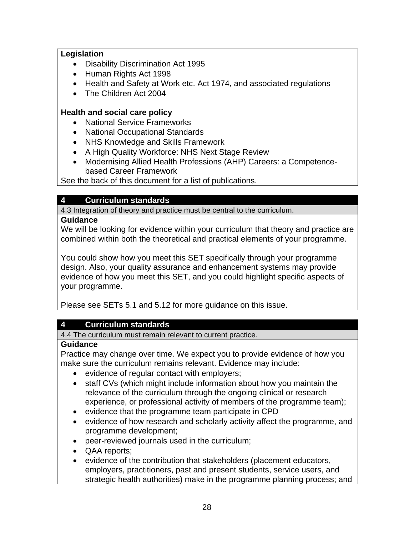## **Legislation**

- Disability Discrimination Act 1995
- Human Rights Act 1998
- Health and Safety at Work etc. Act 1974, and associated regulations
- The Children Act 2004

## **Health and social care policy**

- National Service Frameworks
- National Occupational Standards
- NHS Knowledge and Skills Framework
- A High Quality Workforce: NHS Next Stage Review
- Modernising Allied Health Professions (AHP) Careers: a Competencebased Career Framework

See the back of this document for a list of publications.

## **4 Curriculum standards**

4.3 Integration of theory and practice must be central to the curriculum.

#### **Guidance**

We will be looking for evidence within your curriculum that theory and practice are combined within both the theoretical and practical elements of your programme.

You could show how you meet this SET specifically through your programme design. Also, your quality assurance and enhancement systems may provide evidence of how you meet this SET, and you could highlight specific aspects of your programme.

Please see SETs 5.1 and 5.12 for more guidance on this issue.

## **4 Curriculum standards**

4.4 The curriculum must remain relevant to current practice.

## **Guidance**

Practice may change over time. We expect you to provide evidence of how you make sure the curriculum remains relevant. Evidence may include:

- evidence of regular contact with employers;
- staff CVs (which might include information about how you maintain the relevance of the curriculum through the ongoing clinical or research experience, or professional activity of members of the programme team);
- evidence that the programme team participate in CPD
- evidence of how research and scholarly activity affect the programme, and programme development;
- peer-reviewed journals used in the curriculum;
- QAA reports;
- evidence of the contribution that stakeholders (placement educators, employers, practitioners, past and present students, service users, and strategic health authorities) make in the programme planning process; and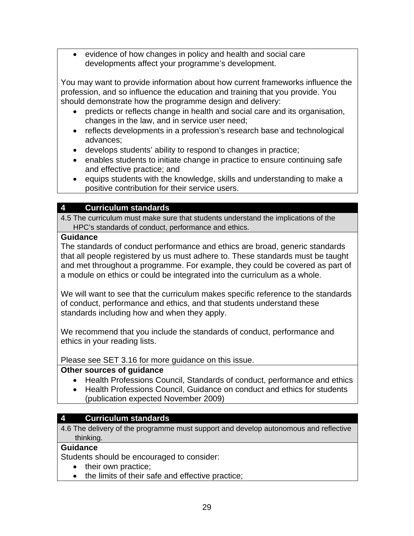• evidence of how changes in policy and health and social care developments affect your programme's development.

You may want to provide information about how current frameworks influence the profession, and so influence the education and training that you provide. You should demonstrate how the programme design and delivery:

- predicts or reflects change in health and social care and its organisation, changes in the law, and in service user need;
- reflects developments in a profession's research base and technological advances;
- develops students' ability to respond to changes in practice;
- enables students to initiate change in practice to ensure continuing safe and effective practice; and
- equips students with the knowledge, skills and understanding to make a positive contribution for their service users.

## **4 Curriculum standards**

4.5 The curriculum must make sure that students understand the implications of the HPC's standards of conduct, performance and ethics.

#### **Guidance**

The standards of conduct performance and ethics are broad, generic standards that all people registered by us must adhere to. These standards must be taught and met throughout a programme. For example, they could be covered as part of a module on ethics or could be integrated into the curriculum as a whole.

We will want to see that the curriculum makes specific reference to the standards of conduct, performance and ethics, and that students understand these standards including how and when they apply.

We recommend that you include the standards of conduct, performance and ethics in your reading lists.

#### Please see SET 3.16 for more guidance on this issue.

## **Other sources of guidance**

- Health Professions Council, Standards of conduct, performance and ethics
- Health Professions Council, Guidance on conduct and ethics for students (publication expected November 2009)

## **4 Curriculum standards**

4.6 The delivery of the programme must support and develop autonomous and reflective thinking.

#### **Guidance**

Students should be encouraged to consider:

- their own practice;
- the limits of their safe and effective practice;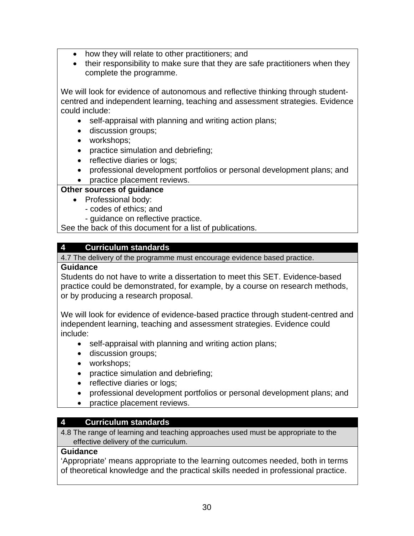- how they will relate to other practitioners; and
- their responsibility to make sure that they are safe practitioners when they complete the programme.

We will look for evidence of autonomous and reflective thinking through studentcentred and independent learning, teaching and assessment strategies. Evidence could include:

- self-appraisal with planning and writing action plans;
- discussion groups;
- workshops;
- practice simulation and debriefing;
- reflective diaries or logs;
- professional development portfolios or personal development plans; and
- practice placement reviews.

#### **Other sources of guidance**

- Professional body:
	- codes of ethics; and
	- guidance on reflective practice.

See the back of this document for a list of publications.

#### **4 Curriculum standards**

4.7 The delivery of the programme must encourage evidence based practice.

#### **Guidance**

Students do not have to write a dissertation to meet this SET. Evidence-based practice could be demonstrated, for example, by a course on research methods, or by producing a research proposal.

We will look for evidence of evidence-based practice through student-centred and independent learning, teaching and assessment strategies. Evidence could include:

- self-appraisal with planning and writing action plans;
- discussion groups;
- workshops;
- practice simulation and debriefing;
- reflective diaries or logs;
- professional development portfolios or personal development plans; and
- practice placement reviews.

## **4 Curriculum standards**

4.8 The range of learning and teaching approaches used must be appropriate to the effective delivery of the curriculum.

#### **Guidance**

'Appropriate' means appropriate to the learning outcomes needed, both in terms of theoretical knowledge and the practical skills needed in professional practice.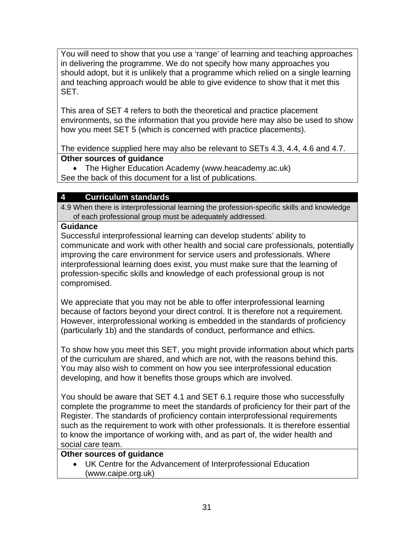You will need to show that you use a 'range' of learning and teaching approaches in delivering the programme. We do not specify how many approaches you should adopt, but it is unlikely that a programme which relied on a single learning and teaching approach would be able to give evidence to show that it met this SET.

This area of SET 4 refers to both the theoretical and practice placement environments, so the information that you provide here may also be used to show how you meet SET 5 (which is concerned with practice placements).

The evidence supplied here may also be relevant to SETs 4.3, 4.4, 4.6 and 4.7. **Other sources of guidance** 

• The Higher Education Academy (www.heacademy.ac.uk)

See the back of this document for a list of publications.

## **4 Curriculum standards**

4.9 When there is interprofessional learning the profession-specific skills and knowledge of each professional group must be adequately addressed.

### **Guidance**

Successful interprofessional learning can develop students' ability to communicate and work with other health and social care professionals, potentially improving the care environment for service users and professionals. Where interprofessional learning does exist, you must make sure that the learning of profession-specific skills and knowledge of each professional group is not compromised.

We appreciate that you may not be able to offer interprofessional learning because of factors beyond your direct control. It is therefore not a requirement. However, interprofessional working is embedded in the standards of proficiency (particularly 1b) and the standards of conduct, performance and ethics.

To show how you meet this SET, you might provide information about which parts of the curriculum are shared, and which are not, with the reasons behind this. You may also wish to comment on how you see interprofessional education developing, and how it benefits those groups which are involved.

You should be aware that SET 4.1 and SET 6.1 require those who successfully complete the programme to meet the standards of proficiency for their part of the Register. The standards of proficiency contain interprofessional requirements such as the requirement to work with other professionals. It is therefore essential to know the importance of working with, and as part of, the wider health and social care team.

### **Other sources of guidance**

• UK Centre for the Advancement of Interprofessional Education (www.caipe.org.uk)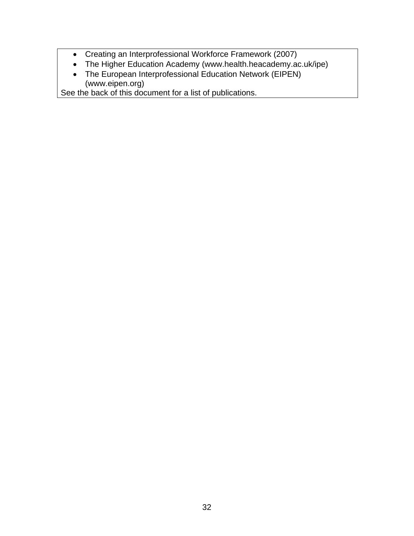- Creating an Interprofessional Workforce Framework (2007)
- The Higher Education Academy (www.health.heacademy.ac.uk/ipe)
- The European Interprofessional Education Network (EIPEN) (www.eipen.org)

See the back of this document for a list of publications.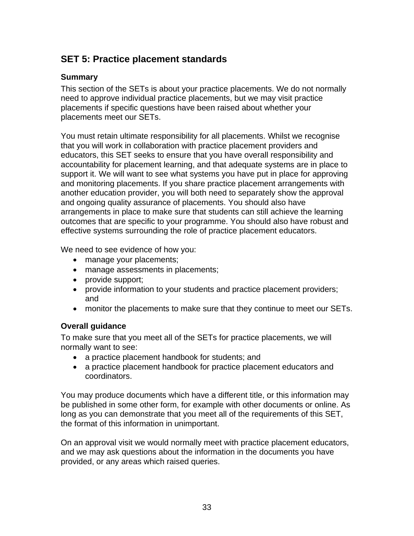# **SET 5: Practice placement standards**

### **Summary**

This section of the SETs is about your practice placements. We do not normally need to approve individual practice placements, but we may visit practice placements if specific questions have been raised about whether your placements meet our SETs.

You must retain ultimate responsibility for all placements. Whilst we recognise that you will work in collaboration with practice placement providers and educators, this SET seeks to ensure that you have overall responsibility and accountability for placement learning, and that adequate systems are in place to support it. We will want to see what systems you have put in place for approving and monitoring placements. If you share practice placement arrangements with another education provider, you will both need to separately show the approval and ongoing quality assurance of placements. You should also have arrangements in place to make sure that students can still achieve the learning outcomes that are specific to your programme. You should also have robust and effective systems surrounding the role of practice placement educators.

We need to see evidence of how you:

- manage your placements;
- manage assessments in placements;
- provide support;
- provide information to your students and practice placement providers; and
- monitor the placements to make sure that they continue to meet our SETs.

### **Overall guidance**

To make sure that you meet all of the SETs for practice placements, we will normally want to see:

- a practice placement handbook for students; and
- a practice placement handbook for practice placement educators and coordinators.

You may produce documents which have a different title, or this information may be published in some other form, for example with other documents or online. As long as you can demonstrate that you meet all of the requirements of this SET, the format of this information in unimportant.

On an approval visit we would normally meet with practice placement educators, and we may ask questions about the information in the documents you have provided, or any areas which raised queries.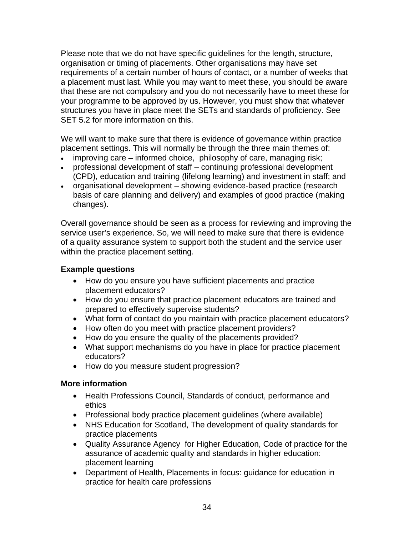Please note that we do not have specific guidelines for the length, structure, organisation or timing of placements. Other organisations may have set requirements of a certain number of hours of contact, or a number of weeks that a placement must last. While you may want to meet these, you should be aware that these are not compulsory and you do not necessarily have to meet these for your programme to be approved by us. However, you must show that whatever structures you have in place meet the SETs and standards of proficiency. See SET 5.2 for more information on this.

We will want to make sure that there is evidence of governance within practice placement settings. This will normally be through the three main themes of:

- improving care informed choice, philosophy of care, managing risk;
- professional development of staff continuing professional development (CPD), education and training (lifelong learning) and investment in staff; and
- organisational development showing evidence-based practice (research basis of care planning and delivery) and examples of good practice (making changes).

Overall governance should be seen as a process for reviewing and improving the service user's experience. So, we will need to make sure that there is evidence of a quality assurance system to support both the student and the service user within the practice placement setting.

#### **Example questions**

- How do you ensure you have sufficient placements and practice placement educators?
- How do you ensure that practice placement educators are trained and prepared to effectively supervise students?
- What form of contact do you maintain with practice placement educators?
- How often do you meet with practice placement providers?
- How do you ensure the quality of the placements provided?
- What support mechanisms do you have in place for practice placement educators?
- How do you measure student progression?

#### **More information**

- Health Professions Council, Standards of conduct, performance and ethics
- Professional body practice placement guidelines (where available)
- NHS Education for Scotland, The development of quality standards for practice placements
- Quality Assurance Agency for Higher Education, Code of practice for the assurance of academic quality and standards in higher education: placement learning
- Department of Health, Placements in focus: guidance for education in practice for health care professions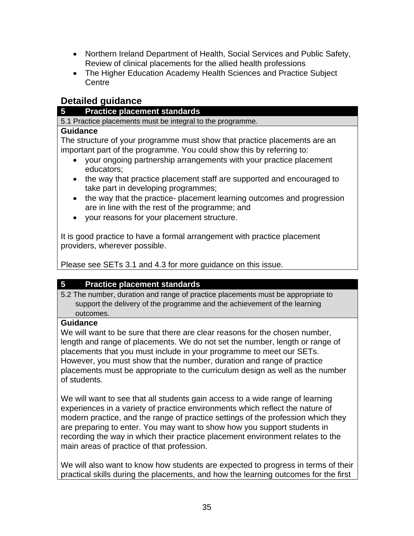- Northern Ireland Department of Health, Social Services and Public Safety, Review of clinical placements for the allied health professions
- The Higher Education Academy Health Sciences and Practice Subject **Centre**

## **Detailed guidance**

#### **5 Practice placement standards**

5.1 Practice placements must be integral to the programme.

#### **Guidance**

The structure of your programme must show that practice placements are an important part of the programme. You could show this by referring to:

- your ongoing partnership arrangements with your practice placement educators;
- the way that practice placement staff are supported and encouraged to take part in developing programmes;
- the way that the practice- placement learning outcomes and progression are in line with the rest of the programme; and
- your reasons for your placement structure.

It is good practice to have a formal arrangement with practice placement providers, wherever possible.

Please see SETs 3.1 and 4.3 for more guidance on this issue.

### **5 Practice placement standards**

5.2 The number, duration and range of practice placements must be appropriate to support the delivery of the programme and the achievement of the learning outcomes.

### **Guidance**

We will want to be sure that there are clear reasons for the chosen number, length and range of placements. We do not set the number, length or range of placements that you must include in your programme to meet our SETs. However, you must show that the number, duration and range of practice placements must be appropriate to the curriculum design as well as the number of students.

We will want to see that all students gain access to a wide range of learning experiences in a variety of practice environments which reflect the nature of modern practice, and the range of practice settings of the profession which they are preparing to enter. You may want to show how you support students in recording the way in which their practice placement environment relates to the main areas of practice of that profession.

We will also want to know how students are expected to progress in terms of their practical skills during the placements, and how the learning outcomes for the first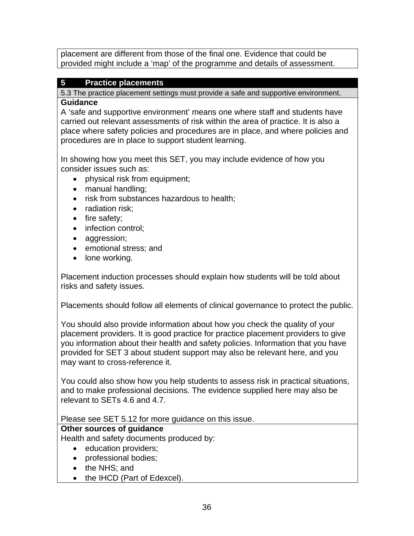placement are different from those of the final one. Evidence that could be provided might include a 'map' of the programme and details of assessment.

## **5 Practice placements**

5.3 The practice placement settings must provide a safe and supportive environment.

#### **Guidance**

A 'safe and supportive environment' means one where staff and students have carried out relevant assessments of risk within the area of practice. It is also a place where safety policies and procedures are in place, and where policies and procedures are in place to support student learning.

In showing how you meet this SET, you may include evidence of how you consider issues such as:

- physical risk from equipment;
- manual handling;
- risk from substances hazardous to health;
- radiation risk;
- fire safety;
- infection control;
- aggression;
- emotional stress; and
- lone working.

Placement induction processes should explain how students will be told about risks and safety issues.

Placements should follow all elements of clinical governance to protect the public.

You should also provide information about how you check the quality of your placement providers. It is good practice for practice placement providers to give you information about their health and safety policies. Information that you have provided for SET 3 about student support may also be relevant here, and you may want to cross-reference it.

You could also show how you help students to assess risk in practical situations, and to make professional decisions. The evidence supplied here may also be relevant to SETs 4.6 and 4.7.

### Please see SET 5.12 for more guidance on this issue.

### **Other sources of guidance**

Health and safety documents produced by:

- education providers;
- professional bodies;
- the NHS; and
- the IHCD (Part of Edexcel).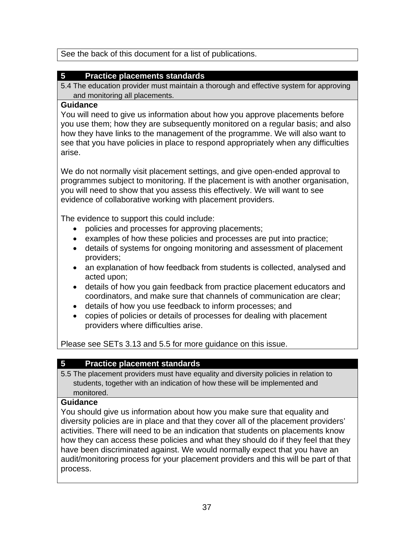See the back of this document for a list of publications.

## **5 Practice placements standards**

5.4 The education provider must maintain a thorough and effective system for approving and monitoring all placements.

#### **Guidance**

You will need to give us information about how you approve placements before you use them; how they are subsequently monitored on a regular basis; and also how they have links to the management of the programme. We will also want to see that you have policies in place to respond appropriately when any difficulties arise.

We do not normally visit placement settings, and give open-ended approval to programmes subject to monitoring. If the placement is with another organisation, you will need to show that you assess this effectively. We will want to see evidence of collaborative working with placement providers.

The evidence to support this could include:

- policies and processes for approving placements;
- examples of how these policies and processes are put into practice;
- details of systems for ongoing monitoring and assessment of placement providers;
- an explanation of how feedback from students is collected, analysed and acted upon;
- details of how you gain feedback from practice placement educators and coordinators, and make sure that channels of communication are clear;
- details of how you use feedback to inform processes; and
- copies of policies or details of processes for dealing with placement providers where difficulties arise.

Please see SETs 3.13 and 5.5 for more guidance on this issue.

## **5 Practice placement standards**

5.5 The placement providers must have equality and diversity policies in relation to students, together with an indication of how these will be implemented and monitored.

## **Guidance**

You should give us information about how you make sure that equality and diversity policies are in place and that they cover all of the placement providers' activities. There will need to be an indication that students on placements know how they can access these policies and what they should do if they feel that they have been discriminated against. We would normally expect that you have an audit/monitoring process for your placement providers and this will be part of that process.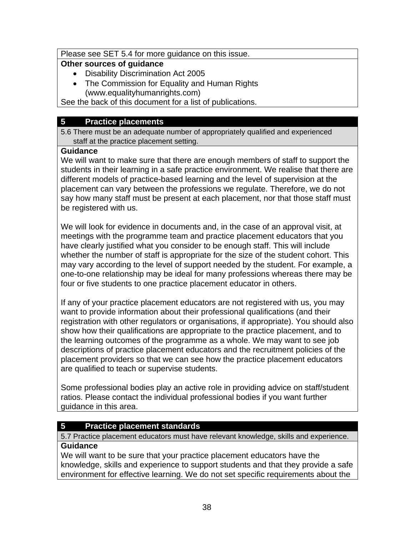#### Please see SET 5.4 for more guidance on this issue.

#### **Other sources of guidance**

- Disability Discrimination Act 2005
- The Commission for Equality and Human Rights (www.equalityhumanrights.com)

See the back of this document for a list of publications.

### **5 Practice placements**

5.6 There must be an adequate number of appropriately qualified and experienced staff at the practice placement setting.

#### **Guidance**

We will want to make sure that there are enough members of staff to support the students in their learning in a safe practice environment. We realise that there are different models of practice-based learning and the level of supervision at the placement can vary between the professions we regulate. Therefore, we do not say how many staff must be present at each placement, nor that those staff must be registered with us.

We will look for evidence in documents and, in the case of an approval visit, at meetings with the programme team and practice placement educators that you have clearly justified what you consider to be enough staff. This will include whether the number of staff is appropriate for the size of the student cohort. This may vary according to the level of support needed by the student. For example, a one-to-one relationship may be ideal for many professions whereas there may be four or five students to one practice placement educator in others.

If any of your practice placement educators are not registered with us, you may want to provide information about their professional qualifications (and their registration with other regulators or organisations, if appropriate). You should also show how their qualifications are appropriate to the practice placement, and to the learning outcomes of the programme as a whole. We may want to see job descriptions of practice placement educators and the recruitment policies of the placement providers so that we can see how the practice placement educators are qualified to teach or supervise students.

Some professional bodies play an active role in providing advice on staff/student ratios. Please contact the individual professional bodies if you want further guidance in this area.

## **5 Practice placement standards**

5.7 Practice placement educators must have relevant knowledge, skills and experience. **Guidance** 

We will want to be sure that your practice placement educators have the knowledge, skills and experience to support students and that they provide a safe environment for effective learning. We do not set specific requirements about the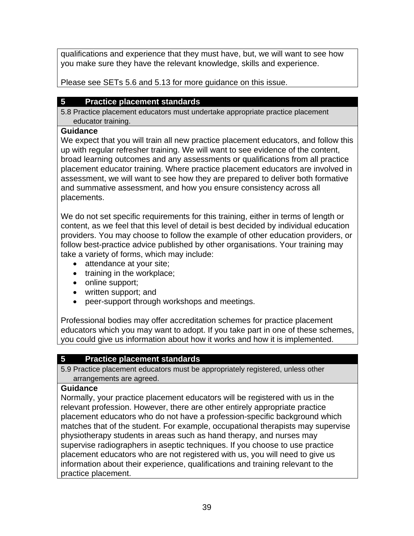qualifications and experience that they must have, but, we will want to see how you make sure they have the relevant knowledge, skills and experience.

Please see SETs 5.6 and 5.13 for more guidance on this issue.

## **5 Practice placement standards**

5.8 Practice placement educators must undertake appropriate practice placement educator training.

### **Guidance**

We expect that you will train all new practice placement educators, and follow this up with regular refresher training. We will want to see evidence of the content, broad learning outcomes and any assessments or qualifications from all practice placement educator training. Where practice placement educators are involved in assessment, we will want to see how they are prepared to deliver both formative and summative assessment, and how you ensure consistency across all placements.

We do not set specific requirements for this training, either in terms of length or content, as we feel that this level of detail is best decided by individual education providers. You may choose to follow the example of other education providers, or follow best-practice advice published by other organisations. Your training may take a variety of forms, which may include:

- attendance at your site;
- training in the workplace;
- online support;
- written support; and
- peer-support through workshops and meetings.

Professional bodies may offer accreditation schemes for practice placement educators which you may want to adopt. If you take part in one of these schemes, you could give us information about how it works and how it is implemented.

## **5 Practice placement standards**

5.9 Practice placement educators must be appropriately registered, unless other arrangements are agreed.

### **Guidance**

Normally, your practice placement educators will be registered with us in the relevant profession. However, there are other entirely appropriate practice placement educators who do not have a profession-specific background which matches that of the student. For example, occupational therapists may supervise physiotherapy students in areas such as hand therapy, and nurses may supervise radiographers in aseptic techniques. If you choose to use practice placement educators who are not registered with us, you will need to give us information about their experience, qualifications and training relevant to the practice placement.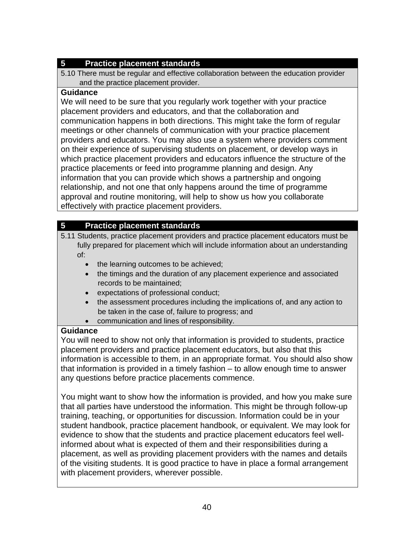## **5 Practice placement standards**

5.10 There must be regular and effective collaboration between the education provider and the practice placement provider.

#### **Guidance**

We will need to be sure that you regularly work together with your practice placement providers and educators, and that the collaboration and communication happens in both directions. This might take the form of regular meetings or other channels of communication with your practice placement providers and educators. You may also use a system where providers comment on their experience of supervising students on placement, or develop ways in which practice placement providers and educators influence the structure of the practice placements or feed into programme planning and design. Any information that you can provide which shows a partnership and ongoing relationship, and not one that only happens around the time of programme approval and routine monitoring, will help to show us how you collaborate effectively with practice placement providers.

## **5 Practice placement standards**

- 5.11 Students, practice placement providers and practice placement educators must be fully prepared for placement which will include information about an understanding of:
	- the learning outcomes to be achieved;
	- the timings and the duration of any placement experience and associated records to be maintained;
	- expectations of professional conduct;
	- the assessment procedures including the implications of, and any action to be taken in the case of, failure to progress; and
	- communication and lines of responsibility.

### **Guidance**

You will need to show not only that information is provided to students, practice placement providers and practice placement educators, but also that this information is accessible to them, in an appropriate format. You should also show that information is provided in a timely fashion – to allow enough time to answer any questions before practice placements commence.

You might want to show how the information is provided, and how you make sure that all parties have understood the information. This might be through follow-up training, teaching, or opportunities for discussion. Information could be in your student handbook, practice placement handbook, or equivalent. We may look for evidence to show that the students and practice placement educators feel wellinformed about what is expected of them and their responsibilities during a placement, as well as providing placement providers with the names and details of the visiting students. It is good practice to have in place a formal arrangement with placement providers, wherever possible.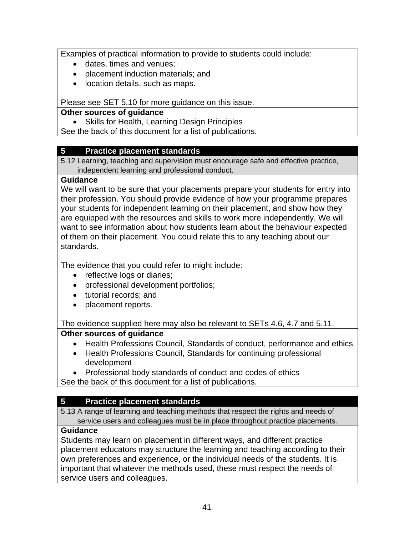Examples of practical information to provide to students could include:

- dates, times and venues;
- placement induction materials; and
- location details, such as maps.

Please see SET 5.10 for more guidance on this issue.

#### **Other sources of guidance**

• Skills for Health, Learning Design Principles

See the back of this document for a list of publications.

### **5 Practice placement standards**

5.12 Learning, teaching and supervision must encourage safe and effective practice, independent learning and professional conduct.

#### **Guidance**

We will want to be sure that your placements prepare your students for entry into their profession. You should provide evidence of how your programme prepares your students for independent learning on their placement, and show how they are equipped with the resources and skills to work more independently. We will want to see information about how students learn about the behaviour expected of them on their placement. You could relate this to any teaching about our standards.

The evidence that you could refer to might include:

- reflective logs or diaries;
- professional development portfolios;
- tutorial records; and
- placement reports.

The evidence supplied here may also be relevant to SETs 4.6, 4.7 and 5.11.

### **Other sources of guidance**

- Health Professions Council, Standards of conduct, performance and ethics
- Health Professions Council, Standards for continuing professional development

• Professional body standards of conduct and codes of ethics

See the back of this document for a list of publications.

## **5 Practice placement standards**

5.13 A range of learning and teaching methods that respect the rights and needs of service users and colleagues must be in place throughout practice placements.

### **Guidance**

Students may learn on placement in different ways, and different practice placement educators may structure the learning and teaching according to their own preferences and experience, or the individual needs of the students. It is important that whatever the methods used, these must respect the needs of service users and colleagues.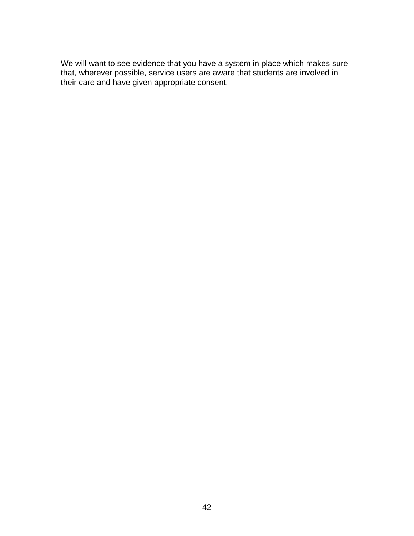We will want to see evidence that you have a system in place which makes sure that, wherever possible, service users are aware that students are involved in their care and have given appropriate consent.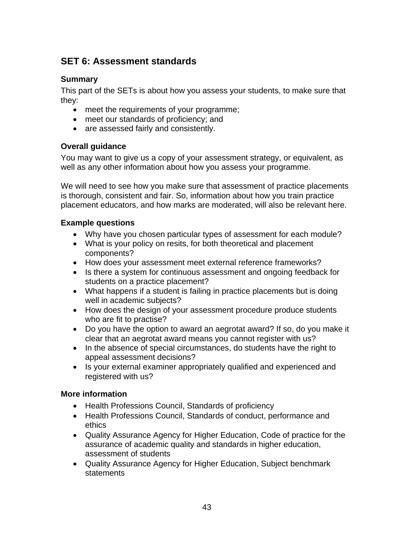# **SET 6: Assessment standards**

#### **Summary**

This part of the SETs is about how you assess your students, to make sure that they:

- meet the requirements of your programme;
- meet our standards of proficiency; and
- are assessed fairly and consistently.

### **Overall guidance**

You may want to give us a copy of your assessment strategy, or equivalent, as well as any other information about how you assess your programme.

We will need to see how you make sure that assessment of practice placements is thorough, consistent and fair. So, information about how you train practice placement educators, and how marks are moderated, will also be relevant here.

#### **Example questions**

- Why have you chosen particular types of assessment for each module?
- What is your policy on resits, for both theoretical and placement components?
- How does your assessment meet external reference frameworks?
- Is there a system for continuous assessment and ongoing feedback for students on a practice placement?
- What happens if a student is failing in practice placements but is doing well in academic subjects?
- How does the design of your assessment procedure produce students who are fit to practise?
- Do you have the option to award an aegrotat award? If so, do you make it clear that an aegrotat award means you cannot register with us?
- In the absence of special circumstances, do students have the right to appeal assessment decisions?
- Is your external examiner appropriately qualified and experienced and registered with us?

#### **More information**

- Health Professions Council, Standards of proficiency
- Health Professions Council, Standards of conduct, performance and ethics
- Quality Assurance Agency for Higher Education, Code of practice for the assurance of academic quality and standards in higher education, assessment of students
- Quality Assurance Agency for Higher Education, Subject benchmark statements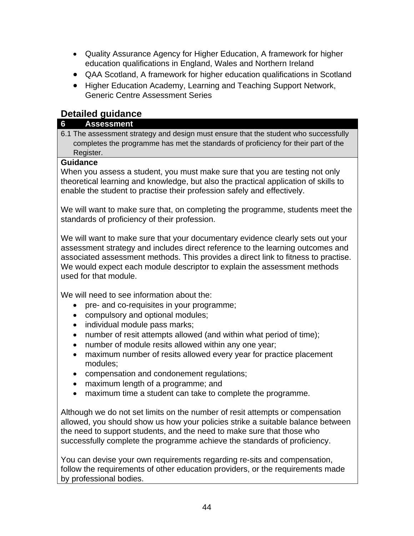- Quality Assurance Agency for Higher Education, A framework for higher education qualifications in England, Wales and Northern Ireland
- QAA Scotland, A framework for higher education qualifications in Scotland
- Higher Education Academy, Learning and Teaching Support Network, Generic Centre Assessment Series

# **Detailed guidance**

#### **6 Assessment**

6.1 The assessment strategy and design must ensure that the student who successfully completes the programme has met the standards of proficiency for their part of the Register.

#### **Guidance**

When you assess a student, you must make sure that you are testing not only theoretical learning and knowledge, but also the practical application of skills to enable the student to practise their profession safely and effectively.

We will want to make sure that, on completing the programme, students meet the standards of proficiency of their profession.

We will want to make sure that your documentary evidence clearly sets out your assessment strategy and includes direct reference to the learning outcomes and associated assessment methods. This provides a direct link to fitness to practise. We would expect each module descriptor to explain the assessment methods used for that module.

We will need to see information about the:

- pre- and co-requisites in your programme;
- compulsory and optional modules;
- individual module pass marks;
- number of resit attempts allowed (and within what period of time);
- number of module resits allowed within any one year;
- maximum number of resits allowed every year for practice placement modules;
- compensation and condonement regulations;
- maximum length of a programme; and
- maximum time a student can take to complete the programme.

Although we do not set limits on the number of resit attempts or compensation allowed, you should show us how your policies strike a suitable balance between the need to support students, and the need to make sure that those who successfully complete the programme achieve the standards of proficiency.

You can devise your own requirements regarding re-sits and compensation, follow the requirements of other education providers, or the requirements made by professional bodies.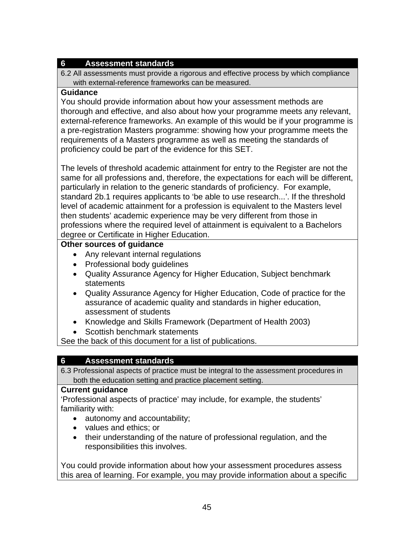6.2 All assessments must provide a rigorous and effective process by which compliance with external-reference frameworks can be measured.

#### **Guidance**

You should provide information about how your assessment methods are thorough and effective, and also about how your programme meets any relevant, external-reference frameworks. An example of this would be if your programme is a pre-registration Masters programme: showing how your programme meets the requirements of a Masters programme as well as meeting the standards of proficiency could be part of the evidence for this SET.

The levels of threshold academic attainment for entry to the Register are not the same for all professions and, therefore, the expectations for each will be different, particularly in relation to the generic standards of proficiency. For example, standard 2b.1 requires applicants to 'be able to use research...'. If the threshold level of academic attainment for a profession is equivalent to the Masters level then students' academic experience may be very different from those in professions where the required level of attainment is equivalent to a Bachelors degree or Certificate in Higher Education.

#### **Other sources of guidance**

- Any relevant internal regulations
- Professional body guidelines
- Quality Assurance Agency for Higher Education, Subject benchmark statements
- Quality Assurance Agency for Higher Education, Code of practice for the assurance of academic quality and standards in higher education, assessment of students
- Knowledge and Skills Framework (Department of Health 2003)
- Scottish benchmark statements

See the back of this document for a list of publications.

### **6 Assessment standards**

6.3 Professional aspects of practice must be integral to the assessment procedures in both the education setting and practice placement setting.

#### **Current guidance**

'Professional aspects of practice' may include, for example, the students' familiarity with:

- autonomy and accountability;
- values and ethics; or
- their understanding of the nature of professional regulation, and the responsibilities this involves.

You could provide information about how your assessment procedures assess this area of learning. For example, you may provide information about a specific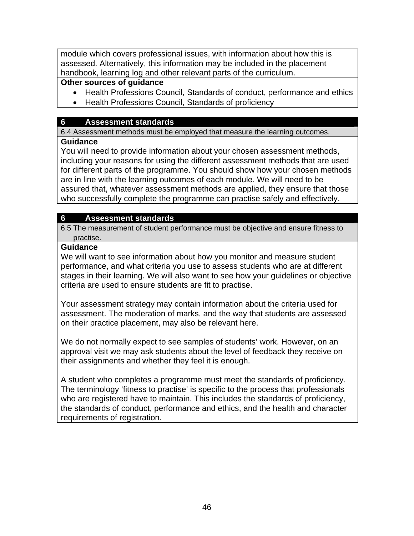module which covers professional issues, with information about how this is assessed. Alternatively, this information may be included in the placement handbook, learning log and other relevant parts of the curriculum.

### **Other sources of guidance**

- Health Professions Council, Standards of conduct, performance and ethics
- Health Professions Council, Standards of proficiency

### **6 Assessment standards**

6.4 Assessment methods must be employed that measure the learning outcomes.

#### **Guidance**

You will need to provide information about your chosen assessment methods, including your reasons for using the different assessment methods that are used for different parts of the programme. You should show how your chosen methods are in line with the learning outcomes of each module. We will need to be assured that, whatever assessment methods are applied, they ensure that those who successfully complete the programme can practise safely and effectively.

### **6 Assessment standards**

6.5 The measurement of student performance must be objective and ensure fitness to practise.

#### **Guidance**

We will want to see information about how you monitor and measure student performance, and what criteria you use to assess students who are at different stages in their learning. We will also want to see how your guidelines or objective criteria are used to ensure students are fit to practise.

Your assessment strategy may contain information about the criteria used for assessment. The moderation of marks, and the way that students are assessed on their practice placement, may also be relevant here.

We do not normally expect to see samples of students' work. However, on an approval visit we may ask students about the level of feedback they receive on their assignments and whether they feel it is enough.

A student who completes a programme must meet the standards of proficiency. The terminology 'fitness to practise' is specific to the process that professionals who are registered have to maintain. This includes the standards of proficiency, the standards of conduct, performance and ethics, and the health and character requirements of registration.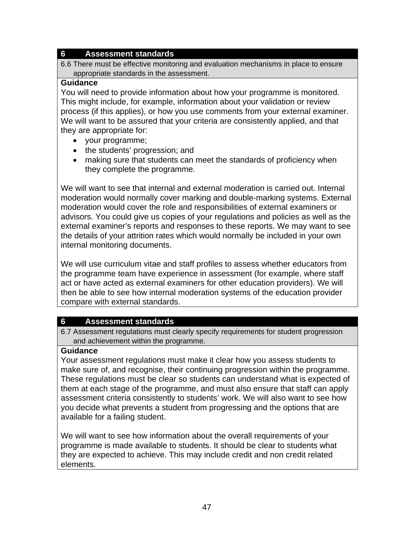6.6 There must be effective monitoring and evaluation mechanisms in place to ensure appropriate standards in the assessment.

#### **Guidance**

You will need to provide information about how your programme is monitored. This might include, for example, information about your validation or review process (if this applies), or how you use comments from your external examiner. We will want to be assured that your criteria are consistently applied, and that they are appropriate for:

- your programme;
- the students' progression; and
- making sure that students can meet the standards of proficiency when they complete the programme.

We will want to see that internal and external moderation is carried out. Internal moderation would normally cover marking and double-marking systems. External moderation would cover the role and responsibilities of external examiners or advisors. You could give us copies of your regulations and policies as well as the external examiner's reports and responses to these reports. We may want to see the details of your attrition rates which would normally be included in your own internal monitoring documents.

We will use curriculum vitae and staff profiles to assess whether educators from the programme team have experience in assessment (for example, where staff act or have acted as external examiners for other education providers). We will then be able to see how internal moderation systems of the education provider compare with external standards.

#### **6 Assessment standards**

6.7 Assessment regulations must clearly specify requirements for student progression and achievement within the programme.

#### **Guidance**

Your assessment regulations must make it clear how you assess students to make sure of, and recognise, their continuing progression within the programme. These regulations must be clear so students can understand what is expected of them at each stage of the programme, and must also ensure that staff can apply assessment criteria consistently to students' work. We will also want to see how you decide what prevents a student from progressing and the options that are available for a failing student.

We will want to see how information about the overall requirements of your programme is made available to students. It should be clear to students what they are expected to achieve. This may include credit and non credit related elements.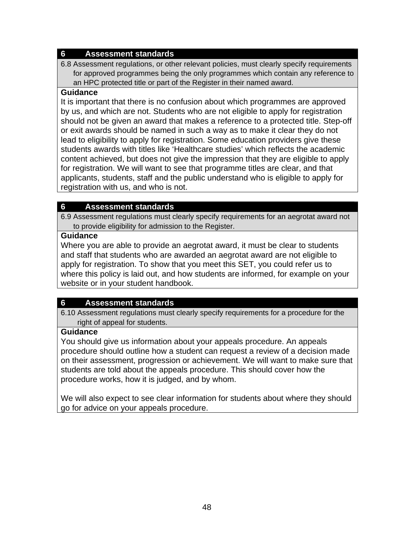6.8 Assessment regulations, or other relevant policies, must clearly specify requirements for approved programmes being the only programmes which contain any reference to an HPC protected title or part of the Register in their named award.

#### **Guidance**

It is important that there is no confusion about which programmes are approved by us, and which are not. Students who are not eligible to apply for registration should not be given an award that makes a reference to a protected title. Step-off or exit awards should be named in such a way as to make it clear they do not lead to eligibility to apply for registration. Some education providers give these students awards with titles like 'Healthcare studies' which reflects the academic content achieved, but does not give the impression that they are eligible to apply for registration. We will want to see that programme titles are clear, and that applicants, students, staff and the public understand who is eligible to apply for registration with us, and who is not.

#### **6 Assessment standards**

6.9 Assessment regulations must clearly specify requirements for an aegrotat award not to provide eligibility for admission to the Register.

#### **Guidance**

Where you are able to provide an aegrotat award, it must be clear to students and staff that students who are awarded an aegrotat award are not eligible to apply for registration. To show that you meet this SET, you could refer us to where this policy is laid out, and how students are informed, for example on your website or in your student handbook.

## **6 Assessment standards**

6.10 Assessment regulations must clearly specify requirements for a procedure for the right of appeal for students.

#### **Guidance**

You should give us information about your appeals procedure. An appeals procedure should outline how a student can request a review of a decision made on their assessment, progression or achievement. We will want to make sure that students are told about the appeals procedure. This should cover how the procedure works, how it is judged, and by whom.

We will also expect to see clear information for students about where they should go for advice on your appeals procedure.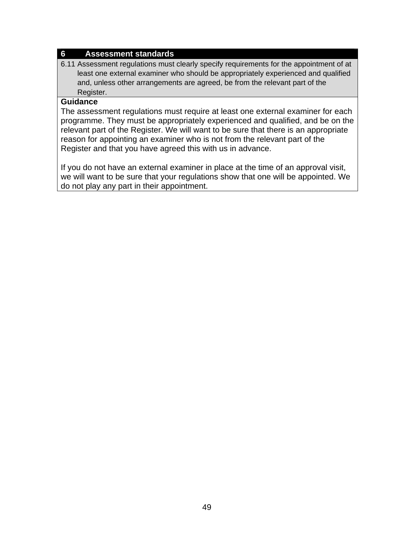6.11 Assessment regulations must clearly specify requirements for the appointment of at least one external examiner who should be appropriately experienced and qualified and, unless other arrangements are agreed, be from the relevant part of the Register.

#### **Guidance**

The assessment regulations must require at least one external examiner for each programme. They must be appropriately experienced and qualified, and be on the relevant part of the Register. We will want to be sure that there is an appropriate reason for appointing an examiner who is not from the relevant part of the Register and that you have agreed this with us in advance.

If you do not have an external examiner in place at the time of an approval visit, we will want to be sure that your regulations show that one will be appointed. We do not play any part in their appointment.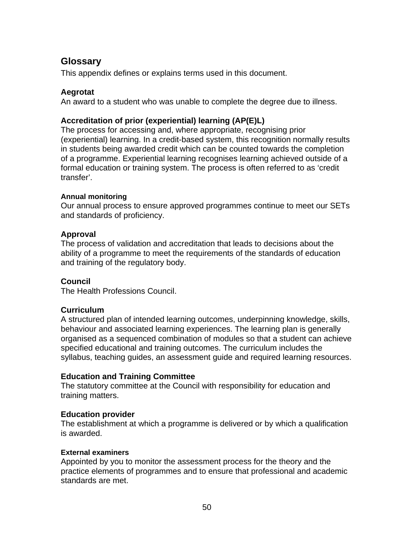## **Glossary**

This appendix defines or explains terms used in this document.

#### **Aegrotat**

An award to a student who was unable to complete the degree due to illness.

#### **Accreditation of prior (experiential) learning (AP(E)L)**

The process for accessing and, where appropriate, recognising prior (experiential) learning. In a credit-based system, this recognition normally results in students being awarded credit which can be counted towards the completion of a programme. Experiential learning recognises learning achieved outside of a formal education or training system. The process is often referred to as 'credit transfer'.

#### **Annual monitoring**

Our annual process to ensure approved programmes continue to meet our SETs and standards of proficiency.

#### **Approval**

The process of validation and accreditation that leads to decisions about the ability of a programme to meet the requirements of the standards of education and training of the regulatory body.

#### **Council**

The Health Professions Council.

#### **Curriculum**

A structured plan of intended learning outcomes, underpinning knowledge, skills, behaviour and associated learning experiences. The learning plan is generally organised as a sequenced combination of modules so that a student can achieve specified educational and training outcomes. The curriculum includes the syllabus, teaching guides, an assessment guide and required learning resources.

#### **Education and Training Committee**

The statutory committee at the Council with responsibility for education and training matters.

#### **Education provider**

The establishment at which a programme is delivered or by which a qualification is awarded.

#### **External examiners**

Appointed by you to monitor the assessment process for the theory and the practice elements of programmes and to ensure that professional and academic standards are met.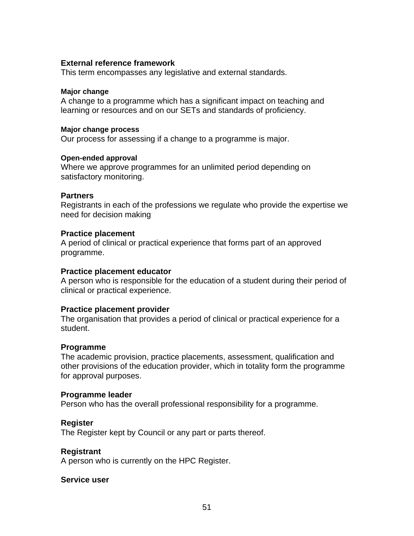#### **External reference framework**

This term encompasses any legislative and external standards.

#### **Major change**

A change to a programme which has a significant impact on teaching and learning or resources and on our SETs and standards of proficiency.

#### **Major change process**

Our process for assessing if a change to a programme is major.

#### **Open-ended approval**

Where we approve programmes for an unlimited period depending on satisfactory monitoring.

#### **Partners**

Registrants in each of the professions we regulate who provide the expertise we need for decision making

#### **Practice placement**

A period of clinical or practical experience that forms part of an approved programme.

#### **Practice placement educator**

A person who is responsible for the education of a student during their period of clinical or practical experience.

#### **Practice placement provider**

The organisation that provides a period of clinical or practical experience for a student.

#### **Programme**

The academic provision, practice placements, assessment, qualification and other provisions of the education provider, which in totality form the programme for approval purposes.

#### **Programme leader**

Person who has the overall professional responsibility for a programme.

#### **Register**

The Register kept by Council or any part or parts thereof.

#### **Registrant**

A person who is currently on the HPC Register.

#### **Service user**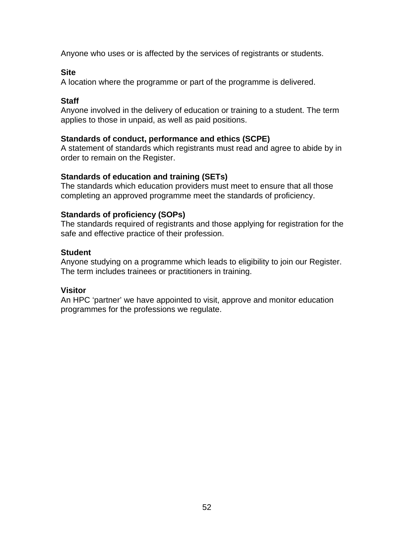Anyone who uses or is affected by the services of registrants or students.

#### **Site**

A location where the programme or part of the programme is delivered.

### **Staff**

Anyone involved in the delivery of education or training to a student. The term applies to those in unpaid, as well as paid positions.

### **Standards of conduct, performance and ethics (SCPE)**

A statement of standards which registrants must read and agree to abide by in order to remain on the Register.

### **Standards of education and training (SETs)**

The standards which education providers must meet to ensure that all those completing an approved programme meet the standards of proficiency.

### **Standards of proficiency (SOPs)**

The standards required of registrants and those applying for registration for the safe and effective practice of their profession.

#### **Student**

Anyone studying on a programme which leads to eligibility to join our Register. The term includes trainees or practitioners in training.

### **Visitor**

An HPC 'partner' we have appointed to visit, approve and monitor education programmes for the professions we regulate.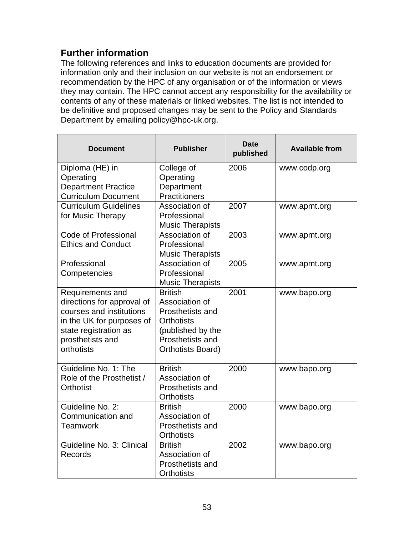# **Further information**

The following references and links to education documents are provided for information only and their inclusion on our website is not an endorsement or recommendation by the HPC of any organisation or of the information or views they may contain. The HPC cannot accept any responsibility for the availability or contents of any of these materials or linked websites. The list is not intended to be definitive and proposed changes may be sent to the Policy and Standards Department by emailing policy@hpc-uk.org.

| <b>Document</b>                                                                                                                                                    | <b>Publisher</b>                                                                                                                               | <b>Date</b><br>published | <b>Available from</b> |
|--------------------------------------------------------------------------------------------------------------------------------------------------------------------|------------------------------------------------------------------------------------------------------------------------------------------------|--------------------------|-----------------------|
| Diploma (HE) in<br>Operating<br><b>Department Practice</b><br><b>Curriculum Document</b>                                                                           | College of<br>Operating<br>Department<br>Practitioners                                                                                         | 2006                     | www.codp.org          |
| <b>Curriculum Guidelines</b><br>for Music Therapy                                                                                                                  | Association of<br>Professional<br><b>Music Therapists</b>                                                                                      | 2007                     | www.apmt.org          |
| Code of Professional<br><b>Ethics and Conduct</b>                                                                                                                  | Association of<br>Professional<br><b>Music Therapists</b>                                                                                      | 2003                     | www.apmt.org          |
| Professional<br>Competencies                                                                                                                                       | Association of<br>Professional<br><b>Music Therapists</b>                                                                                      | 2005                     | www.apmt.org          |
| Requirements and<br>directions for approval of<br>courses and institutions<br>in the UK for purposes of<br>state registration as<br>prosthetists and<br>orthotists | <b>British</b><br>Association of<br><b>Prosthetists and</b><br><b>Orthotists</b><br>(published by the<br>Prosthetists and<br>Orthotists Board) | 2001                     | www.bapo.org          |
| Guideline No. 1: The<br>Role of the Prosthetist /<br>Orthotist                                                                                                     | <b>British</b><br>Association of<br>Prosthetists and<br><b>Orthotists</b>                                                                      | 2000                     | www.bapo.org          |
| Guideline No. 2:<br>Communication and<br><b>Teamwork</b>                                                                                                           | <b>British</b><br>Association of<br><b>Prosthetists and</b><br><b>Orthotists</b>                                                               | 2000                     | www.bapo.org          |
| Guideline No. 3: Clinical<br>Records                                                                                                                               | <b>British</b><br>Association of<br><b>Prosthetists and</b><br><b>Orthotists</b>                                                               | 2002                     | www.bapo.org          |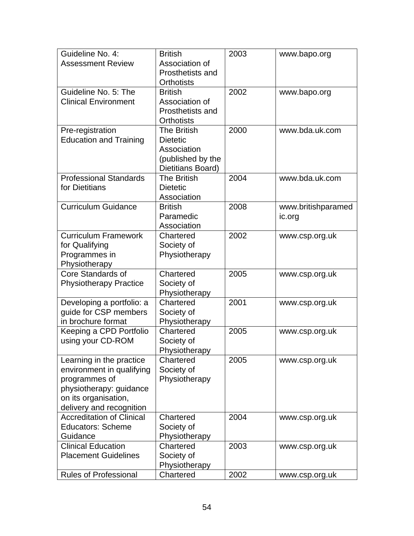| Guideline No. 4:                 | <b>British</b>              | 2003 | www.bapo.org       |
|----------------------------------|-----------------------------|------|--------------------|
| <b>Assessment Review</b>         | Association of              |      |                    |
|                                  | Prosthetists and            |      |                    |
|                                  | <b>Orthotists</b>           |      |                    |
| Guideline No. 5: The             | <b>British</b>              | 2002 | www.bapo.org       |
| <b>Clinical Environment</b>      | Association of              |      |                    |
|                                  | Prosthetists and            |      |                    |
|                                  | <b>Orthotists</b>           |      |                    |
| Pre-registration                 | The British                 | 2000 | www.bda.uk.com     |
| <b>Education and Training</b>    | <b>Dietetic</b>             |      |                    |
|                                  | Association                 |      |                    |
|                                  | (published by the           |      |                    |
|                                  | Dietitians Board)           |      |                    |
| <b>Professional Standards</b>    | <b>The British</b>          | 2004 | www.bda.uk.com     |
| for Dietitians                   | <b>Dietetic</b>             |      |                    |
|                                  | Association                 |      |                    |
| <b>Curriculum Guidance</b>       | <b>British</b>              | 2008 | www.britishparamed |
|                                  | Paramedic                   |      | ic.org             |
| <b>Curriculum Framework</b>      | Association                 |      |                    |
|                                  | Chartered                   | 2002 | www.csp.org.uk     |
| for Qualifying                   | Society of<br>Physiotherapy |      |                    |
| Programmes in<br>Physiotherapy   |                             |      |                    |
| Core Standards of                | Chartered                   | 2005 | www.csp.org.uk     |
| <b>Physiotherapy Practice</b>    | Society of                  |      |                    |
|                                  | Physiotherapy               |      |                    |
| Developing a portfolio: a        | Chartered                   | 2001 | www.csp.org.uk     |
| guide for CSP members            | Society of                  |      |                    |
| in brochure format               | Physiotherapy               |      |                    |
| Keeping a CPD Portfolio          | Chartered                   | 2005 | www.csp.org.uk     |
| using your CD-ROM                | Society of                  |      |                    |
|                                  | Physiotherapy               |      |                    |
| Learning in the practice         | Chartered                   | 2005 | www.csp.org.uk     |
| environment in qualifying        | Society of                  |      |                    |
| programmes of                    | Physiotherapy               |      |                    |
| physiotherapy: guidance          |                             |      |                    |
| on its organisation,             |                             |      |                    |
| delivery and recognition         |                             |      |                    |
| <b>Accreditation of Clinical</b> | Chartered                   | 2004 | www.csp.org.uk     |
| <b>Educators: Scheme</b>         | Society of                  |      |                    |
| Guidance                         | Physiotherapy               |      |                    |
| <b>Clinical Education</b>        | Chartered                   | 2003 | www.csp.org.uk     |
| <b>Placement Guidelines</b>      | Society of                  |      |                    |
|                                  | Physiotherapy               |      |                    |
| <b>Rules of Professional</b>     | Chartered                   | 2002 | www.csp.org.uk     |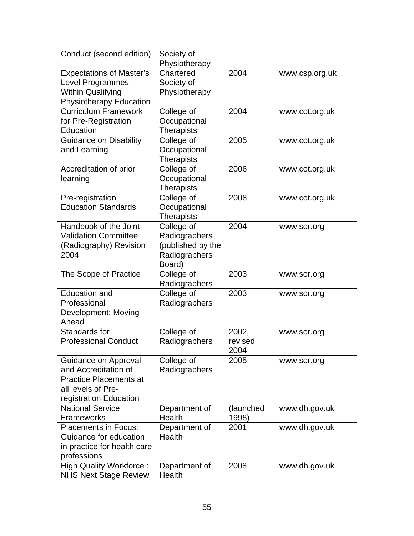| Conduct (second edition)                          | Society of                      |           |                |
|---------------------------------------------------|---------------------------------|-----------|----------------|
| <b>Expectations of Master's</b>                   | Physiotherapy<br>Chartered      | 2004      | www.csp.org.uk |
| <b>Level Programmes</b>                           | Society of                      |           |                |
| <b>Within Qualifying</b>                          | Physiotherapy                   |           |                |
| <b>Physiotherapy Education</b>                    |                                 |           |                |
| <b>Curriculum Framework</b>                       | College of                      | 2004      | www.cot.org.uk |
| for Pre-Registration                              | Occupational                    |           |                |
| Education                                         | <b>Therapists</b>               |           |                |
| Guidance on Disability                            | College of                      | 2005      | www.cot.org.uk |
| and Learning                                      | Occupational                    |           |                |
| Accreditation of prior                            | <b>Therapists</b><br>College of | 2006      |                |
| learning                                          | Occupational                    |           | www.cot.org.uk |
|                                                   | Therapists                      |           |                |
| Pre-registration                                  | College of                      | 2008      | www.cot.org.uk |
| <b>Education Standards</b>                        | Occupational                    |           |                |
|                                                   | <b>Therapists</b>               |           |                |
| Handbook of the Joint                             | College of                      | 2004      | www.sor.org    |
| <b>Validation Committee</b>                       | Radiographers                   |           |                |
| (Radiography) Revision                            | (published by the               |           |                |
| 2004                                              | Radiographers                   |           |                |
|                                                   | Board)                          | 2003      |                |
| The Scope of Practice                             | College of<br>Radiographers     |           | www.sor.org    |
| <b>Education and</b>                              | College of                      | 2003      | www.sor.org    |
| Professional                                      | Radiographers                   |           |                |
| Development: Moving<br>Ahead                      |                                 |           |                |
| Standards for                                     | College of                      | 2002,     | www.sor.org    |
| <b>Professional Conduct</b>                       | Radiographers                   | revised   |                |
|                                                   |                                 | 2004      |                |
| Guidance on Approval                              | College of                      | 2005      | www.sor.org    |
| and Accreditation of                              | Radiographers                   |           |                |
| <b>Practice Placements at</b>                     |                                 |           |                |
| all levels of Pre-                                |                                 |           |                |
| registration Education<br><b>National Service</b> | Department of                   | (launched | www.dh.gov.uk  |
| <b>Frameworks</b>                                 | Health                          | 1998)     |                |
| <b>Placements in Focus:</b>                       | Department of                   | 2001      | www.dh.gov.uk  |
| Guidance for education                            | Health                          |           |                |
| in practice for health care                       |                                 |           |                |
| professions                                       |                                 |           |                |
| <b>High Quality Workforce:</b>                    | Department of                   | 2008      | www.dh.gov.uk  |
| <b>NHS Next Stage Review</b>                      | Health                          |           |                |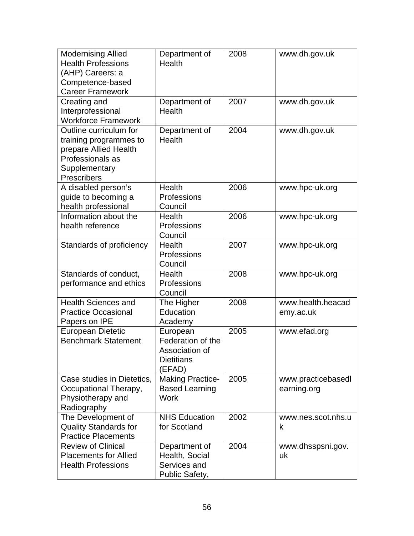| <b>Modernising Allied</b><br><b>Health Professions</b><br>(AHP) Careers: a<br>Competence-based<br><b>Career Framework</b>     | Department of<br><b>Health</b>                                                 | 2008 | www.dh.gov.uk                     |
|-------------------------------------------------------------------------------------------------------------------------------|--------------------------------------------------------------------------------|------|-----------------------------------|
| Creating and<br>Interprofessional<br><b>Workforce Framework</b>                                                               | Department of<br>Health                                                        | 2007 | www.dh.gov.uk                     |
| Outline curriculum for<br>training programmes to<br>prepare Allied Health<br>Professionals as<br>Supplementary<br>Prescribers | Department of<br>Health                                                        | 2004 | www.dh.gov.uk                     |
| A disabled person's<br>guide to becoming a<br>health professional                                                             | Health<br>Professions<br>Council                                               | 2006 | www.hpc-uk.org                    |
| Information about the<br>health reference                                                                                     | Health<br>Professions<br>Council                                               | 2006 | www.hpc-uk.org                    |
| Standards of proficiency                                                                                                      | Health<br>Professions<br>Council                                               | 2007 | www.hpc-uk.org                    |
| Standards of conduct,<br>performance and ethics                                                                               | Health<br>Professions<br>Council                                               | 2008 | www.hpc-uk.org                    |
| <b>Health Sciences and</b><br><b>Practice Occasional</b><br>Papers on IPE                                                     | The Higher<br>Education<br>Academy                                             | 2008 | www.health.heacad<br>emy.ac.uk    |
| European Dietetic<br><b>Benchmark Statement</b>                                                                               | European<br>Federation of the<br>Association of<br><b>Dietitians</b><br>(EFAD) | 2005 | www.efad.org                      |
| Case studies in Dietetics,<br>Occupational Therapy,<br>Physiotherapy and<br>Radiography                                       | <b>Making Practice-</b><br><b>Based Learning</b><br><b>Work</b>                | 2005 | www.practicebasedl<br>earning.org |
| The Development of<br><b>Quality Standards for</b><br><b>Practice Placements</b>                                              | <b>NHS Education</b><br>for Scotland                                           | 2002 | www.nes.scot.nhs.u<br>k           |
| <b>Review of Clinical</b><br><b>Placements for Allied</b><br><b>Health Professions</b>                                        | Department of<br>Health, Social<br>Services and<br>Public Safety,              | 2004 | www.dhsspsni.gov.<br>uk           |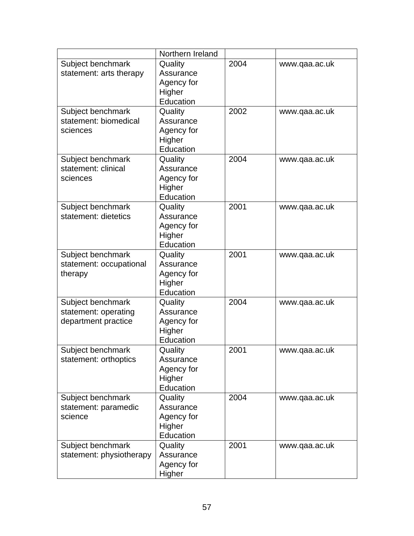|                          | Northern Ireland    |      |               |
|--------------------------|---------------------|------|---------------|
| Subject benchmark        | Quality             | 2004 | www.qaa.ac.uk |
| statement: arts therapy  | Assurance           |      |               |
|                          | Agency for          |      |               |
|                          | Higher              |      |               |
|                          | Education           |      |               |
| Subject benchmark        | Quality             | 2002 | www.qaa.ac.uk |
| statement: biomedical    | Assurance           |      |               |
| sciences                 | Agency for          |      |               |
|                          | Higher              |      |               |
|                          | Education           |      |               |
| Subject benchmark        | Quality             | 2004 | www.qaa.ac.uk |
| statement: clinical      | Assurance           |      |               |
| sciences                 | Agency for          |      |               |
|                          | Higher              |      |               |
|                          | Education           |      |               |
| Subject benchmark        | Quality             | 2001 | www.qaa.ac.uk |
| statement: dietetics     | Assurance           |      |               |
|                          | Agency for          |      |               |
|                          | Higher              |      |               |
|                          | Education           |      |               |
| Subject benchmark        | Quality             | 2001 | www.qaa.ac.uk |
| statement: occupational  | Assurance           |      |               |
| therapy                  | Agency for          |      |               |
|                          | Higher              |      |               |
|                          | Education           |      |               |
| Subject benchmark        | Quality             | 2004 | www.qaa.ac.uk |
| statement: operating     | Assurance           |      |               |
| department practice      | Agency for          |      |               |
|                          | Higher<br>Education |      |               |
| Subject benchmark        | Quality             | 2001 | www.gaa.ac.uk |
| statement: orthoptics    | Assurance           |      |               |
|                          | Agency for          |      |               |
|                          | Higher              |      |               |
|                          | Education           |      |               |
| Subject benchmark        | Quality             | 2004 | www.qaa.ac.uk |
| statement: paramedic     | Assurance           |      |               |
| science                  | Agency for          |      |               |
|                          | Higher              |      |               |
|                          | Education           |      |               |
| Subject benchmark        | Quality             | 2001 | www.qaa.ac.uk |
| statement: physiotherapy | Assurance           |      |               |
|                          | Agency for          |      |               |
|                          | Higher              |      |               |
|                          |                     |      |               |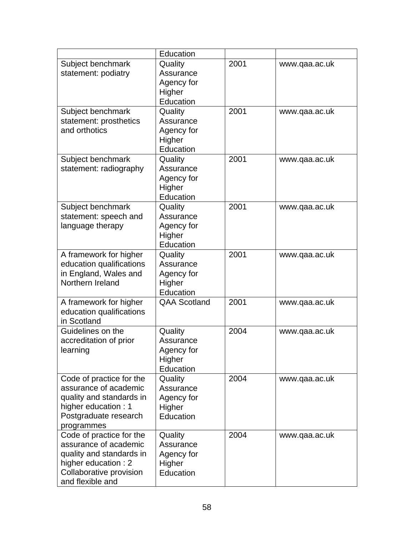|                                                                                                | Education                         |      |               |
|------------------------------------------------------------------------------------------------|-----------------------------------|------|---------------|
| Subject benchmark                                                                              | Quality                           | 2001 | www.qaa.ac.uk |
| statement: podiatry                                                                            | Assurance                         |      |               |
|                                                                                                | Agency for                        |      |               |
|                                                                                                | Higher                            |      |               |
|                                                                                                | Education                         |      |               |
| Subject benchmark                                                                              | Quality                           | 2001 | www.qaa.ac.uk |
| statement: prosthetics                                                                         | Assurance                         |      |               |
| and orthotics                                                                                  | Agency for                        |      |               |
|                                                                                                | Higher                            |      |               |
|                                                                                                | Education                         |      |               |
| Subject benchmark                                                                              | Quality                           | 2001 | www.qaa.ac.uk |
| statement: radiography                                                                         | Assurance                         |      |               |
|                                                                                                | Agency for                        |      |               |
|                                                                                                | Higher                            |      |               |
|                                                                                                | Education                         |      |               |
| Subject benchmark                                                                              | Quality                           | 2001 | www.qaa.ac.uk |
| statement: speech and                                                                          | Assurance                         |      |               |
| language therapy                                                                               | Agency for                        |      |               |
|                                                                                                | Higher                            |      |               |
|                                                                                                | Education                         |      |               |
| A framework for higher                                                                         | Quality                           | 2001 | www.qaa.ac.uk |
| education qualifications                                                                       | Assurance                         |      |               |
| in England, Wales and                                                                          | Agency for                        |      |               |
| Northern Ireland                                                                               | Higher                            |      |               |
|                                                                                                | Education                         |      |               |
| A framework for higher                                                                         | <b>QAA Scotland</b>               | 2001 | www.qaa.ac.uk |
| education qualifications                                                                       |                                   |      |               |
| in Scotland                                                                                    |                                   |      |               |
| Guidelines on the                                                                              | Quality                           | 2004 | www.qaa.ac.uk |
| accreditation of prior                                                                         | Assurance                         |      |               |
| learning                                                                                       | Agency for                        |      |               |
|                                                                                                | Higher                            |      |               |
|                                                                                                | Education                         |      |               |
| Code of practice for the                                                                       | Quality                           | 2004 | www.qaa.ac.uk |
| assurance of academic                                                                          | Assurance                         |      |               |
| quality and standards in                                                                       | Agency for                        |      |               |
| higher education: 1                                                                            | Higher                            |      |               |
| Postgraduate research                                                                          | Education                         |      |               |
| programmes                                                                                     |                                   |      |               |
| Code of practice for the                                                                       | Quality                           | 2004 | www.qaa.ac.uk |
| assurance of academic                                                                          | Assurance                         |      |               |
|                                                                                                |                                   |      |               |
|                                                                                                |                                   |      |               |
|                                                                                                |                                   |      |               |
| quality and standards in<br>higher education: 2<br>Collaborative provision<br>and flexible and | Agency for<br>Higher<br>Education |      |               |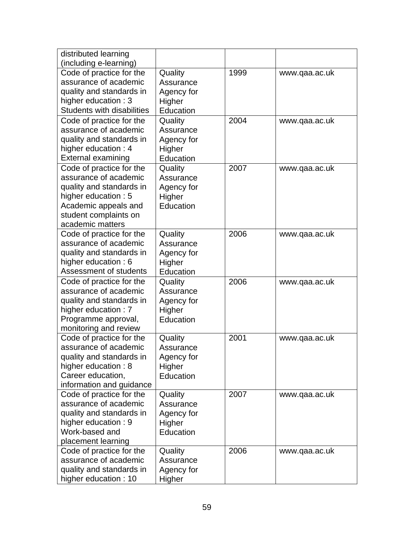| distributed learning              |            |      |               |
|-----------------------------------|------------|------|---------------|
| (including e-learning)            |            |      |               |
| Code of practice for the          | Quality    | 1999 | www.qaa.ac.uk |
| assurance of academic             | Assurance  |      |               |
| quality and standards in          | Agency for |      |               |
| higher education: 3               | Higher     |      |               |
| <b>Students with disabilities</b> | Education  |      |               |
| Code of practice for the          | Quality    | 2004 | www.qaa.ac.uk |
| assurance of academic             | Assurance  |      |               |
| quality and standards in          | Agency for |      |               |
| higher education: 4               | Higher     |      |               |
| <b>External examining</b>         | Education  |      |               |
| Code of practice for the          | Quality    | 2007 | www.qaa.ac.uk |
| assurance of academic             | Assurance  |      |               |
| quality and standards in          | Agency for |      |               |
| higher education: 5               | Higher     |      |               |
| Academic appeals and              | Education  |      |               |
| student complaints on             |            |      |               |
| academic matters                  |            |      |               |
| Code of practice for the          | Quality    | 2006 | www.qaa.ac.uk |
| assurance of academic             | Assurance  |      |               |
| quality and standards in          | Agency for |      |               |
| higher education: 6               | Higher     |      |               |
| Assessment of students            | Education  |      |               |
| Code of practice for the          | Quality    | 2006 | www.qaa.ac.uk |
| assurance of academic             | Assurance  |      |               |
| quality and standards in          | Agency for |      |               |
| higher education: 7               | Higher     |      |               |
| Programme approval,               | Education  |      |               |
| monitoring and review             |            |      |               |
| Code of practice for the          | Quality    | 2001 | www.qaa.ac.uk |
| assurance of academic             | Assurance  |      |               |
| quality and standards in          | Agency for |      |               |
| higher education: 8               | Higher     |      |               |
| Career education,                 | Education  |      |               |
| information and guidance          |            |      |               |
| Code of practice for the          | Quality    | 2007 | www.qaa.ac.uk |
| assurance of academic             | Assurance  |      |               |
| quality and standards in          | Agency for |      |               |
| higher education: 9               | Higher     |      |               |
| Work-based and                    | Education  |      |               |
| placement learning                |            |      |               |
| Code of practice for the          | Quality    | 2006 | www.qaa.ac.uk |
| assurance of academic             | Assurance  |      |               |
| quality and standards in          | Agency for |      |               |
| higher education: 10              | Higher     |      |               |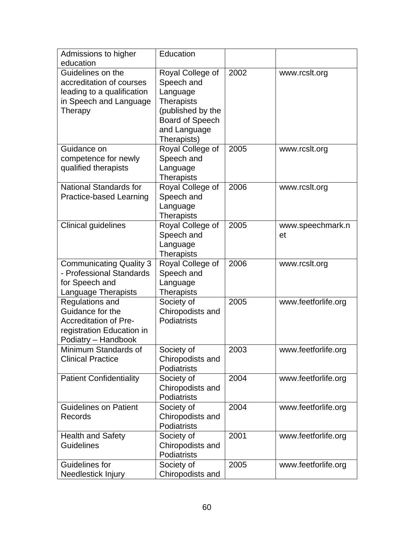| Admissions to higher                        | Education          |      |                     |
|---------------------------------------------|--------------------|------|---------------------|
| education<br>Guidelines on the              | Royal College of   | 2002 | www.rcslt.org       |
| accreditation of courses                    | Speech and         |      |                     |
| leading to a qualification                  | Language           |      |                     |
| in Speech and Language                      | <b>Therapists</b>  |      |                     |
| Therapy                                     | (published by the  |      |                     |
|                                             | Board of Speech    |      |                     |
|                                             | and Language       |      |                     |
|                                             | Therapists)        |      |                     |
| Guidance on                                 | Royal College of   | 2005 | www.rcslt.org       |
| competence for newly                        | Speech and         |      |                     |
| qualified therapists                        | Language           |      |                     |
|                                             | <b>Therapists</b>  |      |                     |
| <b>National Standards for</b>               | Royal College of   | 2006 | www.rcslt.org       |
| Practice-based Learning                     | Speech and         |      |                     |
|                                             | Language           |      |                     |
|                                             | <b>Therapists</b>  |      |                     |
| <b>Clinical guidelines</b>                  | Royal College of   | 2005 | www.speechmark.n    |
|                                             | Speech and         |      | et                  |
|                                             | Language           |      |                     |
|                                             | <b>Therapists</b>  |      |                     |
| <b>Communicating Quality 3</b>              | Royal College of   | 2006 | www.rcslt.org       |
| - Professional Standards                    | Speech and         |      |                     |
| for Speech and                              | Language           |      |                     |
| Language Therapists                         | <b>Therapists</b>  |      |                     |
| Regulations and<br>Guidance for the         | Society of         | 2005 | www.feetforlife.org |
|                                             | Chiropodists and   |      |                     |
| <b>Accreditation of Pre-</b>                | Podiatrists        |      |                     |
| registration Education in                   |                    |      |                     |
| Podiatry - Handbook<br>Minimum Standards of | Society of         | 2003 | www.feetforlife.org |
| <b>Clinical Practice</b>                    | Chiropodists and   |      |                     |
|                                             | <b>Podiatrists</b> |      |                     |
| <b>Patient Confidentiality</b>              | Society of         | 2004 | www.feetforlife.org |
|                                             | Chiropodists and   |      |                     |
|                                             | Podiatrists        |      |                     |
| <b>Guidelines on Patient</b>                | Society of         | 2004 | www.feetforlife.org |
| Records                                     | Chiropodists and   |      |                     |
|                                             | Podiatrists        |      |                     |
| <b>Health and Safety</b>                    | Society of         | 2001 | www.feetforlife.org |
| <b>Guidelines</b>                           | Chiropodists and   |      |                     |
|                                             | Podiatrists        |      |                     |
| Guidelines for                              | Society of         | 2005 | www.feetforlife.org |
| Needlestick Injury                          | Chiropodists and   |      |                     |